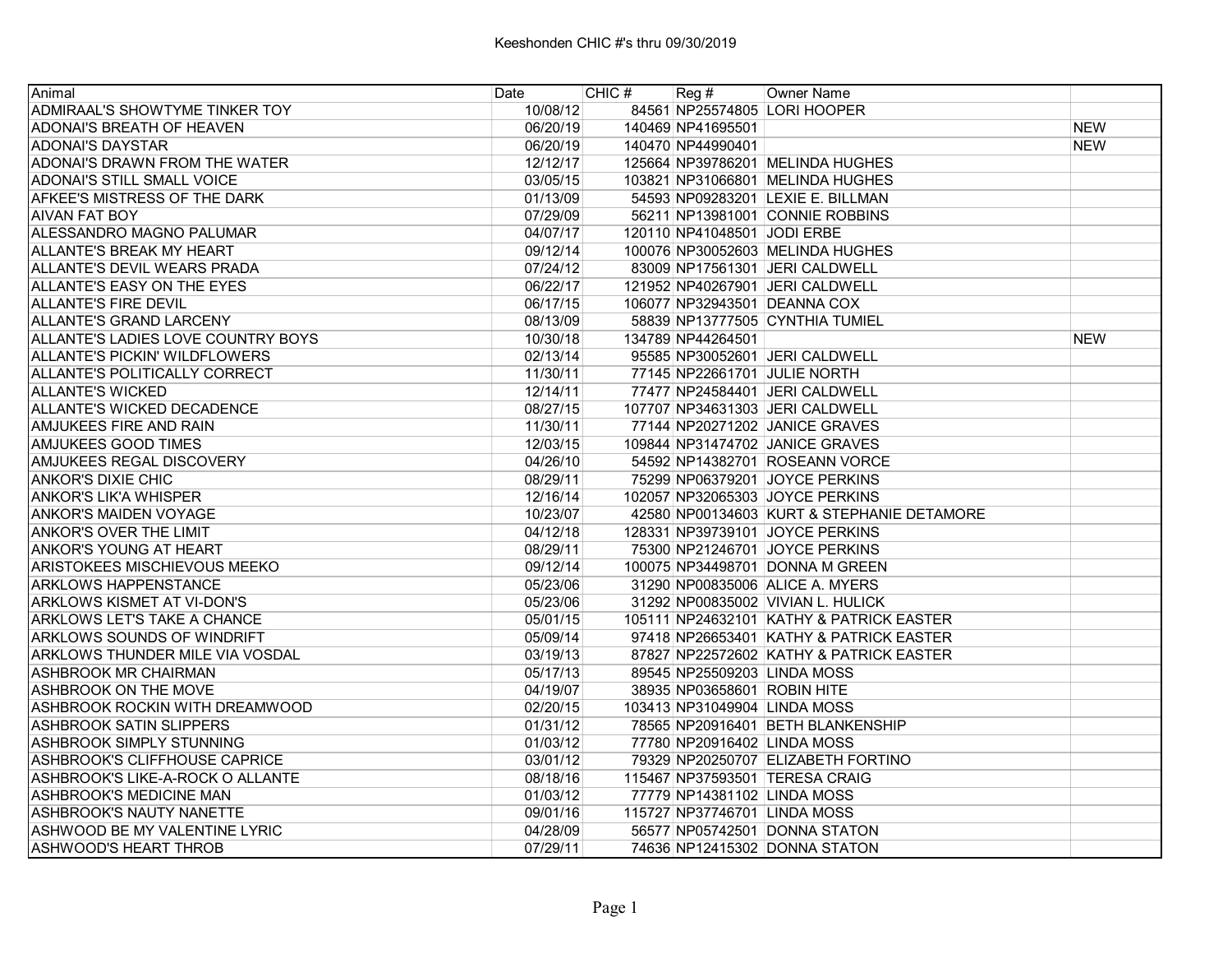| Animal                               | Date     | CHIC # | Reg#                        | Owner Name                                 |            |
|--------------------------------------|----------|--------|-----------------------------|--------------------------------------------|------------|
| ADMIRAAL'S SHOWTYME TINKER TOY       | 10/08/12 |        |                             | 84561 NP25574805 LORI HOOPER               |            |
| <b>ADONAI'S BREATH OF HEAVEN</b>     | 06/20/19 |        | 140469 NP41695501           |                                            | <b>NEW</b> |
| <b>ADONAI'S DAYSTAR</b>              | 06/20/19 |        | 140470 NP44990401           |                                            | <b>NEW</b> |
| ADONAI'S DRAWN FROM THE WATER        | 12/12/17 |        |                             | 125664 NP39786201 MELINDA HUGHES           |            |
| <b>ADONAI'S STILL SMALL VOICE</b>    | 03/05/15 |        |                             | 103821 NP31066801 MELINDA HUGHES           |            |
| AFKEE'S MISTRESS OF THE DARK         | 01/13/09 |        |                             | 54593 NP09283201 LEXIE E. BILLMAN          |            |
| <b>AIVAN FAT BOY</b>                 | 07/29/09 |        |                             | 56211 NP13981001 CONNIE ROBBINS            |            |
| ALESSANDRO MAGNO PALUMAR             | 04/07/17 |        | 120110 NP41048501 JODI ERBE |                                            |            |
| ALLANTE'S BREAK MY HEART             | 09/12/14 |        |                             | 100076 NP30052603 MELINDA HUGHES           |            |
| ALLANTE'S DEVIL WEARS PRADA          | 07/24/12 |        |                             | 83009 NP17561301 JERI CALDWELL             |            |
| ALLANTE'S EASY ON THE EYES           | 06/22/17 |        |                             | 121952 NP40267901 JERI CALDWELL            |            |
| <b>ALLANTE'S FIRE DEVIL</b>          | 06/17/15 |        |                             | 106077 NP32943501 DEANNA COX               |            |
| <b>ALLANTE'S GRAND LARCENY</b>       | 08/13/09 |        |                             | 58839 NP13777505 CYNTHIA TUMIEL            |            |
| ALLANTE'S LADIES LOVE COUNTRY BOYS   | 10/30/18 |        | 134789 NP44264501           |                                            | <b>NEW</b> |
| <b>ALLANTE'S PICKIN' WILDFLOWERS</b> | 02/13/14 |        |                             | 95585 NP30052601 JERI CALDWELL             |            |
| ALLANTE'S POLITICALLY CORRECT        | 11/30/11 |        |                             | 77145 NP22661701 JULIE NORTH               |            |
| ALLANTE'S WICKED                     | 12/14/11 |        |                             | 77477 NP24584401 JERI CALDWELL             |            |
| ALLANTE'S WICKED DECADENCE           | 08/27/15 |        |                             | 107707 NP34631303 JERI CALDWELL            |            |
| <b>AMJUKEES FIRE AND RAIN</b>        | 11/30/11 |        |                             | 77144 NP20271202 JANICE GRAVES             |            |
| <b>AMJUKEES GOOD TIMES</b>           | 12/03/15 |        |                             | 109844 NP31474702 JANICE GRAVES            |            |
| AMJUKEES REGAL DISCOVERY             | 04/26/10 |        |                             | 54592 NP14382701 ROSEANN VORCE             |            |
| <b>ANKOR'S DIXIE CHIC</b>            | 08/29/11 |        |                             | 75299 NP06379201 JOYCE PERKINS             |            |
| <b>ANKOR'S LIK'A WHISPER</b>         | 12/16/14 |        |                             | 102057 NP32065303 JOYCE PERKINS            |            |
| <b>ANKOR'S MAIDEN VOYAGE</b>         | 10/23/07 |        |                             | 42580 NP00134603 KURT & STEPHANIE DETAMORE |            |
| ANKOR'S OVER THE LIMIT               | 04/12/18 |        |                             | 128331 NP39739101 JOYCE PERKINS            |            |
| ANKOR'S YOUNG AT HEART               | 08/29/11 |        |                             | 75300 NP21246701 JOYCE PERKINS             |            |
| ARISTOKEES MISCHIEVOUS MEEKO         | 09/12/14 |        |                             | 100075 NP34498701 DONNA M GREEN            |            |
| <b>ARKLOWS HAPPENSTANCE</b>          | 05/23/06 |        |                             | 31290 NP00835006 ALICE A. MYERS            |            |
| <b>ARKLOWS KISMET AT VI-DON'S</b>    | 05/23/06 |        |                             | 31292 NP00835002 VIVIAN L. HULICK          |            |
| ARKLOWS LET'S TAKE A CHANCE          | 05/01/15 |        |                             | 105111 NP24632101 KATHY & PATRICK EASTER   |            |
| <b>ARKLOWS SOUNDS OF WINDRIFT</b>    | 05/09/14 |        |                             | 97418 NP26653401 KATHY & PATRICK EASTER    |            |
| ARKLOWS THUNDER MILE VIA VOSDAL      | 03/19/13 |        |                             | 87827 NP22572602 KATHY & PATRICK EASTER    |            |
| ASHBROOK MR CHAIRMAN                 | 05/17/13 |        |                             | 89545 NP25509203 LINDA MOSS                |            |
| <b>ASHBROOK ON THE MOVE</b>          | 04/19/07 |        | 38935 NP03658601 ROBIN HITE |                                            |            |
| ASHBROOK ROCKIN WITH DREAMWOOD       | 02/20/15 |        |                             | 103413 NP31049904 LINDA MOSS               |            |
| <b>ASHBROOK SATIN SLIPPERS</b>       | 01/31/12 |        |                             | 78565 NP20916401 BETH BLANKENSHIP          |            |
| ASHBROOK SIMPLY STUNNING             | 01/03/12 |        |                             | 77780 NP20916402 LINDA MOSS                |            |
| <b>ASHBROOK'S CLIFFHOUSE CAPRICE</b> | 03/01/12 |        |                             | 79329 NP20250707 ELIZABETH FORTINO         |            |
| ASHBROOK'S LIKE-A-ROCK O ALLANTE     | 08/18/16 |        |                             | 115467 NP37593501 TERESA CRAIG             |            |
| ASHBROOK'S MEDICINE MAN              | 01/03/12 |        |                             | 77779 NP14381102 LINDA MOSS                |            |
| <b>ASHBROOK'S NAUTY NANETTE</b>      | 09/01/16 |        |                             | 115727 NP37746701 LINDA MOSS               |            |
| ASHWOOD BE MY VALENTINE LYRIC        | 04/28/09 |        |                             | 56577 NP05742501 DONNA STATON              |            |
| ASHWOOD'S HEART THROB                | 07/29/11 |        |                             | 74636 NP12415302 DONNA STATON              |            |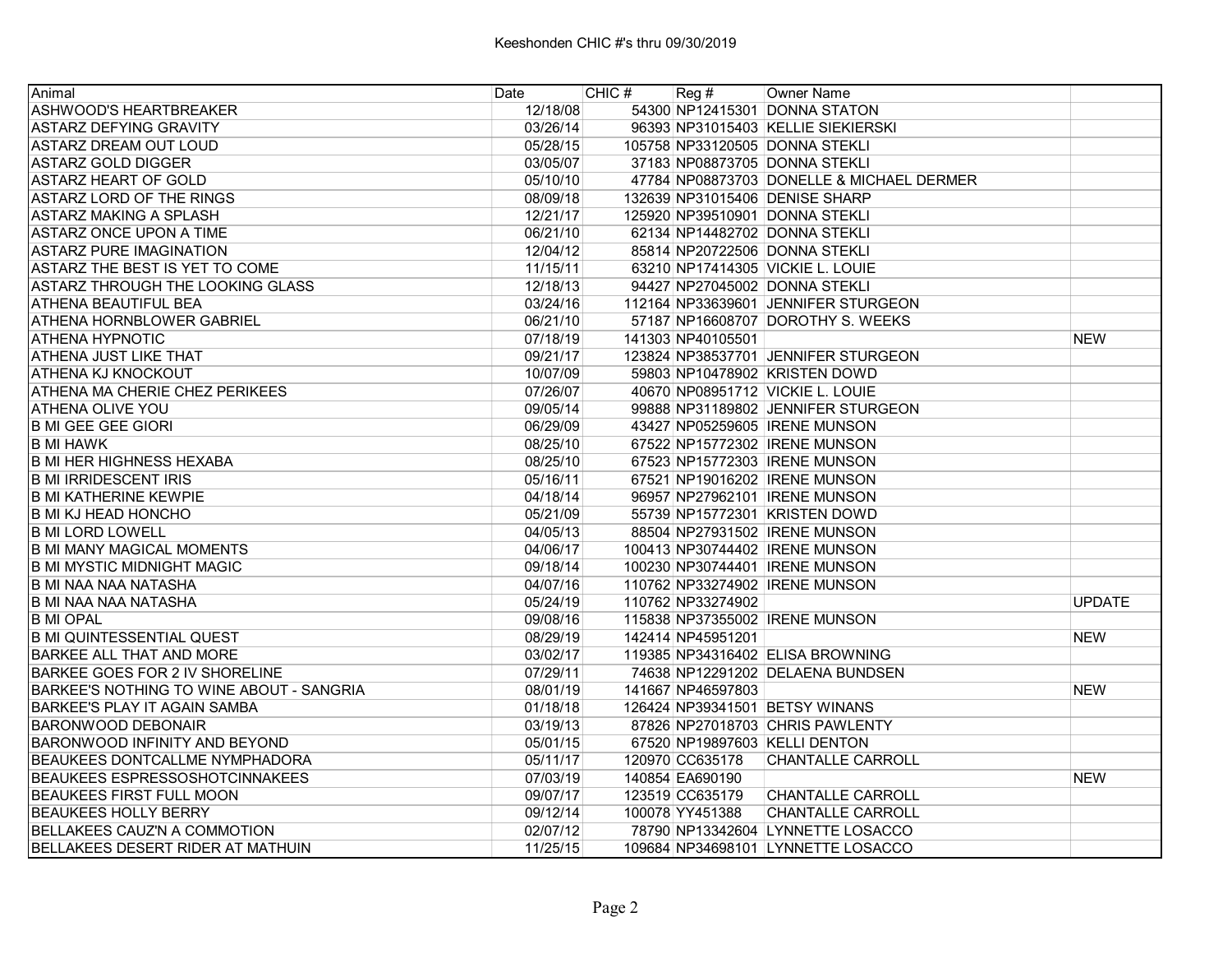| Animal                                          | Date     | CHIC # | Reg #             | <b>Owner Name</b>                         |               |
|-------------------------------------------------|----------|--------|-------------------|-------------------------------------------|---------------|
| ASHWOOD'S HEARTBREAKER                          | 12/18/08 |        |                   | 54300 NP12415301 DONNA STATON             |               |
| <b>ASTARZ DEFYING GRAVITY</b>                   | 03/26/14 |        |                   | 96393 NP31015403 KELLIE SIEKIERSKI        |               |
| <b>ASTARZ DREAM OUT LOUD</b>                    | 05/28/15 |        |                   | 105758 NP33120505 DONNA STEKLI            |               |
| IASTARZ GOLD DIGGER                             | 03/05/07 |        |                   | 37183 NP08873705 DONNA STEKLI             |               |
| <b>ASTARZ HEART OF GOLD</b>                     | 05/10/10 |        |                   | 47784 NP08873703 DONELLE & MICHAEL DERMER |               |
| ASTARZ LORD OF THE RINGS                        | 08/09/18 |        |                   | 132639 NP31015406 DENISE SHARP            |               |
| <b>ASTARZ MAKING A SPLASH</b>                   | 12/21/17 |        |                   | 125920 NP39510901 DONNA STEKLI            |               |
| ASTARZ ONCE UPON A TIME                         | 06/21/10 |        |                   | 62134 NP14482702 DONNA STEKLI             |               |
| <b>ASTARZ PURE IMAGINATION</b>                  | 12/04/12 |        |                   | 85814 NP20722506 DONNA STEKLI             |               |
| ASTARZ THE BEST IS YET TO COME                  | 11/15/11 |        |                   | 63210 NP17414305 VICKIE L. LOUIE          |               |
| ASTARZ THROUGH THE LOOKING GLASS                | 12/18/13 |        |                   | 94427 NP27045002 DONNA STEKLI             |               |
| <b>ATHENA BEAUTIFUL BEA</b>                     | 03/24/16 |        |                   | 112164 NP33639601 JENNIFER STURGEON       |               |
| <b>ATHENA HORNBLOWER GABRIEL</b>                | 06/21/10 |        |                   | 57187 NP16608707 DOROTHY S. WEEKS         |               |
| IATHENA HYPNOTIC                                | 07/18/19 |        | 141303 NP40105501 |                                           | <b>NEW</b>    |
| IATHENA JUST LIKE THAT                          | 09/21/17 |        |                   | 123824 NP38537701 JENNIFER STURGEON       |               |
| <b>ATHENA KJ KNOCKOUT</b>                       | 10/07/09 |        |                   | 59803 NP10478902 KRISTEN DOWD             |               |
| <b>ATHENA MA CHERIE CHEZ PERIKEES</b>           | 07/26/07 |        |                   | 40670 NP08951712 VICKIE L. LOUIE          |               |
| ATHENA OLIVE YOU                                | 09/05/14 |        |                   | 99888 NP31189802 JENNIFER STURGEON        |               |
| <b>B MI GEE GEE GIORI</b>                       | 06/29/09 |        |                   | 43427 NP05259605 IRENE MUNSON             |               |
| <b>B MI HAWK</b>                                | 08/25/10 |        |                   | 67522 NP15772302 IRENE MUNSON             |               |
| <b>B MI HER HIGHNESS HEXABA</b>                 | 08/25/10 |        |                   | 67523 NP15772303 IRENE MUNSON             |               |
| <b>B MI IRRIDESCENT IRIS</b>                    | 05/16/11 |        |                   | 67521 NP19016202 IRENE MUNSON             |               |
| IB MI KATHERINE KEWPIE                          | 04/18/14 |        |                   | 96957 NP27962101 IRENE MUNSON             |               |
| IB MI KJ HEAD HONCHO                            | 05/21/09 |        |                   | 55739 NP15772301 KRISTEN DOWD             |               |
| <b>B MI LORD LOWELL</b>                         | 04/05/13 |        |                   | 88504 NP27931502 IRENE MUNSON             |               |
| <b>B MI MANY MAGICAL MOMENTS</b>                | 04/06/17 |        |                   | 100413 NP30744402 IRENE MUNSON            |               |
| <b>B MI MYSTIC MIDNIGHT MAGIC</b>               | 09/18/14 |        |                   | 100230 NP30744401 IRENE MUNSON            |               |
| IB MI NAA NAA NATASHA                           | 04/07/16 |        |                   | 110762 NP33274902 IRENE MUNSON            |               |
| IB MI NAA NAA NATASHA                           | 05/24/19 |        | 110762 NP33274902 |                                           | <b>UPDATE</b> |
| <b>B MI OPAL</b>                                | 09/08/16 |        |                   | 115838 NP37355002 IRENE MUNSON            |               |
| B MI QUINTESSENTIAL QUEST                       | 08/29/19 |        | 142414 NP45951201 |                                           | <b>NEW</b>    |
| <b>BARKEE ALL THAT AND MORE</b>                 | 03/02/17 |        |                   | 119385 NP34316402 ELISA BROWNING          |               |
| <b>BARKEE GOES FOR 2 IV SHORELINE</b>           | 07/29/11 |        |                   | 74638 NP12291202 DELAENA BUNDSEN          |               |
| <b>BARKEE'S NOTHING TO WINE ABOUT - SANGRIA</b> | 08/01/19 |        | 141667 NP46597803 |                                           | <b>NEW</b>    |
| BARKEE'S PLAY IT AGAIN SAMBA                    | 01/18/18 |        |                   | 126424 NP39341501 BETSY WINANS            |               |
| BARONWOOD DEBONAIR                              | 03/19/13 |        |                   | 87826 NP27018703 CHRIS PAWLENTY           |               |
| <b>BARONWOOD INFINITY AND BEYOND</b>            | 05/01/15 |        |                   | 67520 NP19897603 KELLI DENTON             |               |
| <b>BEAUKEES DONTCALLME NYMPHADORA</b>           | 05/11/17 |        | 120970 CC635178   | <b>CHANTALLE CARROLL</b>                  |               |
| <b>BEAUKEES ESPRESSOSHOTCINNAKEES</b>           | 07/03/19 |        | 140854 EA690190   |                                           | <b>NEW</b>    |
| <b>BEAUKEES FIRST FULL MOON</b>                 | 09/07/17 |        | 123519 CC635179   | <b>CHANTALLE CARROLL</b>                  |               |
| <b>BEAUKEES HOLLY BERRY</b>                     | 09/12/14 |        | 100078 YY451388   | <b>CHANTALLE CARROLL</b>                  |               |
| BELLAKEES CAUZ'N A COMMOTION                    | 02/07/12 |        |                   | 78790 NP13342604 LYNNETTE LOSACCO         |               |
| BELLAKEES DESERT RIDER AT MATHUIN               | 11/25/15 |        |                   | 109684 NP34698101 LYNNETTE LOSACCO        |               |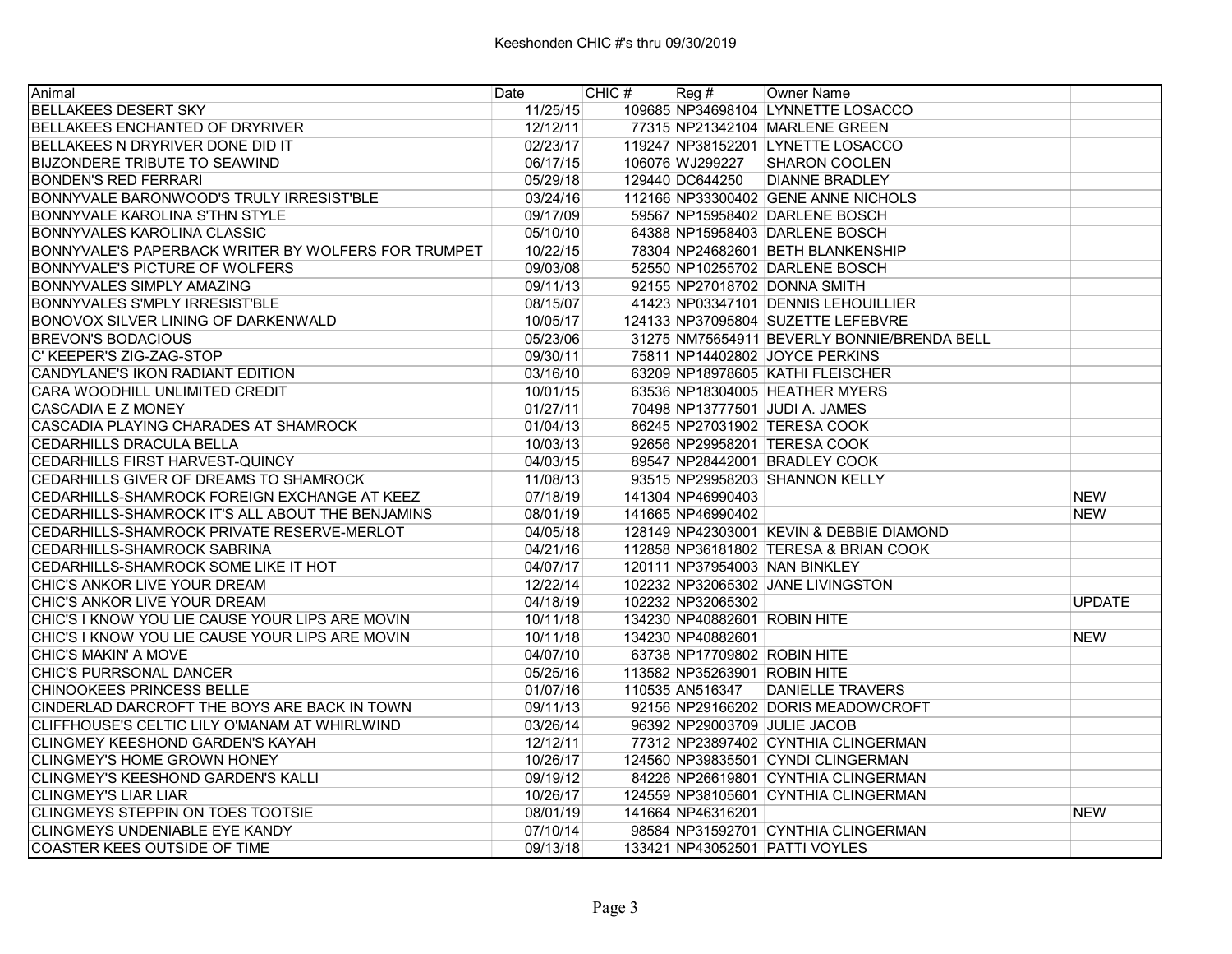| Animal                                              | Date     | CHIC# | $\text{Reg }#$               | Owner Name                                  |               |
|-----------------------------------------------------|----------|-------|------------------------------|---------------------------------------------|---------------|
| <b>BELLAKEES DESERT SKY</b>                         | 11/25/15 |       |                              | 109685 NP34698104 LYNNETTE LOSACCO          |               |
| BELLAKEES ENCHANTED OF DRYRIVER                     | 12/12/11 |       |                              | 77315 NP21342104 MARLENE GREEN              |               |
| BELLAKEES N DRYRIVER DONE DID IT                    | 02/23/17 |       |                              | 119247 NP38152201 LYNETTE LOSACCO           |               |
| <b>BIJZONDERE TRIBUTE TO SEAWIND</b>                | 06/17/15 |       |                              | 106076 WJ299227 SHARON COOLEN               |               |
| <b>BONDEN'S RED FERRARI</b>                         | 05/29/18 |       |                              | 129440 DC644250 DIANNE BRADLEY              |               |
| BONNYVALE BARONWOOD'S TRULY IRRESIST'BLE            | 03/24/16 |       |                              | 112166 NP33300402 GENE ANNE NICHOLS         |               |
| <b>BONNYVALE KAROLINA S'THN STYLE</b>               | 09/17/09 |       |                              | 59567 NP15958402 DARLENE BOSCH              |               |
| IBONNYVALES KAROLINA CLASSIC                        | 05/10/10 |       |                              | 64388 NP15958403 DARLENE BOSCH              |               |
| BONNYVALE'S PAPERBACK WRITER BY WOLFERS FOR TRUMPET | 10/22/15 |       |                              | 78304 NP24682601 BETH BLANKENSHIP           |               |
| <b>BONNYVALE'S PICTURE OF WOLFERS</b>               | 09/03/08 |       |                              | 52550 NP10255702 DARLENE BOSCH              |               |
| <b>BONNYVALES SIMPLY AMAZING</b>                    | 09/11/13 |       |                              | 92155 NP27018702 DONNA SMITH                |               |
| BONNYVALES S'MPLY IRRESIST'BLE                      | 08/15/07 |       |                              | 41423 NP03347101 DENNIS LEHOUILLIER         |               |
| BONOVOX SILVER LINING OF DARKENWALD                 | 10/05/17 |       |                              | 124133 NP37095804 SUZETTE LEFEBVRE          |               |
| <b>BREVON'S BODACIOUS</b>                           | 05/23/06 |       |                              | 31275 NM75654911 BEVERLY BONNIE/BRENDA BELL |               |
| C' KEEPER'S ZIG-ZAG-STOP                            | 09/30/11 |       |                              | 75811 NP14402802 JOYCE PERKINS              |               |
| CANDYLANE'S IKON RADIANT EDITION                    | 03/16/10 |       |                              | 63209 NP18978605 KATHI FLEISCHER            |               |
| CARA WOODHILL UNLIMITED CREDIT                      | 10/01/15 |       |                              | 63536 NP18304005 HEATHER MYERS              |               |
| CASCADIA E Z MONEY                                  | 01/27/11 |       |                              | 70498 NP13777501 JUDI A. JAMES              |               |
| CASCADIA PLAYING CHARADES AT SHAMROCK               | 01/04/13 |       |                              | 86245 NP27031902 TERESA COOK                |               |
| <b>CEDARHILLS DRACULA BELLA</b>                     | 10/03/13 |       |                              | 92656 NP29958201 TERESA COOK                |               |
| CEDARHILLS FIRST HARVEST-QUINCY                     | 04/03/15 |       |                              | 89547 NP28442001 BRADLEY COOK               |               |
| CEDARHILLS GIVER OF DREAMS TO SHAMROCK              | 11/08/13 |       |                              | 93515 NP29958203 SHANNON KELLY              |               |
| CEDARHILLS-SHAMROCK FOREIGN EXCHANGE AT KEEZ        | 07/18/19 |       | 141304 NP46990403            |                                             | <b>NEW</b>    |
| CEDARHILLS-SHAMROCK IT'S ALL ABOUT THE BENJAMINS    | 08/01/19 |       | 141665 NP46990402            |                                             | <b>NEW</b>    |
| CEDARHILLS-SHAMROCK PRIVATE RESERVE-MERLOT          | 04/05/18 |       |                              | 128149 NP42303001 KEVIN & DEBBIE DIAMOND    |               |
| <b>CEDARHILLS-SHAMROCK SABRINA</b>                  | 04/21/16 |       |                              | 112858 NP36181802 TERESA & BRIAN COOK       |               |
| CEDARHILLS-SHAMROCK SOME LIKE IT HOT                | 04/07/17 |       |                              | 120111 NP37954003 NAN BINKLEY               |               |
| CHIC'S ANKOR LIVE YOUR DREAM                        | 12/22/14 |       |                              | 102232 NP32065302 JANE LIVINGSTON           |               |
| CHIC'S ANKOR LIVE YOUR DREAM                        | 04/18/19 |       | 102232 NP32065302            |                                             | <b>UPDATE</b> |
| CHIC'S I KNOW YOU LIE CAUSE YOUR LIPS ARE MOVIN     | 10/11/18 |       | 134230 NP40882601 ROBIN HITE |                                             |               |
| ICHIC'S I KNOW YOU LIE CAUSE YOUR LIPS ARE MOVIN    | 10/11/18 |       | 134230 NP40882601            |                                             | <b>NEW</b>    |
| CHIC'S MAKIN' A MOVE                                | 04/07/10 |       | 63738 NP17709802 ROBIN HITE  |                                             |               |
| CHIC'S PURRSONAL DANCER                             | 05/25/16 |       | 113582 NP35263901 ROBIN HITE |                                             |               |
| CHINOOKEES PRINCESS BELLE                           | 01/07/16 |       |                              | 110535 AN516347 DANIELLE TRAVERS            |               |
| CINDERLAD DARCROFT THE BOYS ARE BACK IN TOWN        | 09/11/13 |       |                              | 92156 NP29166202 DORIS MEADOWCROFT          |               |
| CLIFFHOUSE'S CELTIC LILY O'MANAM AT WHIRLWIND       | 03/26/14 |       |                              | 96392 NP29003709 JULIE JACOB                |               |
| <b>CLINGMEY KEESHOND GARDEN'S KAYAH</b>             | 12/12/11 |       |                              | 77312 NP23897402 CYNTHIA CLINGERMAN         |               |
| ICLINGMEY'S HOME GROWN HONEY                        | 10/26/17 |       |                              | 124560 NP39835501 CYNDI CLINGERMAN          |               |
| CLINGMEY'S KEESHOND GARDEN'S KALLI                  | 09/19/12 |       |                              | 84226 NP26619801 CYNTHIA CLINGERMAN         |               |
| <b>CLINGMEY'S LIAR LIAR</b>                         | 10/26/17 |       |                              | 124559 NP38105601 CYNTHIA CLINGERMAN        |               |
| CLINGMEYS STEPPIN ON TOES TOOTSIE                   | 08/01/19 |       | 141664 NP46316201            |                                             | <b>NEW</b>    |
| CLINGMEYS UNDENIABLE EYE KANDY                      | 07/10/14 |       |                              | 98584 NP31592701 CYNTHIA CLINGERMAN         |               |
| COASTER KEES OUTSIDE OF TIME                        | 09/13/18 |       |                              | 133421 NP43052501 PATTI VOYLES              |               |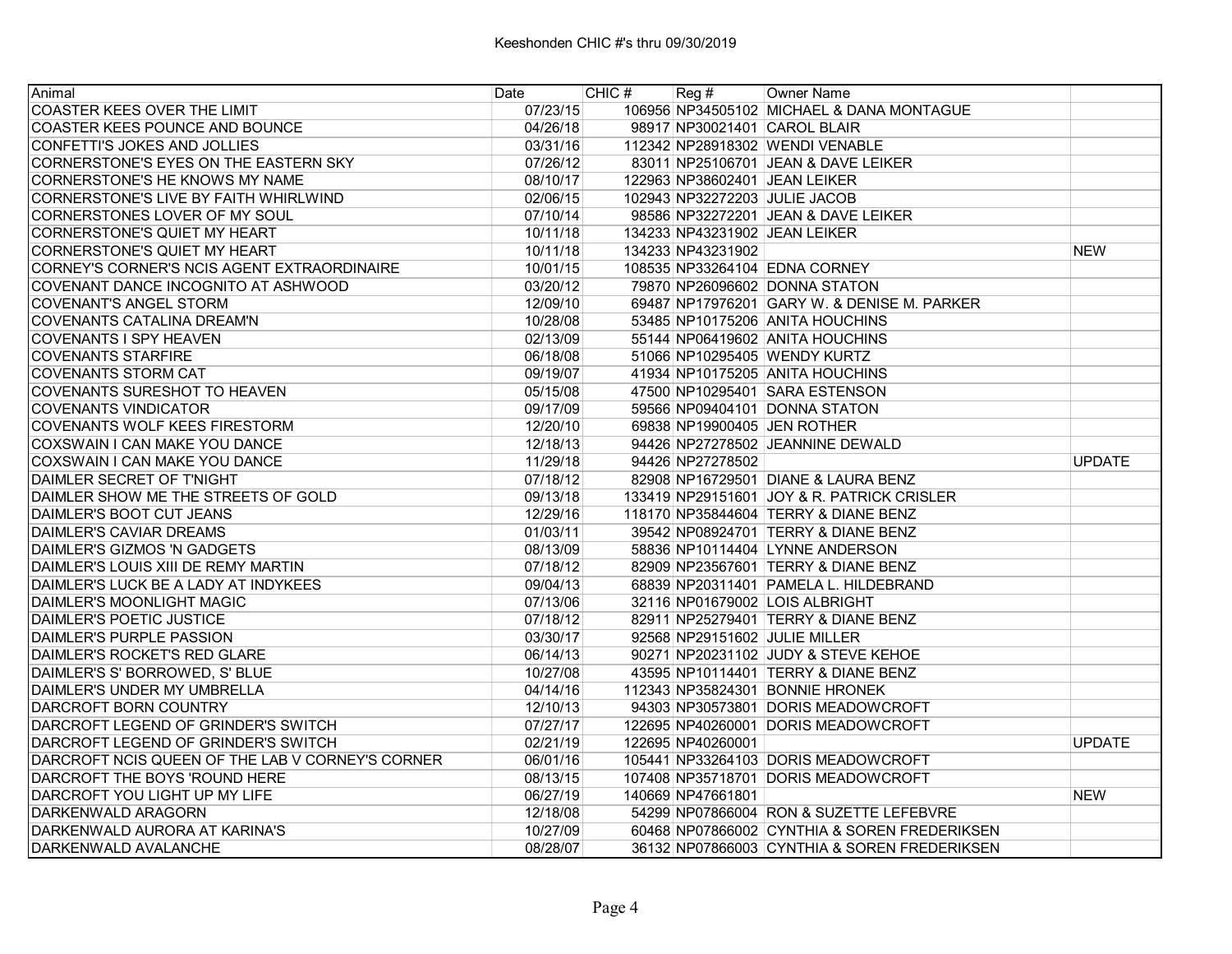| Animal                                           | Date     | CHIC# | Reg#              | Owner Name                                   |               |
|--------------------------------------------------|----------|-------|-------------------|----------------------------------------------|---------------|
| COASTER KEES OVER THE LIMIT                      | 07/23/15 |       |                   | 106956 NP34505102 MICHAEL & DANA MONTAGUE    |               |
| <b>COASTER KEES POUNCE AND BOUNCE</b>            | 04/26/18 |       |                   | 98917 NP30021401 CAROL BLAIR                 |               |
| CONFETTI'S JOKES AND JOLLIES                     | 03/31/16 |       |                   | 112342 NP28918302 WENDI VENABLE              |               |
| CORNERSTONE'S EYES ON THE EASTERN SKY            | 07/26/12 |       |                   | 83011 NP25106701 JEAN & DAVE LEIKER          |               |
| ICORNERSTONE'S HE KNOWS MY NAME                  | 08/10/17 |       |                   | 122963 NP38602401 JEAN LEIKER                |               |
| CORNERSTONE'S LIVE BY FAITH WHIRLWIND            | 02/06/15 |       |                   | 102943 NP32272203 JULIE JACOB                |               |
| CORNERSTONES LOVER OF MY SOUL                    | 07/10/14 |       |                   | 98586 NP32272201 JEAN & DAVE LEIKER          |               |
| CORNERSTONE'S QUIET MY HEART                     | 10/11/18 |       |                   | 134233 NP43231902 JEAN LEIKER                |               |
| CORNERSTONE'S QUIET MY HEART                     | 10/11/18 |       | 134233 NP43231902 |                                              | <b>NEW</b>    |
| CORNEY'S CORNER'S NCIS AGENT EXTRAORDINAIRE      | 10/01/15 |       |                   | 108535 NP33264104 EDNA CORNEY                |               |
| COVENANT DANCE INCOGNITO AT ASHWOOD              | 03/20/12 |       |                   | 79870 NP26096602 DONNA STATON                |               |
| <b>COVENANT'S ANGEL STORM</b>                    | 12/09/10 |       |                   | 69487 NP17976201 GARY W. & DENISE M. PARKER  |               |
| <b>COVENANTS CATALINA DREAM'N</b>                | 10/28/08 |       |                   | 53485 NP10175206 ANITA HOUCHINS              |               |
| <b>COVENANTS I SPY HEAVEN</b>                    | 02/13/09 |       |                   | 55144 NP06419602 ANITA HOUCHINS              |               |
| <b>COVENANTS STARFIRE</b>                        | 06/18/08 |       |                   | 51066 NP10295405 WENDY KURTZ                 |               |
| <b>COVENANTS STORM CAT</b>                       | 09/19/07 |       |                   | 41934 NP10175205 ANITA HOUCHINS              |               |
| ICOVENANTS SURESHOT TO HEAVEN                    | 05/15/08 |       |                   | 47500 NP10295401 SARA ESTENSON               |               |
| COVENANTS VINDICATOR                             | 09/17/09 |       |                   | 59566 NP09404101 DONNA STATON                |               |
| COVENANTS WOLF KEES FIRESTORM                    | 12/20/10 |       |                   | 69838 NP19900405 JEN ROTHER                  |               |
| COXSWAIN I CAN MAKE YOU DANCE                    | 12/18/13 |       |                   | 94426 NP27278502 JEANNINE DEWALD             |               |
| COXSWAIN I CAN MAKE YOU DANCE                    | 11/29/18 |       | 94426 NP27278502  |                                              | <b>UPDATE</b> |
| DAIMLER SECRET OF T'NIGHT                        | 07/18/12 |       |                   | 82908 NP16729501 DIANE & LAURA BENZ          |               |
| DAIMLER SHOW ME THE STREETS OF GOLD              | 09/13/18 |       |                   | 133419 NP29151601 JOY & R. PATRICK CRISLER   |               |
| DAIMLER'S BOOT CUT JEANS                         | 12/29/16 |       |                   | 118170 NP35844604 TERRY & DIANE BENZ         |               |
| DAIMLER'S CAVIAR DREAMS                          | 01/03/11 |       |                   | 39542 NP08924701 TERRY & DIANE BENZ          |               |
| DAIMLER'S GIZMOS 'N GADGETS                      | 08/13/09 |       |                   | 58836 NP10114404 LYNNE ANDERSON              |               |
| DAIMLER'S LOUIS XIII DE REMY MARTIN              | 07/18/12 |       |                   | 82909 NP23567601 TERRY & DIANE BENZ          |               |
| DAIMLER'S LUCK BE A LADY AT INDYKEES             | 09/04/13 |       |                   | 68839 NP20311401 PAMELA L. HILDEBRAND        |               |
| IDAIMLER'S MOONLIGHT MAGIC                       | 07/13/06 |       |                   | 32116 NP01679002 LOIS ALBRIGHT               |               |
| IDAIMLER'S POETIC JUSTICE                        | 07/18/12 |       |                   | 82911 NP25279401 TERRY & DIANE BENZ          |               |
| DAIMLER'S PURPLE PASSION                         | 03/30/17 |       |                   | 92568 NP29151602 JULIE MILLER                |               |
| DAIMLER'S ROCKET'S RED GLARE                     | 06/14/13 |       |                   | 90271 NP20231102 JUDY & STEVE KEHOE          |               |
| DAIMLER'S S' BORROWED, S' BLUE                   | 10/27/08 |       |                   | 43595 NP10114401 TERRY & DIANE BENZ          |               |
| IDAIMLER'S UNDER MY UMBRELLA                     | 04/14/16 |       |                   | 112343 NP35824301 BONNIE HRONEK              |               |
| DARCROFT BORN COUNTRY                            | 12/10/13 |       |                   | 94303 NP30573801 DORIS MEADOWCROFT           |               |
| IDARCROFT LEGEND OF GRINDER'S SWITCH             | 07/27/17 |       |                   | 122695 NP40260001 DORIS MEADOWCROFT          |               |
| DARCROFT LEGEND OF GRINDER'S SWITCH              | 02/21/19 |       | 122695 NP40260001 |                                              | <b>UPDATE</b> |
| DARCROFT NCIS QUEEN OF THE LAB V CORNEY'S CORNER | 06/01/16 |       |                   | 105441 NP33264103 DORIS MEADOWCROFT          |               |
| DARCROFT THE BOYS 'ROUND HERE                    | 08/13/15 |       |                   | 107408 NP35718701 DORIS MEADOWCROFT          |               |
| DARCROFT YOU LIGHT UP MY LIFE                    | 06/27/19 |       | 140669 NP47661801 |                                              | <b>NEW</b>    |
| DARKENWALD ARAGORN                               | 12/18/08 |       |                   | 54299 NP07866004 RON & SUZETTE LEFEBVRE      |               |
| DARKENWALD AURORA AT KARINA'S                    | 10/27/09 |       |                   | 60468 NP07866002 CYNTHIA & SOREN FREDERIKSEN |               |
| DARKENWALD AVALANCHE                             | 08/28/07 |       |                   | 36132 NP07866003 CYNTHIA & SOREN FREDERIKSEN |               |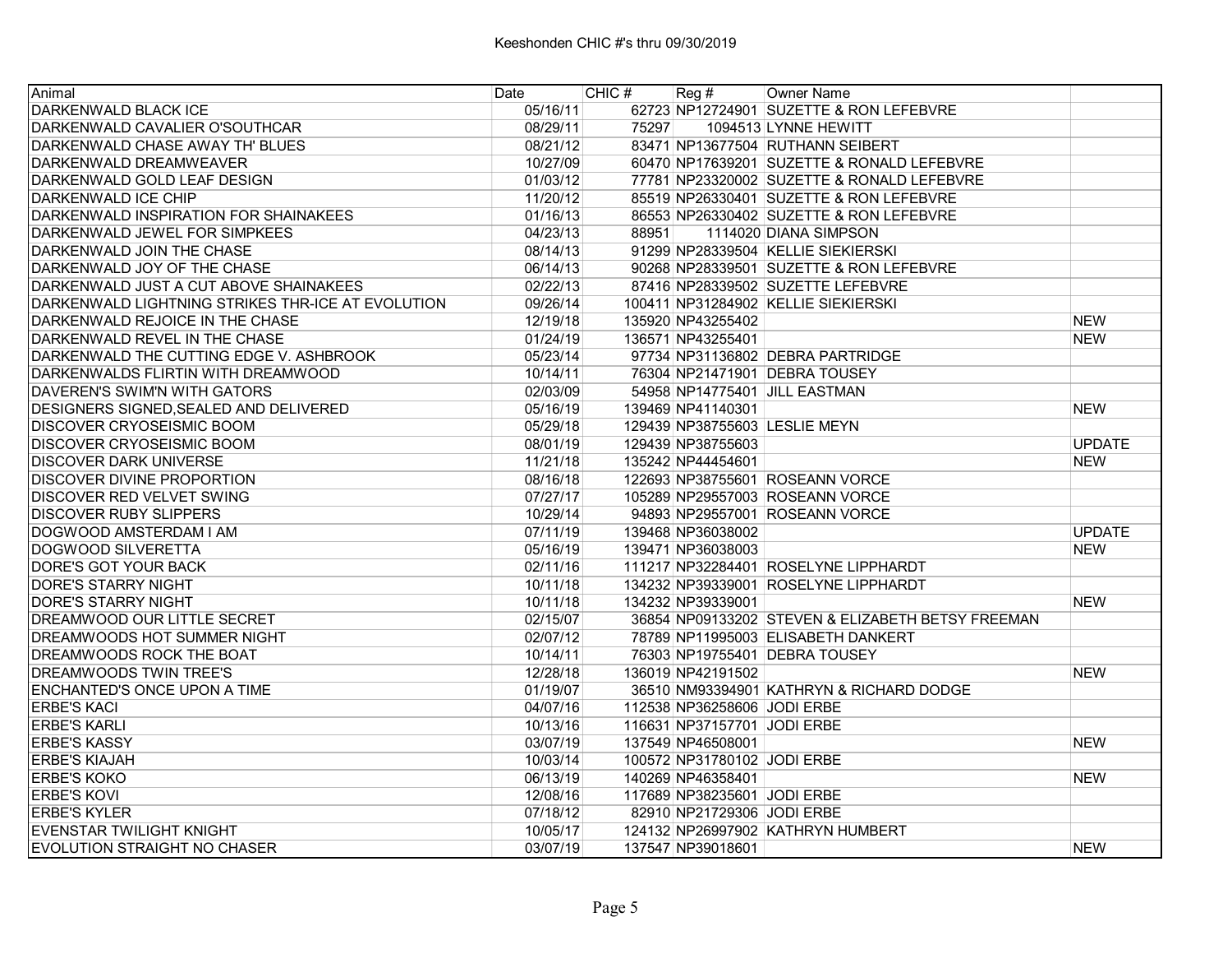| Animal                                            | Date     | CHIC# | $\text{Reg }#$              | Owner Name                                        |               |
|---------------------------------------------------|----------|-------|-----------------------------|---------------------------------------------------|---------------|
| DARKENWALD BLACK ICE                              | 05/16/11 |       |                             | 62723 NP12724901 SUZETTE & RON LEFEBVRE           |               |
| DARKENWALD CAVALIER O'SOUTHCAR                    | 08/29/11 | 75297 |                             | 1094513 LYNNE HEWITT                              |               |
| DARKENWALD CHASE AWAY TH' BLUES                   | 08/21/12 |       |                             | 83471 NP13677504 RUTHANN SEIBERT                  |               |
| DARKENWALD DREAMWEAVER                            | 10/27/09 |       |                             | 60470 NP17639201 SUZETTE & RONALD LEFEBVRE        |               |
| DARKENWALD GOLD LEAF DESIGN                       | 01/03/12 |       |                             | 77781 NP23320002 SUZETTE & RONALD LEFEBVRE        |               |
| DARKENWALD ICE CHIP                               | 11/20/12 |       |                             | 85519 NP26330401 SUZETTE & RON LEFEBVRE           |               |
| DARKENWALD INSPIRATION FOR SHAINAKEES             | 01/16/13 |       |                             | 86553 NP26330402 SUZETTE & RON LEFEBVRE           |               |
| DARKENWALD JEWEL FOR SIMPKEES                     | 04/23/13 | 88951 |                             | 1114020 DIANA SIMPSON                             |               |
| DARKENWALD JOIN THE CHASE                         | 08/14/13 |       |                             | 91299 NP28339504 KELLIE SIEKIERSKI                |               |
| DARKENWALD JOY OF THE CHASE                       | 06/14/13 |       |                             | 90268 NP28339501 SUZETTE & RON LEFEBVRE           |               |
| DARKENWALD JUST A CUT ABOVE SHAINAKEES            | 02/22/13 |       |                             | 87416 NP28339502 SUZETTE LEFEBVRE                 |               |
| DARKENWALD LIGHTNING STRIKES THR-ICE AT EVOLUTION | 09/26/14 |       |                             | 100411 NP31284902 KELLIE SIEKIERSKI               |               |
| DARKENWALD REJOICE IN THE CHASE                   | 12/19/18 |       | 135920 NP43255402           |                                                   | <b>NEW</b>    |
| DARKENWALD REVEL IN THE CHASE                     | 01/24/19 |       | 136571 NP43255401           |                                                   | <b>NEW</b>    |
| DARKENWALD THE CUTTING EDGE V. ASHBROOK           | 05/23/14 |       |                             | 97734 NP31136802 DEBRA PARTRIDGE                  |               |
| DARKENWALDS FLIRTIN WITH DREAMWOOD                | 10/14/11 |       |                             | 76304 NP21471901 DEBRA TOUSEY                     |               |
| DAVEREN'S SWIM'N WITH GATORS                      | 02/03/09 |       |                             | 54958 NP14775401 JILL EASTMAN                     |               |
| DESIGNERS SIGNED, SEALED AND DELIVERED            | 05/16/19 |       | 139469 NP41140301           |                                                   | <b>NEW</b>    |
| <b>DISCOVER CRYOSEISMIC BOOM</b>                  | 05/29/18 |       |                             | 129439 NP38755603 LESLIE MEYN                     |               |
| DISCOVER CRYOSEISMIC BOOM                         | 08/01/19 |       | 129439 NP38755603           |                                                   | <b>UPDATE</b> |
| <b>DISCOVER DARK UNIVERSE</b>                     | 11/21/18 |       | 135242 NP44454601           |                                                   | <b>NEW</b>    |
| DISCOVER DIVINE PROPORTION                        | 08/16/18 |       |                             | 122693 NP38755601 ROSEANN VORCE                   |               |
| DISCOVER RED VELVET SWING                         | 07/27/17 |       |                             | 105289 NP29557003 ROSEANN VORCE                   |               |
| <b>DISCOVER RUBY SLIPPERS</b>                     | 10/29/14 |       |                             | 94893 NP29557001 ROSEANN VORCE                    |               |
| DOGWOOD AMSTERDAM I AM                            | 07/11/19 |       | 139468 NP36038002           |                                                   | <b>UPDATE</b> |
| DOGWOOD SILVERETTA                                | 05/16/19 |       | 139471 NP36038003           |                                                   | <b>NEW</b>    |
| DORE'S GOT YOUR BACK                              | 02/11/16 |       |                             | 111217 NP32284401 ROSELYNE LIPPHARDT              |               |
| <b>DORE'S STARRY NIGHT</b>                        | 10/11/18 |       |                             | 134232 NP39339001 ROSELYNE LIPPHARDT              |               |
| <b>DORE'S STARRY NIGHT</b>                        | 10/11/18 |       | 134232 NP39339001           |                                                   | <b>NEW</b>    |
| DREAMWOOD OUR LITTLE SECRET                       | 02/15/07 |       |                             | 36854 NP09133202 STEVEN & ELIZABETH BETSY FREEMAN |               |
| DREAMWOODS HOT SUMMER NIGHT                       | 02/07/12 |       |                             | 78789 NP11995003 ELISABETH DANKERT                |               |
| DREAMWOODS ROCK THE BOAT                          | 10/14/11 |       |                             | 76303 NP19755401 DEBRA TOUSEY                     |               |
| DREAMWOODS TWIN TREE'S                            | 12/28/18 |       | 136019 NP42191502           |                                                   | <b>NEW</b>    |
| ENCHANTED'S ONCE UPON A TIME                      | 01/19/07 |       |                             | 36510 NM93394901 KATHRYN & RICHARD DODGE          |               |
| <b>ERBE'S KACI</b>                                | 04/07/16 |       | 112538 NP36258606 JODI ERBE |                                                   |               |
| <b>ERBE'S KARLI</b>                               | 10/13/16 |       | 116631 NP37157701 JODI ERBE |                                                   |               |
| <b>ERBE'S KASSY</b>                               | 03/07/19 |       | 137549 NP46508001           |                                                   | <b>NEW</b>    |
| <b>ERBE'S KIAJAH</b>                              | 10/03/14 |       | 100572 NP31780102 JODI ERBE |                                                   |               |
| <b>ERBE'S KOKO</b>                                | 06/13/19 |       | 140269 NP46358401           |                                                   | <b>NEW</b>    |
| <b>ERBE'S KOVI</b>                                | 12/08/16 |       | 117689 NP38235601 JODI ERBE |                                                   |               |
| <b>ERBE'S KYLER</b>                               | 07/18/12 |       | 82910 NP21729306 JODI ERBE  |                                                   |               |
| <b>EVENSTAR TWILIGHT KNIGHT</b>                   | 10/05/17 |       |                             | 124132 NP26997902 KATHRYN HUMBERT                 |               |
| EVOLUTION STRAIGHT NO CHASER                      | 03/07/19 |       | 137547 NP39018601           |                                                   | <b>NEW</b>    |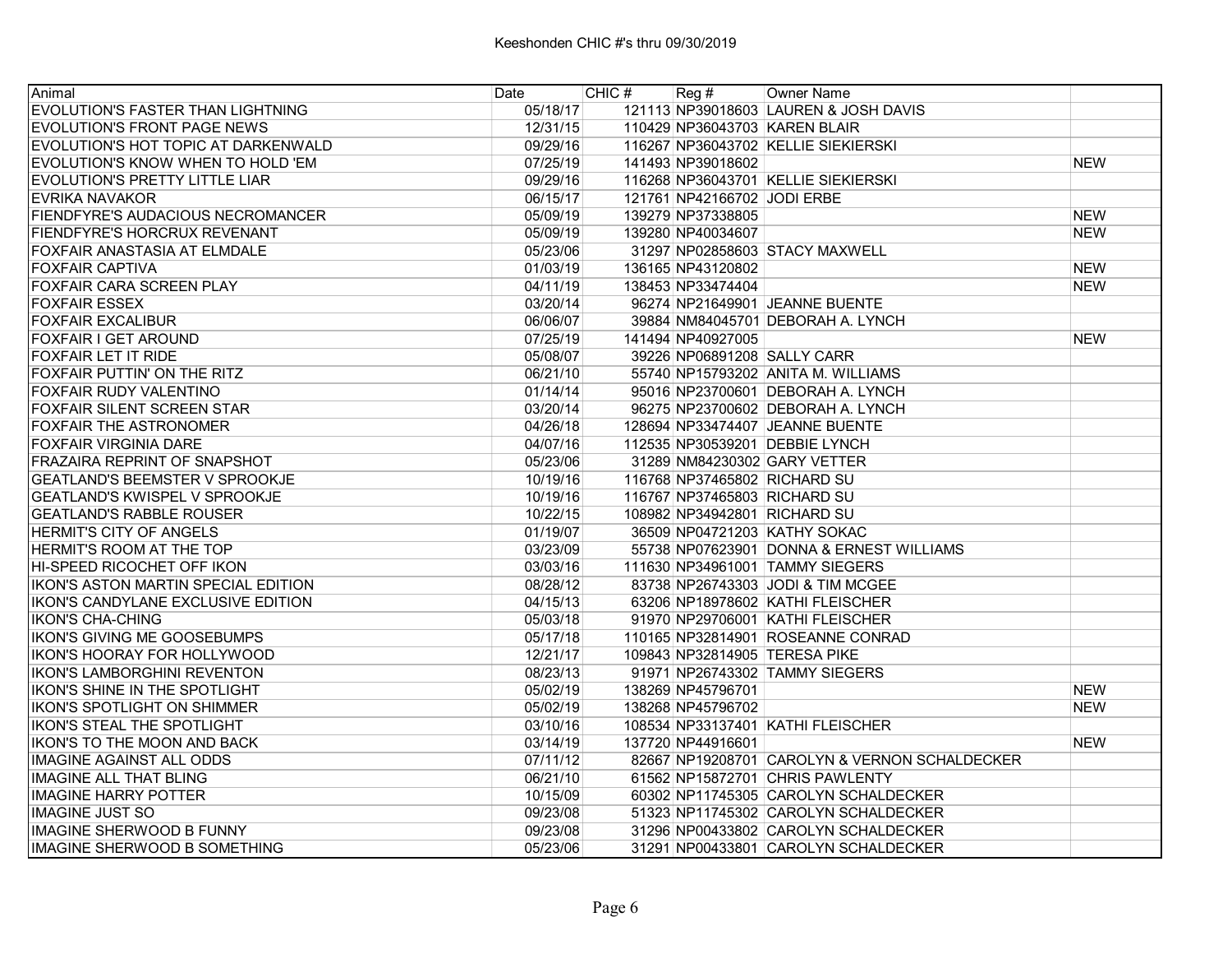| Animal                                | Date     | CHIC $#$ Reg $#$ |                             | Owner Name                                    |            |
|---------------------------------------|----------|------------------|-----------------------------|-----------------------------------------------|------------|
| EVOLUTION'S FASTER THAN LIGHTNING     | 05/18/17 |                  |                             | 121113 NP39018603 LAUREN & JOSH DAVIS         |            |
| EVOLUTION'S FRONT PAGE NEWS           | 12/31/15 |                  |                             | 110429 NP36043703 KAREN BLAIR                 |            |
| EVOLUTION'S HOT TOPIC AT DARKENWALD   | 09/29/16 |                  |                             | 116267 NP36043702 KELLIE SIEKIERSKI           |            |
| EVOLUTION'S KNOW WHEN TO HOLD 'EM     | 07/25/19 |                  | 141493 NP39018602           |                                               | <b>NEW</b> |
| EVOLUTION'S PRETTY LITTLE LIAR        | 09/29/16 |                  |                             | 116268 NP36043701 KELLIE SIEKIERSKI           |            |
| <b>EVRIKA NAVAKOR</b>                 | 06/15/17 |                  | 121761 NP42166702 JODI ERBE |                                               |            |
| FIENDFYRE'S AUDACIOUS NECROMANCER     | 05/09/19 |                  | 139279 NP37338805           |                                               | <b>NEW</b> |
| FIENDFYRE'S HORCRUX REVENANT          | 05/09/19 |                  | 139280 NP40034607           |                                               | <b>NEW</b> |
| FOXFAIR ANASTASIA AT ELMDALE          | 05/23/06 |                  |                             | 31297 NP02858603 STACY MAXWELL                |            |
| <b>FOXFAIR CAPTIVA</b>                | 01/03/19 |                  | 136165 NP43120802           |                                               | <b>NEW</b> |
| FOXFAIR CARA SCREEN PLAY              | 04/11/19 |                  | 138453 NP33474404           |                                               | <b>NEW</b> |
| <b>FOXFAIR ESSEX</b>                  | 03/20/14 |                  |                             | 96274 NP21649901 JEANNE BUENTE                |            |
| <b>FOXFAIR EXCALIBUR</b>              | 06/06/07 |                  |                             | 39884 NM84045701 DEBORAH A. LYNCH             |            |
| <b>FOXFAIR I GET AROUND</b>           | 07/25/19 |                  | 141494 NP40927005           |                                               | <b>NEW</b> |
| FOXFAIR LET IT RIDE                   | 05/08/07 |                  |                             | 39226 NP06891208 SALLY CARR                   |            |
| FOXFAIR PUTTIN' ON THE RITZ           | 06/21/10 |                  |                             | 55740 NP15793202 ANITA M. WILLIAMS            |            |
| FOXFAIR RUDY VALENTINO                | 01/14/14 |                  |                             | 95016 NP23700601 DEBORAH A. LYNCH             |            |
| <b>FOXFAIR SILENT SCREEN STAR</b>     | 03/20/14 |                  |                             | 96275 NP23700602 DEBORAH A. LYNCH             |            |
| <b>FOXFAIR THE ASTRONOMER</b>         | 04/26/18 |                  |                             | 128694 NP33474407 JEANNE BUENTE               |            |
| <b>FOXFAIR VIRGINIA DARE</b>          | 04/07/16 |                  |                             | 112535 NP30539201 DEBBIE LYNCH                |            |
| FRAZAIRA REPRINT OF SNAPSHOT          | 05/23/06 |                  |                             | 31289 NM84230302 GARY VETTER                  |            |
| <b>GEATLAND'S BEEMSTER V SPROOKJE</b> | 10/19/16 |                  |                             | 116768 NP37465802 RICHARD SU                  |            |
| <b>GEATLAND'S KWISPEL V SPROOKJE</b>  | 10/19/16 |                  |                             | 116767 NP37465803 RICHARD SU                  |            |
| <b>GEATLAND'S RABBLE ROUSER</b>       | 10/22/15 |                  |                             | 108982 NP34942801 RICHARD SU                  |            |
| HERMIT'S CITY OF ANGELS               | 01/19/07 |                  |                             | 36509 NP04721203 KATHY SOKAC                  |            |
| HERMIT'S ROOM AT THE TOP              | 03/23/09 |                  |                             | 55738 NP07623901 DONNA & ERNEST WILLIAMS      |            |
| HI-SPEED RICOCHET OFF IKON            | 03/03/16 |                  |                             | 111630 NP34961001 TAMMY SIEGERS               |            |
| IKON'S ASTON MARTIN SPECIAL EDITION   | 08/28/12 |                  |                             | 83738 NP26743303 JODI & TIM MCGEE             |            |
| IKON'S CANDYLANE EXCLUSIVE EDITION    | 04/15/13 |                  |                             | 63206 NP18978602 KATHI FLEISCHER              |            |
| <b>IKON'S CHA-CHING</b>               | 05/03/18 |                  |                             | 91970 NP29706001 KATHI FLEISCHER              |            |
| <b>IKON'S GIVING ME GOOSEBUMPS</b>    | 05/17/18 |                  |                             | 110165 NP32814901 ROSEANNE CONRAD             |            |
| <b>IKON'S HOORAY FOR HOLLYWOOD</b>    | 12/21/17 |                  |                             | 109843 NP32814905 TERESA PIKE                 |            |
| IKON'S LAMBORGHINI REVENTON           | 08/23/13 |                  |                             | 91971 NP26743302 TAMMY SIEGERS                |            |
| IKON'S SHINE IN THE SPOTLIGHT         | 05/02/19 |                  | 138269 NP45796701           |                                               | <b>NEW</b> |
| <b>IKON'S SPOTLIGHT ON SHIMMER</b>    | 05/02/19 |                  | 138268 NP45796702           |                                               | <b>NEW</b> |
| <b>IKON'S STEAL THE SPOTLIGHT</b>     | 03/10/16 |                  |                             | 108534 NP33137401 KATHI FLEISCHER             |            |
| <b>IKON'S TO THE MOON AND BACK</b>    | 03/14/19 |                  | 137720 NP44916601           |                                               | <b>NEW</b> |
| IMAGINE AGAINST ALL ODDS              | 07/11/12 |                  |                             | 82667 NP19208701 CAROLYN & VERNON SCHALDECKER |            |
| <b>IMAGINE ALL THAT BLING</b>         | 06/21/10 |                  |                             | 61562 NP15872701 CHRIS PAWLENTY               |            |
| <b>IMAGINE HARRY POTTER</b>           | 10/15/09 |                  |                             | 60302 NP11745305 CAROLYN SCHALDECKER          |            |
| <b>IMAGINE JUST SO</b>                | 09/23/08 |                  |                             | 51323 NP11745302 CAROLYN SCHALDECKER          |            |
| <b>IMAGINE SHERWOOD B FUNNY</b>       | 09/23/08 |                  |                             | 31296 NP00433802 CAROLYN SCHALDECKER          |            |
| IMAGINE SHERWOOD B SOMETHING          | 05/23/06 |                  |                             | 31291 NP00433801 CAROLYN SCHALDECKER          |            |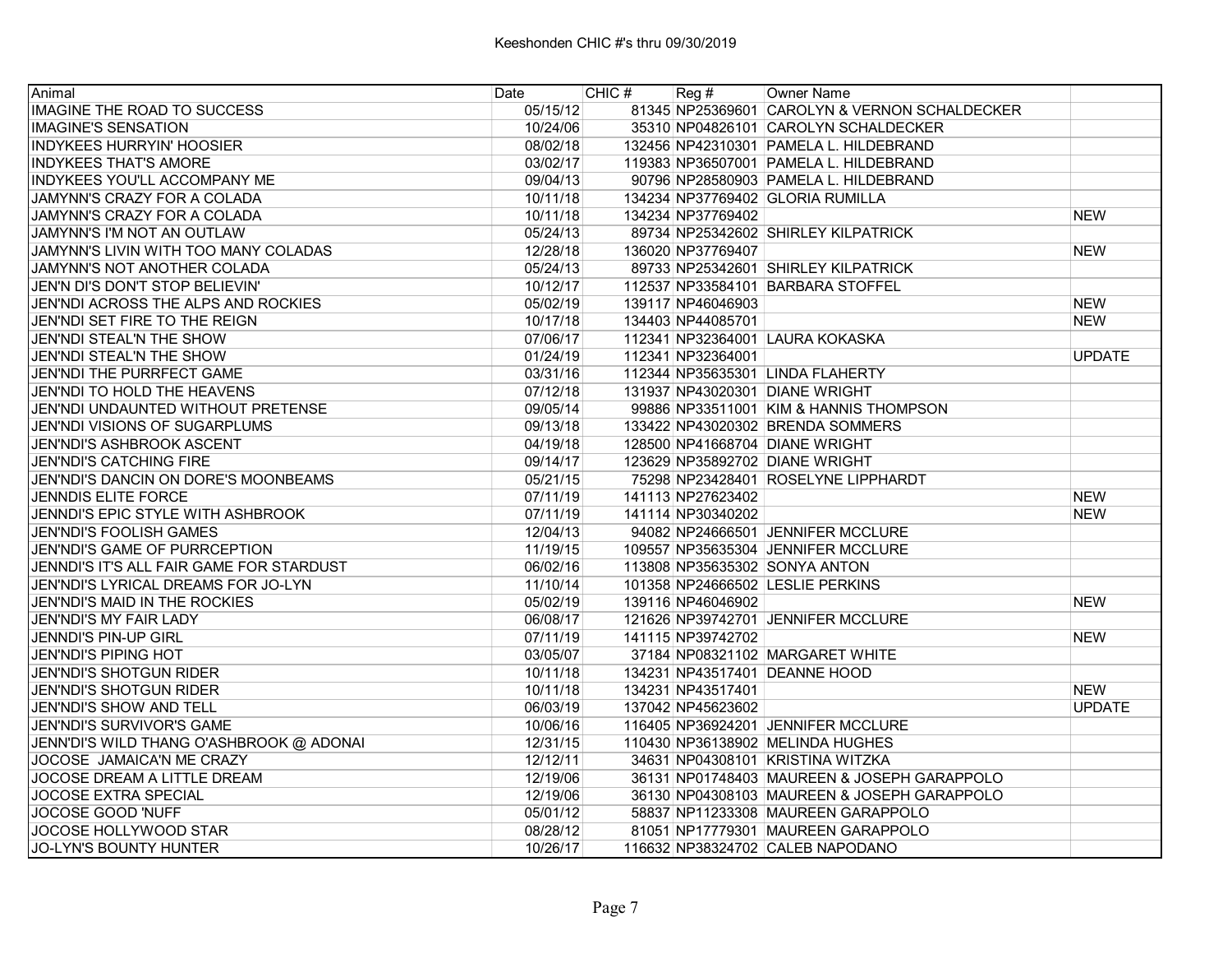| Animal                                   | Date     | CHIC# | $\text{Reg }#$    | Owner Name                                    |               |
|------------------------------------------|----------|-------|-------------------|-----------------------------------------------|---------------|
| IMAGINE THE ROAD TO SUCCESS              | 05/15/12 |       |                   | 81345 NP25369601 CAROLYN & VERNON SCHALDECKER |               |
| <b>IMAGINE'S SENSATION</b>               | 10/24/06 |       |                   | 35310 NP04826101 CAROLYN SCHALDECKER          |               |
| <b>INDYKEES HURRYIN' HOOSIER</b>         | 08/02/18 |       |                   | 132456 NP42310301 PAMELA L. HILDEBRAND        |               |
| <b>INDYKEES THAT'S AMORE</b>             | 03/02/17 |       |                   | 119383 NP36507001 PAMELA L. HILDEBRAND        |               |
| <b>INDYKEES YOU'LL ACCOMPANY ME</b>      | 09/04/13 |       |                   | 90796 NP28580903 PAMELA L. HILDEBRAND         |               |
| JAMYNN'S CRAZY FOR A COLADA              | 10/11/18 |       |                   | 134234 NP37769402 GLORIA RUMILLA              |               |
| JAMYNN'S CRAZY FOR A COLADA              | 10/11/18 |       | 134234 NP37769402 |                                               | <b>NEW</b>    |
| JAMYNN'S I'M NOT AN OUTLAW               | 05/24/13 |       |                   | 89734 NP25342602 SHIRLEY KILPATRICK           |               |
| JAMYNN'S LIVIN WITH TOO MANY COLADAS     | 12/28/18 |       | 136020 NP37769407 |                                               | <b>NEW</b>    |
| JAMYNN'S NOT ANOTHER COLADA              | 05/24/13 |       |                   | 89733 NP25342601 SHIRLEY KILPATRICK           |               |
| JEN'N DI'S DON'T STOP BELIEVIN'          | 10/12/17 |       |                   | 112537 NP33584101 BARBARA STOFFEL             |               |
| JEN'NDI ACROSS THE ALPS AND ROCKIES      | 05/02/19 |       | 139117 NP46046903 |                                               | <b>NEW</b>    |
| JEN'NDI SET FIRE TO THE REIGN            | 10/17/18 |       | 134403 NP44085701 |                                               | <b>NEW</b>    |
| JEN'NDI STEAL'N THE SHOW                 | 07/06/17 |       |                   | 112341 NP32364001 LAURA KOKASKA               |               |
| JEN'NDI STEAL'N THE SHOW                 | 01/24/19 |       | 112341 NP32364001 |                                               | <b>UPDATE</b> |
| JEN'NDI THE PURRFECT GAME                | 03/31/16 |       |                   | 112344 NP35635301 LINDA FLAHERTY              |               |
| JEN'NDI TO HOLD THE HEAVENS              | 07/12/18 |       |                   | 131937 NP43020301 DIANE WRIGHT                |               |
| JEN'NDI UNDAUNTED WITHOUT PRETENSE       | 09/05/14 |       |                   | 99886 NP33511001 KIM & HANNIS THOMPSON        |               |
| JEN'NDI VISIONS OF SUGARPLUMS            | 09/13/18 |       |                   | 133422 NP43020302 BRENDA SOMMERS              |               |
| <b>JEN'NDI'S ASHBROOK ASCENT</b>         | 04/19/18 |       |                   | 128500 NP41668704 DIANE WRIGHT                |               |
| <b>JEN'NDI'S CATCHING FIRE</b>           | 09/14/17 |       |                   | 123629 NP35892702 DIANE WRIGHT                |               |
| JEN'NDI'S DANCIN ON DORE'S MOONBEAMS     | 05/21/15 |       |                   | 75298 NP23428401 ROSELYNE LIPPHARDT           |               |
| <b>JENNDIS ELITE FORCE</b>               | 07/11/19 |       | 141113 NP27623402 |                                               | <b>NEW</b>    |
| JENNDI'S EPIC STYLE WITH ASHBROOK        | 07/11/19 |       | 141114 NP30340202 |                                               | <b>NEW</b>    |
| JEN'NDI'S FOOLISH GAMES                  | 12/04/13 |       |                   | 94082 NP24666501 JENNIFER MCCLURE             |               |
| JEN'NDI'S GAME OF PURRCEPTION            | 11/19/15 |       |                   | 109557 NP35635304 JENNIFER MCCLURE            |               |
| JENNDI'S IT'S ALL FAIR GAME FOR STARDUST | 06/02/16 |       |                   | 113808 NP35635302 SONYA ANTON                 |               |
| JEN'NDI'S LYRICAL DREAMS FOR JO-LYN      | 11/10/14 |       |                   | 101358 NP24666502 LESLIE PERKINS              |               |
| JEN'NDI'S MAID IN THE ROCKIES            | 05/02/19 |       | 139116 NP46046902 |                                               | <b>NEW</b>    |
| JEN'NDI'S MY FAIR LADY                   | 06/08/17 |       |                   | 121626 NP39742701 JENNIFER MCCLURE            |               |
| JENNDI'S PIN-UP GIRL                     | 07/11/19 |       | 141115 NP39742702 |                                               | <b>NEW</b>    |
| <b>JEN'NDI'S PIPING HOT</b>              | 03/05/07 |       |                   | 37184 NP08321102 MARGARET WHITE               |               |
| JEN'NDI'S SHOTGUN RIDER                  | 10/11/18 |       |                   | 134231 NP43517401 DEANNE HOOD                 |               |
| <b>JEN'NDI'S SHOTGUN RIDER</b>           | 10/11/18 |       | 134231 NP43517401 |                                               | <b>NEW</b>    |
| JEN'NDI'S SHOW AND TELL                  | 06/03/19 |       | 137042 NP45623602 |                                               | <b>UPDATE</b> |
| JEN'NDI'S SURVIVOR'S GAME                | 10/06/16 |       |                   | 116405 NP36924201 JENNIFER MCCLURE            |               |
| JENN'DI'S WILD THANG O'ASHBROOK @ ADONAI | 12/31/15 |       |                   | 110430 NP36138902 MELINDA HUGHES              |               |
| JOCOSE JAMAICA'N ME CRAZY                | 12/12/11 |       |                   | 34631 NP04308101 KRISTINA WITZKA              |               |
| JOCOSE DREAM A LITTLE DREAM              | 12/19/06 |       |                   | 36131 NP01748403 MAUREEN & JOSEPH GARAPPOLO   |               |
| <b>JOCOSE EXTRA SPECIAL</b>              | 12/19/06 |       |                   | 36130 NP04308103 MAUREEN & JOSEPH GARAPPOLO   |               |
| JOCOSE GOOD 'NUFF                        | 05/01/12 |       |                   | 58837 NP11233308 MAUREEN GARAPPOLO            |               |
| JOCOSE HOLLYWOOD STAR                    | 08/28/12 |       |                   | 81051 NP17779301 MAUREEN GARAPPOLO            |               |
| JO-LYN'S BOUNTY HUNTER                   | 10/26/17 |       |                   | 116632 NP38324702 CALEB NAPODANO              |               |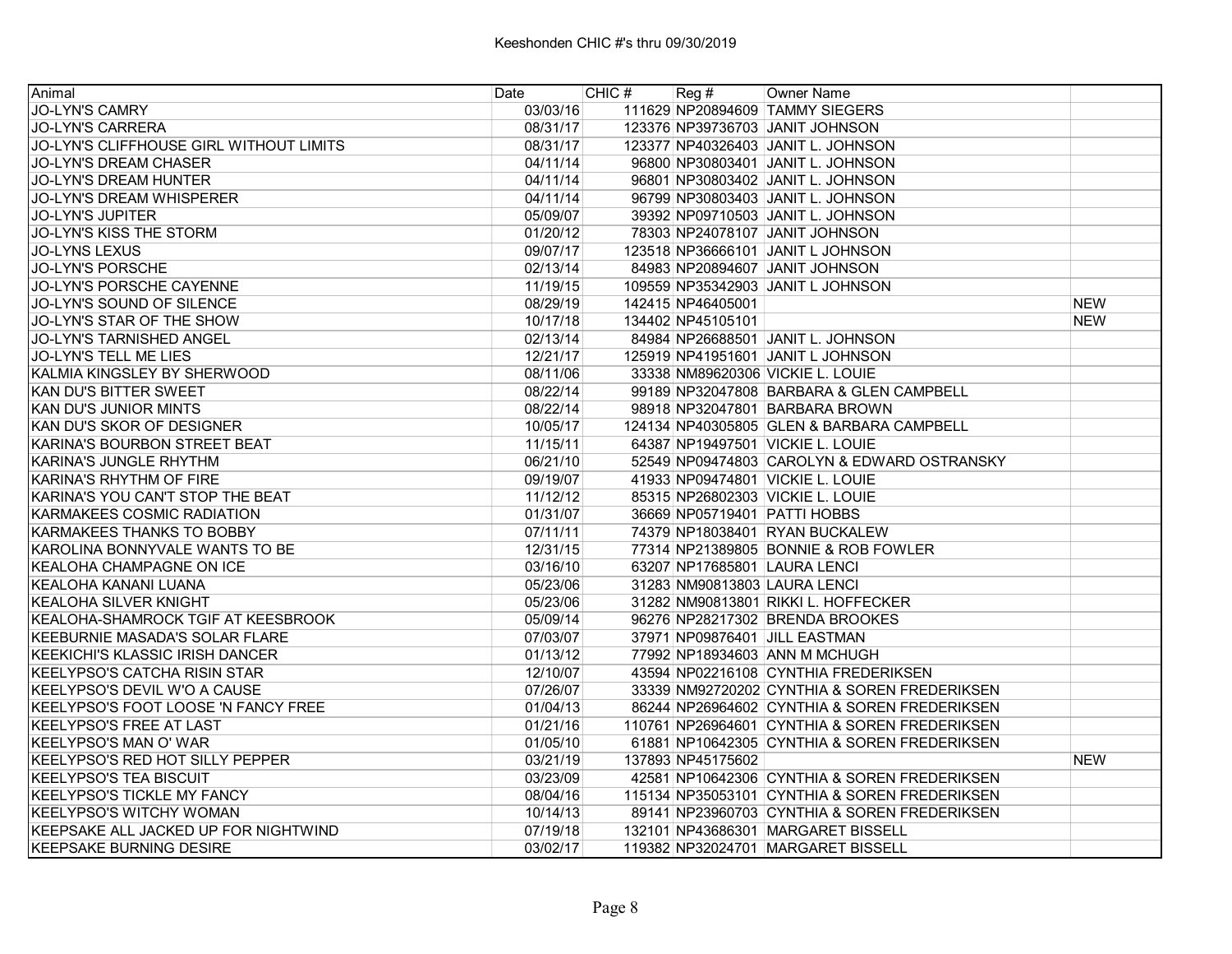| Animal                                     | Date     | CHIC # | Reg #             | <b>Owner Name</b>                             |            |
|--------------------------------------------|----------|--------|-------------------|-----------------------------------------------|------------|
| <b>JO-LYN'S CAMRY</b>                      | 03/03/16 |        |                   | 111629 NP20894609 TAMMY SIEGERS               |            |
| <b>JO-LYN'S CARRERA</b>                    | 08/31/17 |        |                   | 123376 NP39736703 JANIT JOHNSON               |            |
| JO-LYN'S CLIFFHOUSE GIRL WITHOUT LIMITS    | 08/31/17 |        |                   | 123377 NP40326403 JANIT L. JOHNSON            |            |
| JO-LYN'S DREAM CHASER                      | 04/11/14 |        |                   | 96800 NP30803401 JANIT L. JOHNSON             |            |
| JO-LYN'S DREAM HUNTER                      | 04/11/14 |        |                   | 96801 NP30803402 JANIT L. JOHNSON             |            |
| JO-LYN'S DREAM WHISPERER                   | 04/11/14 |        |                   | 96799 NP30803403 JANIT L. JOHNSON             |            |
| <b>JO-LYN'S JUPITER</b>                    | 05/09/07 |        |                   | 39392 NP09710503 JANIT L. JOHNSON             |            |
| JO-LYN'S KISS THE STORM                    | 01/20/12 |        |                   | 78303 NP24078107 JANIT JOHNSON                |            |
| <b>JO-LYNS LEXUS</b>                       | 09/07/17 |        |                   | 123518 NP36666101 JANIT L JOHNSON             |            |
| <b>JO-LYN'S PORSCHE</b>                    | 02/13/14 |        |                   | 84983 NP20894607 JANIT JOHNSON                |            |
| JO-LYN'S PORSCHE CAYENNE                   | 11/19/15 |        |                   | 109559 NP35342903 JANIT L JOHNSON             |            |
| JO-LYN'S SOUND OF SILENCE                  | 08/29/19 |        | 142415 NP46405001 |                                               | <b>NEW</b> |
| JO-LYN'S STAR OF THE SHOW                  | 10/17/18 |        | 134402 NP45105101 |                                               | <b>NEW</b> |
| <b>JO-LYN'S TARNISHED ANGEL</b>            | 02/13/14 |        |                   | 84984 NP26688501 JANIT L. JOHNSON             |            |
| JO-LYN'S TELL ME LIES                      | 12/21/17 |        |                   | 125919 NP41951601 JANIT L JOHNSON             |            |
| KALMIA KINGSLEY BY SHERWOOD                | 08/11/06 |        |                   | 33338 NM89620306 VICKIE L. LOUIE              |            |
| KAN DU'S BITTER SWEET                      | 08/22/14 |        |                   | 99189 NP32047808 BARBARA & GLEN CAMPBELL      |            |
| KAN DU'S JUNIOR MINTS                      | 08/22/14 |        |                   | 98918 NP32047801 BARBARA BROWN                |            |
| KAN DU'S SKOR OF DESIGNER                  | 10/05/17 |        |                   | 124134 NP40305805 GLEN & BARBARA CAMPBELL     |            |
| KARINA'S BOURBON STREET BEAT               | 11/15/11 |        |                   | 64387 NP19497501 VICKIE L. LOUIE              |            |
| KARINA'S JUNGLE RHYTHM                     | 06/21/10 |        |                   | 52549 NP09474803 CAROLYN & EDWARD OSTRANSKY   |            |
| KARINA'S RHYTHM OF FIRE                    | 09/19/07 |        |                   | 41933 NP09474801 VICKIE L. LOUIE              |            |
| KARINA'S YOU CAN'T STOP THE BEAT           | 11/12/12 |        |                   | 85315 NP26802303 VICKIE L. LOUIE              |            |
| KARMAKEES COSMIC RADIATION                 | 01/31/07 |        |                   | 36669 NP05719401 PATTI HOBBS                  |            |
| KARMAKEES THANKS TO BOBBY                  | 07/11/11 |        |                   | 74379 NP18038401 RYAN BUCKALEW                |            |
| KAROLINA BONNYVALE WANTS TO BE             | 12/31/15 |        |                   | 77314 NP21389805 BONNIE & ROB FOWLER          |            |
| KEALOHA CHAMPAGNE ON ICE                   | 03/16/10 |        |                   | 63207 NP17685801 LAURA LENCI                  |            |
| KEALOHA KANANI LUANA                       | 05/23/06 |        |                   | 31283 NM90813803 LAURA LENCI                  |            |
| KEALOHA SILVER KNIGHT                      | 05/23/06 |        |                   | 31282 NM90813801 RIKKI L. HOFFECKER           |            |
| KEALOHA-SHAMROCK TGIF AT KEESBROOK         | 05/09/14 |        |                   | 96276 NP28217302 BRENDA BROOKES               |            |
| KEEBURNIE MASADA'S SOLAR FLARE             | 07/03/07 |        |                   | 37971 NP09876401 JILL EASTMAN                 |            |
| KEEKICHI'S KLASSIC IRISH DANCER            | 01/13/12 |        |                   | 77992 NP18934603 ANN M MCHUGH                 |            |
| KEELYPSO'S CATCHA RISIN STAR               | 12/10/07 |        |                   | 43594 NP02216108 CYNTHIA FREDERIKSEN          |            |
| KEELYPSO'S DEVIL W'O A CAUSE               | 07/26/07 |        |                   | 33339 NM92720202 CYNTHIA & SOREN FREDERIKSEN  |            |
| <b>KEELYPSO'S FOOT LOOSE 'N FANCY FREE</b> | 01/04/13 |        |                   | 86244 NP26964602 CYNTHIA & SOREN FREDERIKSEN  |            |
| <b>KEELYPSO'S FREE AT LAST</b>             | 01/21/16 |        |                   | 110761 NP26964601 CYNTHIA & SOREN FREDERIKSEN |            |
| <b>KEELYPSO'S MAN O' WAR</b>               | 01/05/10 |        |                   | 61881 NP10642305 CYNTHIA & SOREN FREDERIKSEN  |            |
| <b>KEELYPSO'S RED HOT SILLY PEPPER</b>     | 03/21/19 |        | 137893 NP45175602 |                                               | <b>NEW</b> |
| <b>KEELYPSO'S TEA BISCUIT</b>              | 03/23/09 |        |                   | 42581 NP10642306 CYNTHIA & SOREN FREDERIKSEN  |            |
| KEELYPSO'S TICKLE MY FANCY                 | 08/04/16 |        |                   | 115134 NP35053101 CYNTHIA & SOREN FREDERIKSEN |            |
| KEELYPSO'S WITCHY WOMAN                    | 10/14/13 |        |                   | 89141 NP23960703 CYNTHIA & SOREN FREDERIKSEN  |            |
| KEEPSAKE ALL JACKED UP FOR NIGHTWIND       | 07/19/18 |        |                   | 132101 NP43686301 MARGARET BISSELL            |            |
| <b>KEEPSAKE BURNING DESIRE</b>             | 03/02/17 |        |                   | 119382 NP32024701 MARGARET BISSELL            |            |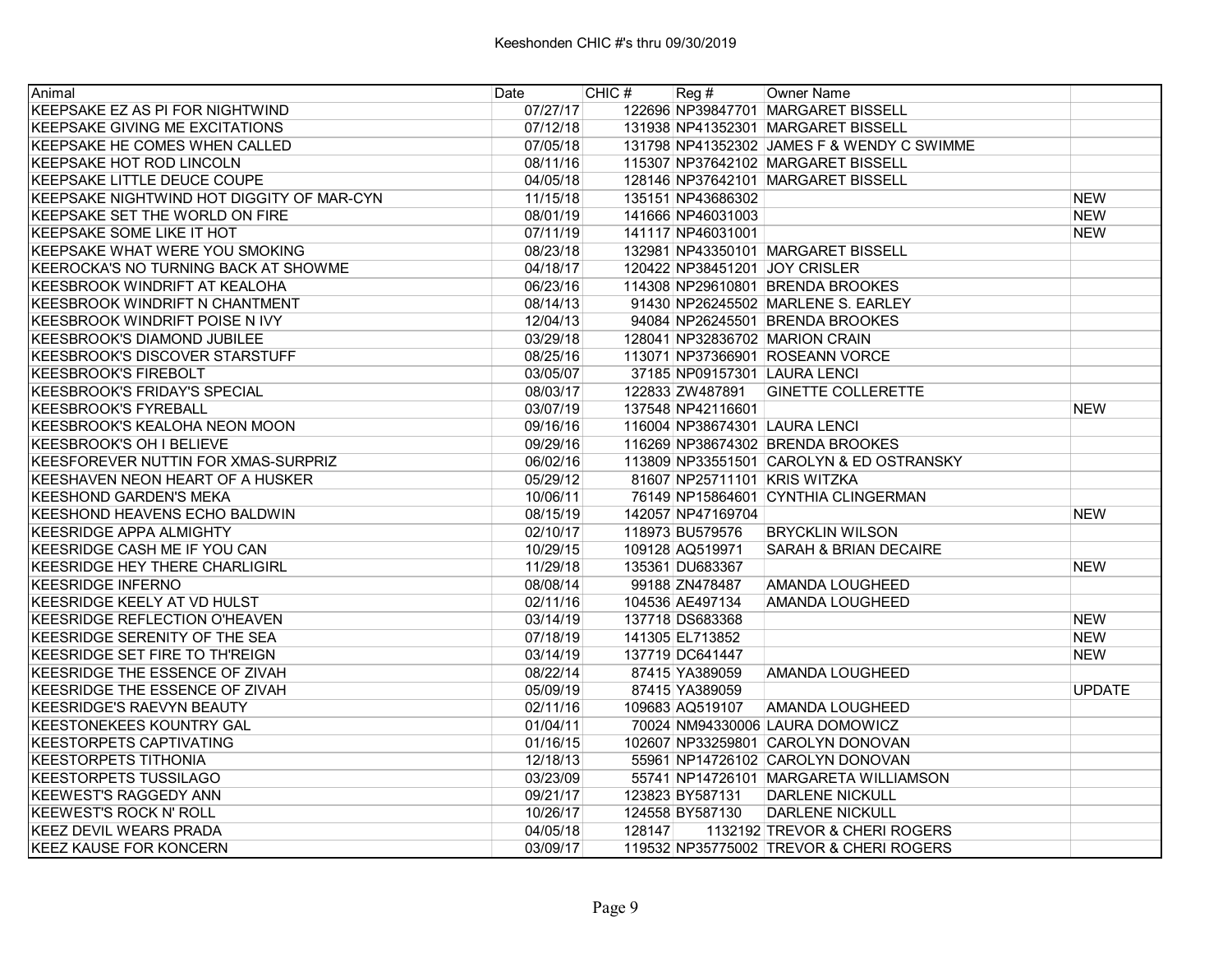| Animal                                    | Date     | CHIC # | Reg#              | Owner Name                                 |               |
|-------------------------------------------|----------|--------|-------------------|--------------------------------------------|---------------|
| KEEPSAKE EZ AS PI FOR NIGHTWIND           | 07/27/17 |        |                   | 122696 NP39847701 MARGARET BISSELL         |               |
| KEEPSAKE GIVING ME EXCITATIONS            | 07/12/18 |        |                   | 131938 NP41352301 MARGARET BISSELL         |               |
| KEEPSAKE HE COMES WHEN CALLED             | 07/05/18 |        |                   | 131798 NP41352302 JAMES F & WENDY C SWIMME |               |
| <b>KEEPSAKE HOT ROD LINCOLN</b>           | 08/11/16 |        |                   | 115307 NP37642102 MARGARET BISSELL         |               |
| KEEPSAKE LITTLE DEUCE COUPE               | 04/05/18 |        |                   | 128146 NP37642101 MARGARET BISSELL         |               |
| KEEPSAKE NIGHTWIND HOT DIGGITY OF MAR-CYN | 11/15/18 |        | 135151 NP43686302 |                                            | <b>NEW</b>    |
| KEEPSAKE SET THE WORLD ON FIRE            | 08/01/19 |        | 141666 NP46031003 |                                            | <b>NEW</b>    |
| KEEPSAKE SOME LIKE IT HOT                 | 07/11/19 |        | 141117 NP46031001 |                                            | <b>NEW</b>    |
| KEEPSAKE WHAT WERE YOU SMOKING            | 08/23/18 |        |                   | 132981 NP43350101 MARGARET BISSELL         |               |
| KEEROCKA'S NO TURNING BACK AT SHOWME      | 04/18/17 |        |                   | 120422 NP38451201 JOY CRISLER              |               |
| <b>KEESBROOK WINDRIFT AT KEALOHA</b>      | 06/23/16 |        |                   | 114308 NP29610801 BRENDA BROOKES           |               |
| <b>KEESBROOK WINDRIFT N CHANTMENT</b>     | 08/14/13 |        |                   | 91430 NP26245502 MARLENE S. EARLEY         |               |
| <b>KEESBROOK WINDRIFT POISE N IVY</b>     | 12/04/13 |        |                   | 94084 NP26245501 BRENDA BROOKES            |               |
| <b>KEESBROOK'S DIAMOND JUBILEE</b>        | 03/29/18 |        |                   | 128041 NP32836702 MARION CRAIN             |               |
| <b>KEESBROOK'S DISCOVER STARSTUFF</b>     | 08/25/16 |        |                   | 113071 NP37366901 ROSEANN VORCE            |               |
| <b>KEESBROOK'S FIREBOLT</b>               | 03/05/07 |        |                   | 37185 NP09157301 LAURA LENCI               |               |
| KEESBROOK'S FRIDAY'S SPECIAL              | 08/03/17 |        |                   | 122833 ZW487891 GINETTE COLLERETTE         |               |
| <b>KEESBROOK'S FYREBALL</b>               | 03/07/19 |        | 137548 NP42116601 |                                            | <b>NEW</b>    |
| KEESBROOK'S KEALOHA NEON MOON             | 09/16/16 |        |                   | 116004 NP38674301 LAURA LENCI              |               |
| <b>KEESBROOK'S OH I BELIEVE</b>           | 09/29/16 |        |                   | 116269 NP38674302 BRENDA BROOKES           |               |
| KEESFOREVER NUTTIN FOR XMAS-SURPRIZ       | 06/02/16 |        |                   | 113809 NP33551501 CAROLYN & ED OSTRANSKY   |               |
| KEESHAVEN NEON HEART OF A HUSKER          | 05/29/12 |        |                   | 81607 NP25711101 KRIS WITZKA               |               |
| <b>KEESHOND GARDEN'S MEKA</b>             | 10/06/11 |        |                   | 76149 NP15864601 CYNTHIA CLINGERMAN        |               |
| KEESHOND HEAVENS ECHO BALDWIN             | 08/15/19 |        | 142057 NP47169704 |                                            | <b>NEW</b>    |
| <b>KEESRIDGE APPA ALMIGHTY</b>            | 02/10/17 |        | 118973 BU579576   | <b>BRYCKLIN WILSON</b>                     |               |
| KEESRIDGE CASH ME IF YOU CAN              | 10/29/15 |        | 109128 AQ519971   | <b>SARAH &amp; BRIAN DECAIRE</b>           |               |
| KEESRIDGE HEY THERE CHARLIGIRL            | 11/29/18 |        | 135361 DU683367   |                                            | <b>NEW</b>    |
| <b>KEESRIDGE INFERNO</b>                  | 08/08/14 |        | 99188 ZN478487    | AMANDA LOUGHEED                            |               |
| KEESRIDGE KEELY AT VD HULST               | 02/11/16 |        | 104536 AE497134   | <b>AMANDA LOUGHEED</b>                     |               |
| KEESRIDGE REFLECTION O'HEAVEN             | 03/14/19 |        | 137718 DS683368   |                                            | <b>NEW</b>    |
| KEESRIDGE SERENITY OF THE SEA             | 07/18/19 |        | 141305 EL713852   |                                            | <b>NEW</b>    |
| KEESRIDGE SET FIRE TO TH'REIGN            | 03/14/19 |        | 137719 DC641447   |                                            | <b>NEW</b>    |
| KEESRIDGE THE ESSENCE OF ZIVAH            | 08/22/14 |        | 87415 YA389059    | AMANDA LOUGHEED                            |               |
| KEESRIDGE THE ESSENCE OF ZIVAH            | 05/09/19 |        | 87415 YA389059    |                                            | <b>UPDATE</b> |
| <b>KEESRIDGE'S RAEVYN BEAUTY</b>          | 02/11/16 |        | 109683 AQ519107   | AMANDA LOUGHEED                            |               |
| <b>KEESTONEKEES KOUNTRY GAL</b>           | 01/04/11 |        |                   | 70024 NM94330006 LAURA DOMOWICZ            |               |
| <b>KEESTORPETS CAPTIVATING</b>            | 01/16/15 |        |                   | 102607 NP33259801 CAROLYN DONOVAN          |               |
| <b>KEESTORPETS TITHONIA</b>               | 12/18/13 |        |                   | 55961 NP14726102 CAROLYN DONOVAN           |               |
| KEESTORPETS TUSSILAGO                     | 03/23/09 |        |                   | 55741 NP14726101 MARGARETA WILLIAMSON      |               |
| <b>KEEWEST'S RAGGEDY ANN</b>              | 09/21/17 |        | 123823 BY587131   | <b>DARLENE NICKULL</b>                     |               |
| KEEWEST'S ROCK N' ROLL                    | 10/26/17 |        | 124558 BY587130   | <b>DARLENE NICKULL</b>                     |               |
| <b>KEEZ DEVIL WEARS PRADA</b>             | 04/05/18 | 128147 |                   | 1132192 TREVOR & CHERI ROGERS              |               |
| <b>KEEZ KAUSE FOR KONCERN</b>             | 03/09/17 |        |                   | 119532 NP35775002 TREVOR & CHERI ROGERS    |               |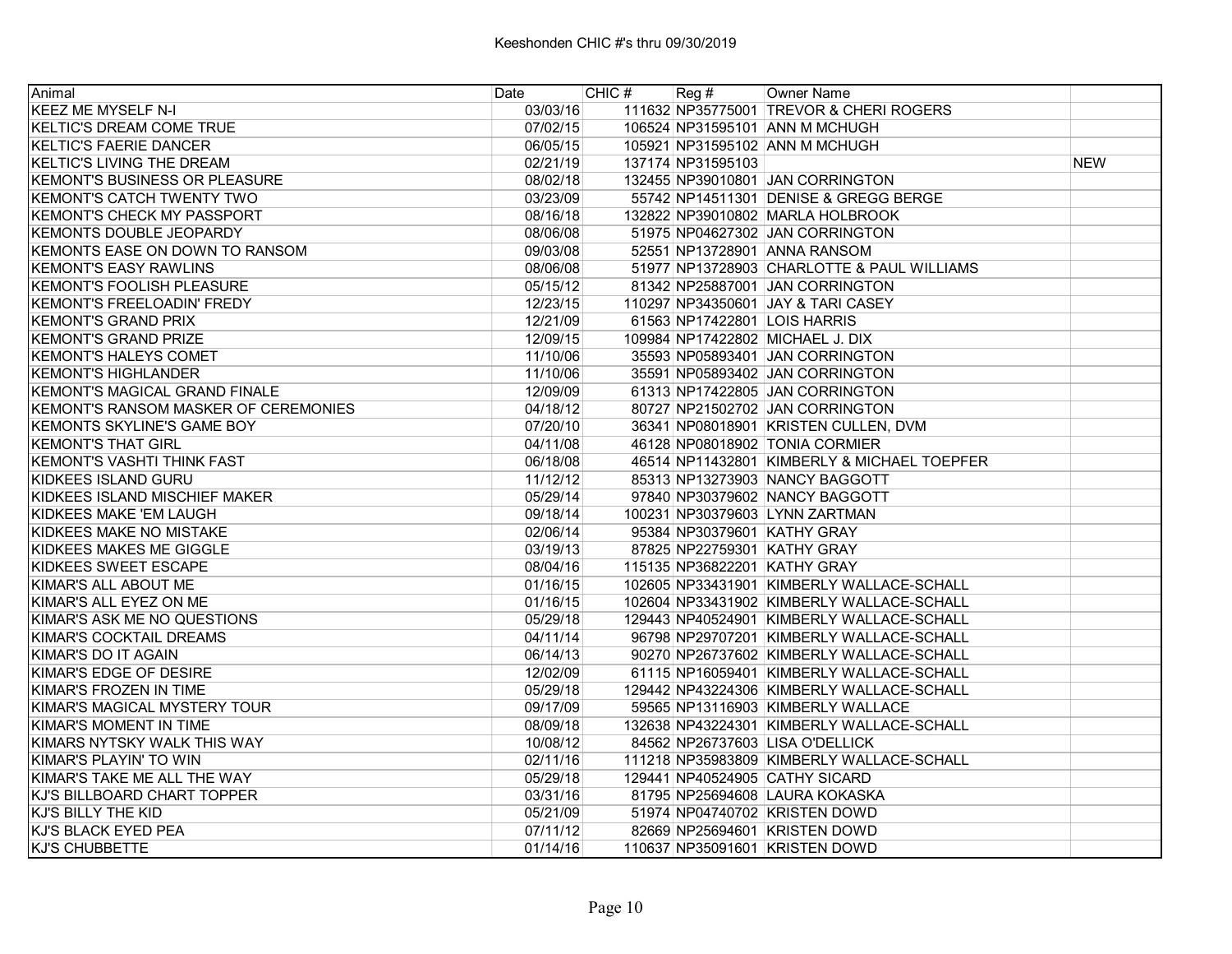| Animal                               | Date     | CHIC $#$ Reg $#$ |                   | Owner Name                                  |            |
|--------------------------------------|----------|------------------|-------------------|---------------------------------------------|------------|
| <b>KEEZ ME MYSELF N-I</b>            | 03/03/16 |                  |                   | 111632 NP35775001 TREVOR & CHERI ROGERS     |            |
| <b>KELTIC'S DREAM COME TRUE</b>      | 07/02/15 |                  |                   | 106524 NP31595101 ANN M MCHUGH              |            |
| <b>KELTIC'S FAERIE DANCER</b>        | 06/05/15 |                  |                   | 105921 NP31595102 ANN M MCHUGH              |            |
| <b>KELTIC'S LIVING THE DREAM</b>     | 02/21/19 |                  | 137174 NP31595103 |                                             | <b>NEW</b> |
| <b>KEMONT'S BUSINESS OR PLEASURE</b> | 08/02/18 |                  |                   | 132455 NP39010801 JAN CORRINGTON            |            |
| <b>KEMONT'S CATCH TWENTY TWO</b>     | 03/23/09 |                  |                   | 55742 NP14511301 DENISE & GREGG BERGE       |            |
| <b>KEMONT'S CHECK MY PASSPORT</b>    | 08/16/18 |                  |                   | 132822 NP39010802 MARLA HOLBROOK            |            |
| KEMONTS DOUBLE JEOPARDY              | 08/06/08 |                  |                   | 51975 NP04627302 JAN CORRINGTON             |            |
| KEMONTS EASE ON DOWN TO RANSOM       | 09/03/08 |                  |                   | 52551 NP13728901 ANNA RANSOM                |            |
| <b>KEMONT'S EASY RAWLINS</b>         | 08/06/08 |                  |                   | 51977 NP13728903 CHARLOTTE & PAUL WILLIAMS  |            |
| KEMONT'S FOOLISH PLEASURE            | 05/15/12 |                  |                   | 81342 NP25887001 JAN CORRINGTON             |            |
| <b>KEMONT'S FREELOADIN' FREDY</b>    | 12/23/15 |                  |                   | 110297 NP34350601 JAY & TARI CASEY          |            |
| <b>KEMONT'S GRAND PRIX</b>           | 12/21/09 |                  |                   | 61563 NP17422801 LOIS HARRIS                |            |
| <b>KEMONT'S GRAND PRIZE</b>          | 12/09/15 |                  |                   | 109984 NP17422802 MICHAEL J. DIX            |            |
| <b>KEMONT'S HALEYS COMET</b>         | 11/10/06 |                  |                   | 35593 NP05893401 JAN CORRINGTON             |            |
| <b>KEMONT'S HIGHLANDER</b>           | 11/10/06 |                  |                   | 35591 NP05893402 JAN CORRINGTON             |            |
| <b>KEMONT'S MAGICAL GRAND FINALE</b> | 12/09/09 |                  |                   | 61313 NP17422805 JAN CORRINGTON             |            |
| KEMONT'S RANSOM MASKER OF CEREMONIES | 04/18/12 |                  |                   | 80727 NP21502702 JAN CORRINGTON             |            |
| <b>KEMONTS SKYLINE'S GAME BOY</b>    | 07/20/10 |                  |                   | 36341 NP08018901 KRISTEN CULLEN, DVM        |            |
| <b>KEMONT'S THAT GIRL</b>            | 04/11/08 |                  |                   | 46128 NP08018902 TONIA CORMIER              |            |
| <b>KEMONT'S VASHTI THINK FAST</b>    | 06/18/08 |                  |                   | 46514 NP11432801 KIMBERLY & MICHAEL TOEPFER |            |
| KIDKEES ISLAND GURU                  | 11/12/12 |                  |                   | 85313 NP13273903 NANCY BAGGOTT              |            |
| KIDKEES ISLAND MISCHIEF MAKER        | 05/29/14 |                  |                   | 97840 NP30379602 NANCY BAGGOTT              |            |
| KIDKEES MAKE 'EM LAUGH               | 09/18/14 |                  |                   | 100231 NP30379603 LYNN ZARTMAN              |            |
| KIDKEES MAKE NO MISTAKE              | 02/06/14 |                  |                   | 95384 NP30379601 KATHY GRAY                 |            |
| KIDKEES MAKES ME GIGGLE              | 03/19/13 |                  |                   | 87825 NP22759301 KATHY GRAY                 |            |
| KIDKEES SWEET ESCAPE                 | 08/04/16 |                  |                   | 115135 NP36822201 KATHY GRAY                |            |
| KIMAR'S ALL ABOUT ME                 | 01/16/15 |                  |                   | 102605 NP33431901 KIMBERLY WALLACE-SCHALL   |            |
| KIMAR'S ALL EYEZ ON ME               | 01/16/15 |                  |                   | 102604 NP33431902 KIMBERLY WALLACE-SCHALL   |            |
| KIMAR'S ASK ME NO QUESTIONS          | 05/29/18 |                  |                   | 129443 NP40524901 KIMBERLY WALLACE-SCHALL   |            |
| KIMAR'S COCKTAIL DREAMS              | 04/11/14 |                  |                   | 96798 NP29707201 KIMBERLY WALLACE-SCHALL    |            |
| KIMAR'S DO IT AGAIN                  | 06/14/13 |                  |                   | 90270 NP26737602 KIMBERLY WALLACE-SCHALL    |            |
| KIMAR'S EDGE OF DESIRE               | 12/02/09 |                  |                   | 61115 NP16059401 KIMBERLY WALLACE-SCHALL    |            |
| IKIMAR'S FROZEN IN TIME              | 05/29/18 |                  |                   | 129442 NP43224306 KIMBERLY WALLACE-SCHALL   |            |
| KIMAR'S MAGICAL MYSTERY TOUR         | 09/17/09 |                  |                   | 59565 NP13116903 KIMBERLY WALLACE           |            |
| KIMAR'S MOMENT IN TIME               | 08/09/18 |                  |                   | 132638 NP43224301 KIMBERLY WALLACE-SCHALL   |            |
| KIMARS NYTSKY WALK THIS WAY          | 10/08/12 |                  |                   | 84562 NP26737603 LISA O'DELLICK             |            |
| KIMAR'S PLAYIN' TO WIN               | 02/11/16 |                  |                   | 111218 NP35983809 KIMBERLY WALLACE-SCHALL   |            |
| KIMAR'S TAKE ME ALL THE WAY          | 05/29/18 |                  |                   | 129441 NP40524905 CATHY SICARD              |            |
| KJ'S BILLBOARD CHART TOPPER          | 03/31/16 |                  |                   | 81795 NP25694608 LAURA KOKASKA              |            |
| KJ'S BILLY THE KID                   | 05/21/09 |                  |                   | 51974 NP04740702 KRISTEN DOWD               |            |
| KJ'S BLACK EYED PEA                  | 07/11/12 |                  |                   | 82669 NP25694601 KRISTEN DOWD               |            |
| <b>KJ'S CHUBBETTE</b>                | 01/14/16 |                  |                   | 110637 NP35091601 KRISTEN DOWD              |            |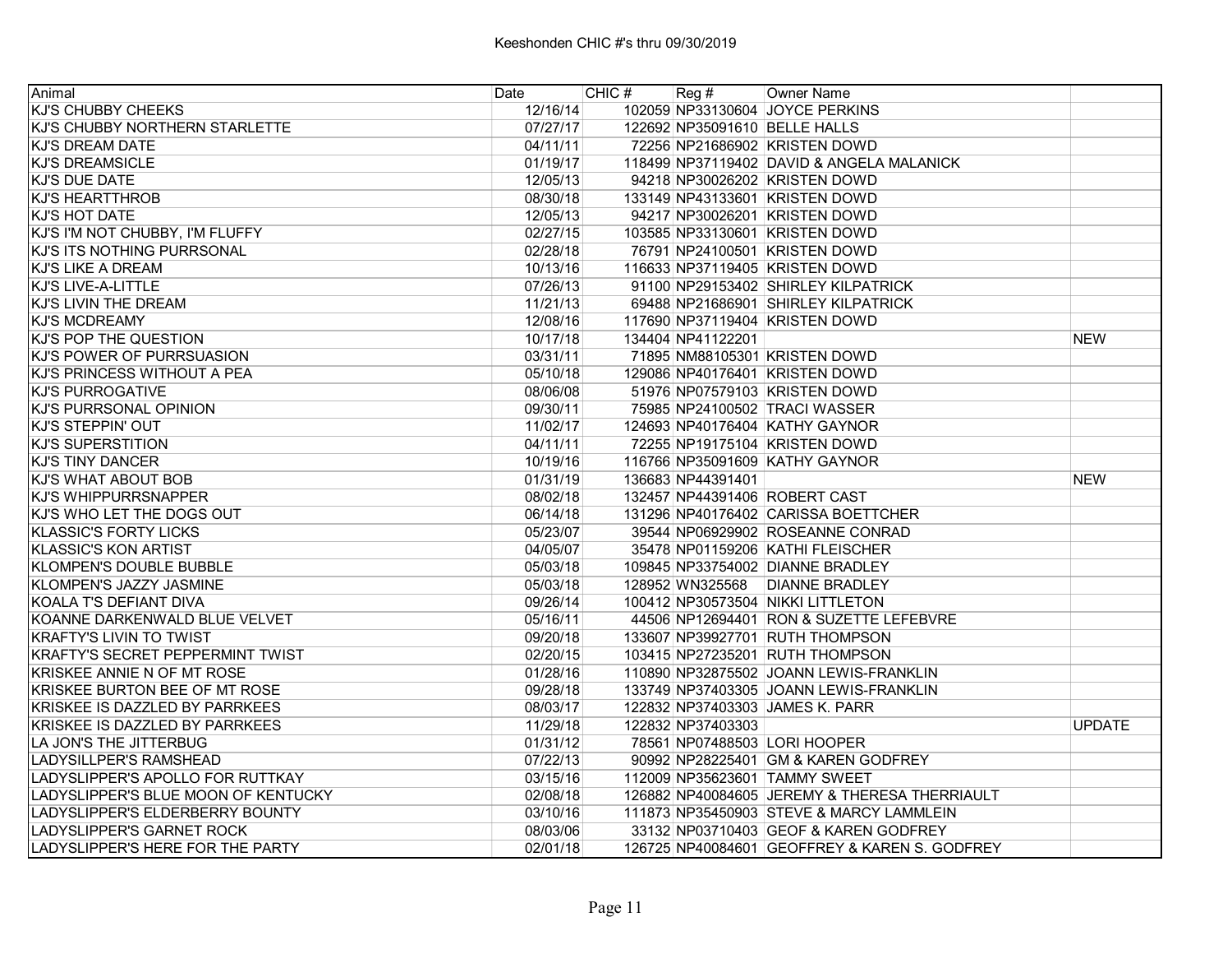| Animal                                  | Date     | CHIC # | $\text{Reg } \#$  | Owner Name                                    |               |
|-----------------------------------------|----------|--------|-------------------|-----------------------------------------------|---------------|
| <b>KJ'S CHUBBY CHEEKS</b>               | 12/16/14 |        |                   | 102059 NP33130604 JOYCE PERKINS               |               |
| KJ'S CHUBBY NORTHERN STARLETTE          | 07/27/17 |        |                   | 122692 NP35091610 BELLE HALLS                 |               |
| KJ'S DREAM DATE                         | 04/11/11 |        |                   | 72256 NP21686902 KRISTEN DOWD                 |               |
| <b>KJ'S DREAMSICLE</b>                  | 01/19/17 |        |                   | 118499 NP37119402 DAVID & ANGELA MALANICK     |               |
| KJ'S DUE DATE                           | 12/05/13 |        |                   | 94218 NP30026202 KRISTEN DOWD                 |               |
| KJ'S HEARTTHROB                         | 08/30/18 |        |                   | 133149 NP43133601 KRISTEN DOWD                |               |
| <b>KJ'S HOT DATE</b>                    | 12/05/13 |        |                   | 94217 NP30026201 KRISTEN DOWD                 |               |
| KJ'S I'M NOT CHUBBY, I'M FLUFFY         | 02/27/15 |        |                   | 103585 NP33130601 KRISTEN DOWD                |               |
| KJ'S ITS NOTHING PURRSONAL              | 02/28/18 |        |                   | 76791 NP24100501 KRISTEN DOWD                 |               |
| <b>KJ'S LIKE A DREAM</b>                | 10/13/16 |        |                   | 116633 NP37119405 KRISTEN DOWD                |               |
| lKJ'S LIVE-A-LITTLE                     | 07/26/13 |        |                   | 91100 NP29153402 SHIRLEY KILPATRICK           |               |
| KJ'S LIVIN THE DREAM                    | 11/21/13 |        |                   | 69488 NP21686901 SHIRLEY KILPATRICK           |               |
| <b>KJ'S MCDREAMY</b>                    | 12/08/16 |        |                   | 117690 NP37119404 KRISTEN DOWD                |               |
| KJ'S POP THE QUESTION                   | 10/17/18 |        | 134404 NP41122201 |                                               | <b>NEW</b>    |
| KJ'S POWER OF PURRSUASION               | 03/31/11 |        |                   | 71895 NM88105301 KRISTEN DOWD                 |               |
| KJ'S PRINCESS WITHOUT A PEA             | 05/10/18 |        |                   | 129086 NP40176401 KRISTEN DOWD                |               |
| <b>KJ'S PURROGATIVE</b>                 | 08/06/08 |        |                   | 51976 NP07579103 KRISTEN DOWD                 |               |
| <b>KJ'S PURRSONAL OPINION</b>           | 09/30/11 |        |                   | 75985 NP24100502 TRACI WASSER                 |               |
| KJ'S STEPPIN' OUT                       | 11/02/17 |        |                   | 124693 NP40176404 KATHY GAYNOR                |               |
| <b>KJ'S SUPERSTITION</b>                | 04/11/11 |        |                   | 72255 NP19175104 KRISTEN DOWD                 |               |
| IKJ'S TINY DANCER                       | 10/19/16 |        |                   | 116766 NP35091609 KATHY GAYNOR                |               |
| <b>KJ'S WHAT ABOUT BOB</b>              | 01/31/19 |        | 136683 NP44391401 |                                               | <b>NEW</b>    |
| <b>KJ'S WHIPPURRSNAPPER</b>             | 08/02/18 |        |                   | 132457 NP44391406 ROBERT CAST                 |               |
| KJ'S WHO LET THE DOGS OUT               | 06/14/18 |        |                   | 131296 NP40176402 CARISSA BOETTCHER           |               |
| <b>KLASSIC'S FORTY LICKS</b>            | 05/23/07 |        |                   | 39544 NP06929902 ROSEANNE CONRAD              |               |
| <b>KLASSIC'S KON ARTIST</b>             | 04/05/07 |        |                   | 35478 NP01159206 KATHI FLEISCHER              |               |
| KLOMPEN'S DOUBLE BUBBLE                 | 05/03/18 |        |                   | 109845 NP33754002 DIANNE BRADLEY              |               |
| KLOMPEN'S JAZZY JASMINE                 | 05/03/18 |        |                   | 128952 WN325568 DIANNE BRADLEY                |               |
| KOALA T'S DEFIANT DIVA                  | 09/26/14 |        |                   | 100412 NP30573504 NIKKI LITTLETON             |               |
| KOANNE DARKENWALD BLUE VELVET           | 05/16/11 |        |                   | 44506 NP12694401 RON & SUZETTE LEFEBVRE       |               |
| <b>KRAFTY'S LIVIN TO TWIST</b>          | 09/20/18 |        |                   | 133607 NP39927701 RUTH THOMPSON               |               |
| <b>KRAFTY'S SECRET PEPPERMINT TWIST</b> | 02/20/15 |        |                   | 103415 NP27235201 RUTH THOMPSON               |               |
| KRISKEE ANNIE N OF MT ROSE              | 01/28/16 |        |                   | 110890 NP32875502 JOANN LEWIS-FRANKLIN        |               |
| KRISKEE BURTON BEE OF MT ROSE           | 09/28/18 |        |                   | 133749 NP37403305 JOANN LEWIS-FRANKLIN        |               |
| KRISKEE IS DAZZLED BY PARRKEES          | 08/03/17 |        |                   | 122832 NP37403303 JAMES K. PARR               |               |
| KRISKEE IS DAZZLED BY PARRKEES          | 11/29/18 |        | 122832 NP37403303 |                                               | <b>UPDATE</b> |
| LA JON'S THE JITTERBUG                  | 01/31/12 |        |                   | 78561 NP07488503 LORI HOOPER                  |               |
| <b>LADYSILLPER'S RAMSHEAD</b>           | 07/22/13 |        |                   | 90992 NP28225401 GM & KAREN GODFREY           |               |
| LADYSLIPPER'S APOLLO FOR RUTTKAY        | 03/15/16 |        |                   | 112009 NP35623601 TAMMY SWEET                 |               |
| LADYSLIPPER'S BLUE MOON OF KENTUCKY     | 02/08/18 |        |                   | 126882 NP40084605 JEREMY & THERESA THERRIAULT |               |
| ILADYSLIPPER'S ELDERBERRY BOUNTY        | 03/10/16 |        |                   | 111873 NP35450903 STEVE & MARCY LAMMLEIN      |               |
| LADYSLIPPER'S GARNET ROCK               | 08/03/06 |        |                   | 33132 NP03710403 GEOF & KAREN GODFREY         |               |
| LADYSLIPPER'S HERE FOR THE PARTY        | 02/01/18 |        |                   | 126725 NP40084601 GEOFFREY & KAREN S. GODFREY |               |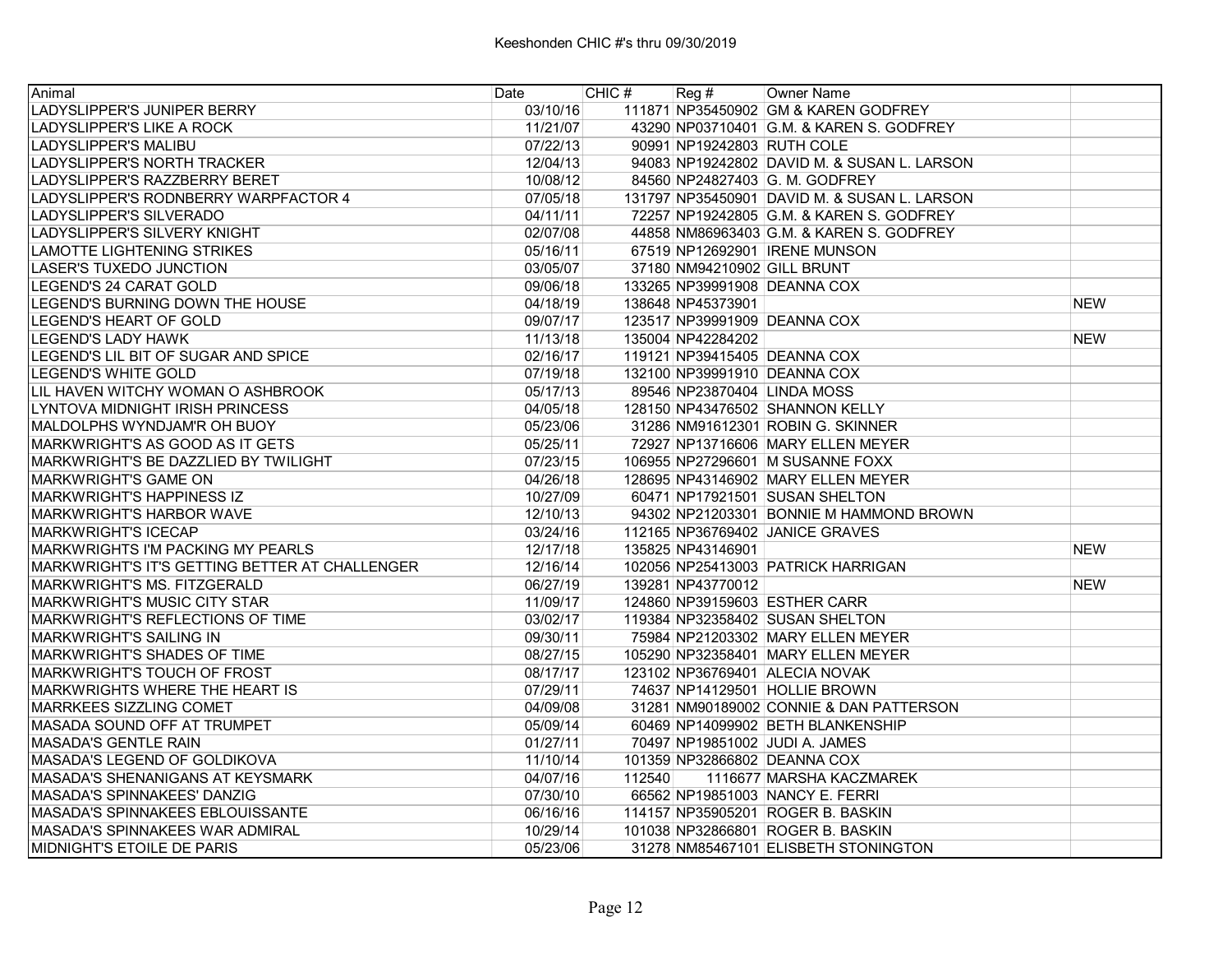| Animal                                         | Date     | CHIC # | $\text{Reg } \#$           | Owner Name                                   |            |
|------------------------------------------------|----------|--------|----------------------------|----------------------------------------------|------------|
| LADYSLIPPER'S JUNIPER BERRY                    | 03/10/16 |        |                            | 111871 NP35450902 GM & KAREN GODFREY         |            |
| LADYSLIPPER'S LIKE A ROCK                      | 11/21/07 |        |                            | 43290 NP03710401 G.M. & KAREN S. GODFREY     |            |
| <b>LADYSLIPPER'S MALIBU</b>                    | 07/22/13 |        | 90991 NP19242803 RUTH COLE |                                              |            |
| LADYSLIPPER'S NORTH TRACKER                    | 12/04/13 |        |                            | 94083 NP19242802 DAVID M. & SUSAN L. LARSON  |            |
| LADYSLIPPER'S RAZZBERRY BERET                  | 10/08/12 |        |                            | 84560 NP24827403 G. M. GODFREY               |            |
| LADYSLIPPER'S RODNBERRY WARPFACTOR 4           | 07/05/18 |        |                            | 131797 NP35450901 DAVID M. & SUSAN L. LARSON |            |
| LADYSLIPPER'S SILVERADO                        | 04/11/11 |        |                            | 72257 NP19242805 G.M. & KAREN S. GODFREY     |            |
| LADYSLIPPER'S SILVERY KNIGHT                   | 02/07/08 |        |                            | 44858 NM86963403 G.M. & KAREN S. GODFREY     |            |
| LAMOTTE LIGHTENING STRIKES                     | 05/16/11 |        |                            | 67519 NP12692901 IRENE MUNSON                |            |
| ILASER'S TUXEDO JUNCTION                       | 03/05/07 |        |                            | 37180 NM94210902 GILL BRUNT                  |            |
| lLEGEND'S 24 CARAT GOLD                        | 09/06/18 |        |                            | 133265 NP39991908 DEANNA COX                 |            |
| LEGEND'S BURNING DOWN THE HOUSE                | 04/18/19 |        | 138648 NP45373901          |                                              | <b>NEW</b> |
| LEGEND'S HEART OF GOLD                         | 09/07/17 |        |                            | 123517 NP39991909 DEANNA COX                 |            |
| <b>LEGEND'S LADY HAWK</b>                      | 11/13/18 |        | 135004 NP42284202          |                                              | <b>NEW</b> |
| LEGEND'S LIL BIT OF SUGAR AND SPICE            | 02/16/17 |        |                            | 119121 NP39415405 DEANNA COX                 |            |
| ILEGEND'S WHITE GOLD                           | 07/19/18 |        |                            | 132100 NP39991910 DEANNA COX                 |            |
| ILIL HAVEN WITCHY WOMAN O ASHBROOK.            | 05/17/13 |        |                            | 89546 NP23870404 LINDA MOSS                  |            |
| ILYNTOVA MIDNIGHT IRISH PRINCESS               | 04/05/18 |        |                            | 128150 NP43476502 SHANNON KELLY              |            |
| IMALDOLPHS WYNDJAM'R OH BUOY                   | 05/23/06 |        |                            | 31286 NM91612301 ROBIN G. SKINNER            |            |
| IMARKWRIGHT'S AS GOOD AS IT GETS               | 05/25/11 |        |                            | 72927 NP13716606 MARY ELLEN MEYER            |            |
| MARKWRIGHT'S BE DAZZLIED BY TWILIGHT           | 07/23/15 |        |                            | 106955 NP27296601 M SUSANNE FOXX             |            |
| <b>MARKWRIGHT'S GAME ON</b>                    | 04/26/18 |        |                            | 128695 NP43146902 MARY ELLEN MEYER           |            |
| <b>MARKWRIGHT'S HAPPINESS IZ</b>               | 10/27/09 |        |                            | 60471 NP17921501 SUSAN SHELTON               |            |
| MARKWRIGHT'S HARBOR WAVE                       | 12/10/13 |        |                            | 94302 NP21203301 BONNIE M HAMMOND BROWN      |            |
| <b>MARKWRIGHT'S ICECAP</b>                     | 03/24/16 |        |                            | 112165 NP36769402 JANICE GRAVES              |            |
| IMARKWRIGHTS I'M PACKING MY PEARLS             | 12/17/18 |        | 135825 NP43146901          |                                              | <b>NEW</b> |
| MARKWRIGHT'S IT'S GETTING BETTER AT CHALLENGER | 12/16/14 |        |                            | 102056 NP25413003 PATRICK HARRIGAN           |            |
| MARKWRIGHT'S MS. FITZGERALD                    | 06/27/19 |        | 139281 NP43770012          |                                              | <b>NEW</b> |
| MARKWRIGHT'S MUSIC CITY STAR                   | 11/09/17 |        |                            | 124860 NP39159603 ESTHER CARR                |            |
| IMARKWRIGHT'S REFLECTIONS OF TIME              | 03/02/17 |        |                            | 119384 NP32358402 SUSAN SHELTON              |            |
| MARKWRIGHT'S SAILING IN                        | 09/30/11 |        |                            | 75984 NP21203302 MARY ELLEN MEYER            |            |
| MARKWRIGHT'S SHADES OF TIME                    | 08/27/15 |        |                            | 105290 NP32358401 MARY ELLEN MEYER           |            |
| MARKWRIGHT'S TOUCH OF FROST                    | 08/17/17 |        |                            | 123102 NP36769401 ALECIA NOVAK               |            |
| MARKWRIGHTS WHERE THE HEART IS                 | 07/29/11 |        |                            | 74637 NP14129501 HOLLIE BROWN                |            |
| IMARRKEES SIZZLING COMET                       | 04/09/08 |        |                            | 31281 NM90189002 CONNIE & DAN PATTERSON      |            |
| IMASADA SOUND OFF AT TRUMPET                   | 05/09/14 |        |                            | 60469 NP14099902 BETH BLANKENSHIP            |            |
| <b>MASADA'S GENTLE RAIN</b>                    | 01/27/11 |        |                            | 70497 NP19851002 JUDI A. JAMES               |            |
| MASADA'S LEGEND OF GOLDIKOVA                   | 11/10/14 |        |                            | 101359 NP32866802 DEANNA COX                 |            |
| IMASADA'S SHENANIGANS AT KEYSMARK              | 04/07/16 | 112540 |                            | 1116677 MARSHA KACZMAREK                     |            |
| İMASADA'S SPINNAKEES' DANZIG                   | 07/30/10 |        |                            | 66562 NP19851003 NANCY E. FERRI              |            |
| MASADA'S SPINNAKEES EBLOUISSANTE               | 06/16/16 |        |                            | 114157 NP35905201 ROGER B. BASKIN            |            |
| MASADA'S SPINNAKEES WAR ADMIRAL                | 10/29/14 |        |                            | 101038 NP32866801 ROGER B. BASKIN            |            |
| MIDNIGHT'S ETOILE DE PARIS                     | 05/23/06 |        |                            | 31278 NM85467101 ELISBETH STONINGTON         |            |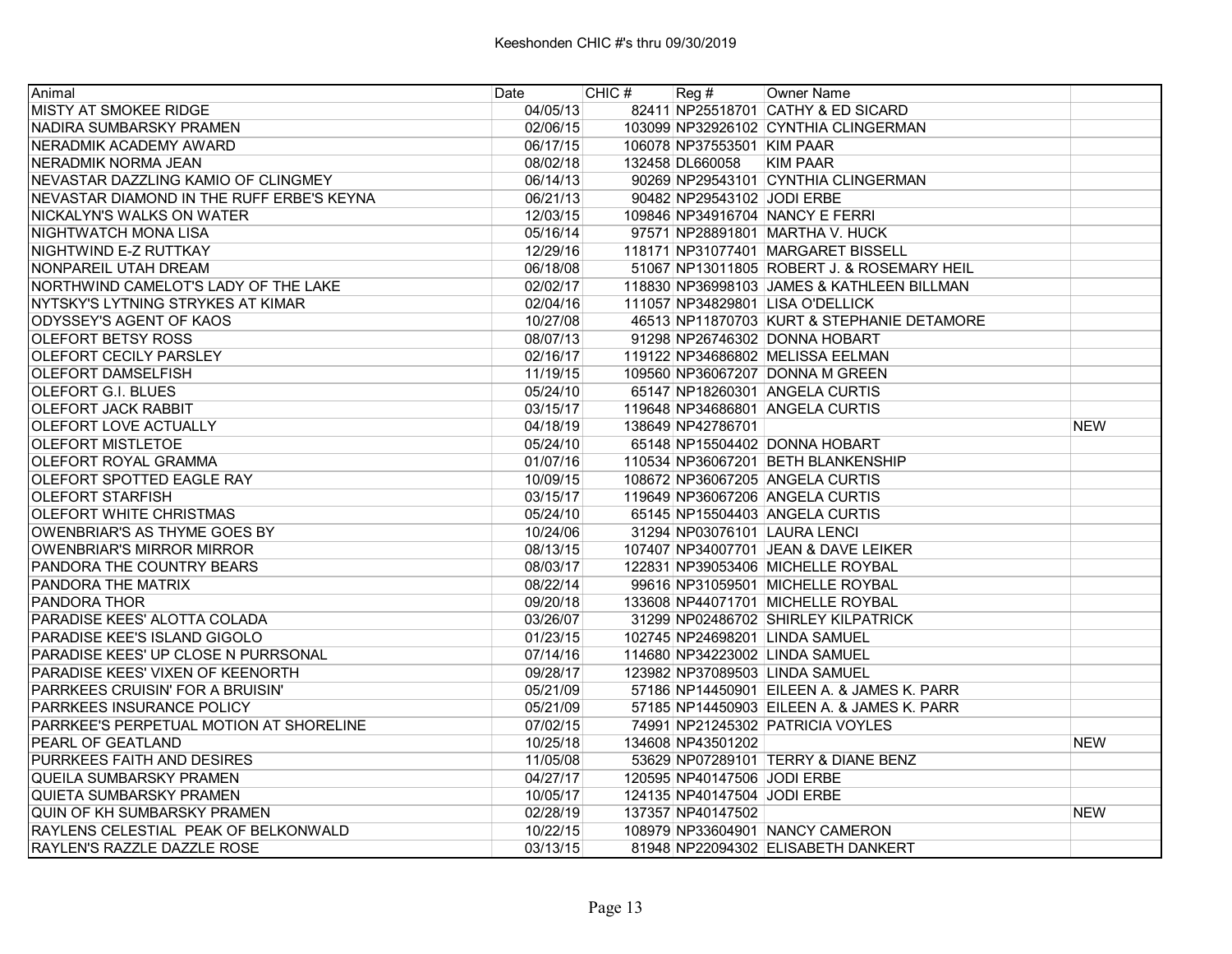| Animal                                    | Date     | CHIC # | Reg#                        | <b>Owner Name</b>                          |            |
|-------------------------------------------|----------|--------|-----------------------------|--------------------------------------------|------------|
| <b>MISTY AT SMOKEE RIDGE</b>              | 04/05/13 |        |                             | 82411 NP25518701 CATHY & ED SICARD         |            |
| NADIRA SUMBARSKY PRAMEN                   | 02/06/15 |        |                             | 103099 NP32926102 CYNTHIA CLINGERMAN       |            |
| NERADMIK ACADEMY AWARD                    | 06/17/15 |        | 106078 NP37553501 KIM PAAR  |                                            |            |
| NERADMIK NORMA JEAN                       | 08/02/18 |        | 132458 DL660058             | <b>KIM PAAR</b>                            |            |
| NEVASTAR DAZZLING KAMIO OF CLINGMEY       | 06/14/13 |        |                             | 90269 NP29543101 CYNTHIA CLINGERMAN        |            |
| NEVASTAR DIAMOND IN THE RUFF ERBE'S KEYNA | 06/21/13 |        | 90482 NP29543102 JODI ERBE  |                                            |            |
| NICKALYN'S WALKS ON WATER                 | 12/03/15 |        |                             | 109846 NP34916704 NANCY E FERRI            |            |
| NIGHTWATCH MONA LISA                      | 05/16/14 |        |                             | 97571 NP28891801 MARTHA V. HUCK            |            |
| NIGHTWIND E-Z RUTTKAY                     | 12/29/16 |        |                             | 118171 NP31077401 MARGARET BISSELL         |            |
| NONPAREIL UTAH DREAM                      | 06/18/08 |        |                             | 51067 NP13011805 ROBERT J. & ROSEMARY HEIL |            |
| NORTHWIND CAMELOT'S LADY OF THE LAKE      | 02/02/17 |        |                             | 118830 NP36998103 JAMES & KATHLEEN BILLMAN |            |
| NYTSKY'S LYTNING STRYKES AT KIMAR         | 02/04/16 |        |                             | 111057 NP34829801 LISA O'DELLICK           |            |
| ODYSSEY'S AGENT OF KAOS                   | 10/27/08 |        |                             | 46513 NP11870703 KURT & STEPHANIE DETAMORE |            |
| <b>OLEFORT BETSY ROSS</b>                 | 08/07/13 |        |                             | 91298 NP26746302 DONNA HOBART              |            |
| <b>OLEFORT CECILY PARSLEY</b>             | 02/16/17 |        |                             | 119122 NP34686802 MELISSA EELMAN           |            |
| <b>OLEFORT DAMSELFISH</b>                 | 11/19/15 |        |                             | 109560 NP36067207 DONNA M GREEN            |            |
| OLEFORT G.I. BLUES                        | 05/24/10 |        |                             | 65147 NP18260301 ANGELA CURTIS             |            |
| <b>OLEFORT JACK RABBIT</b>                | 03/15/17 |        |                             | 119648 NP34686801 ANGELA CURTIS            |            |
| OLEFORT LOVE ACTUALLY                     | 04/18/19 |        | 138649 NP42786701           |                                            | <b>NEW</b> |
| <b>OLEFORT MISTLETOE</b>                  | 05/24/10 |        |                             | 65148 NP15504402 DONNA HOBART              |            |
| <b>OLEFORT ROYAL GRAMMA</b>               | 01/07/16 |        |                             | 110534 NP36067201 BETH BLANKENSHIP         |            |
| IOLEFORT SPOTTED EAGLE RAY                | 10/09/15 |        |                             | 108672 NP36067205 ANGELA CURTIS            |            |
| <b>OLEFORT STARFISH</b>                   | 03/15/17 |        |                             | 119649 NP36067206 ANGELA CURTIS            |            |
| <b>OLEFORT WHITE CHRISTMAS</b>            | 05/24/10 |        |                             | 65145 NP15504403 ANGELA CURTIS             |            |
| OWENBRIAR'S AS THYME GOES BY              | 10/24/06 |        |                             | 31294 NP03076101 LAURA LENCI               |            |
| <b>OWENBRIAR'S MIRROR MIRROR</b>          | 08/13/15 |        |                             | 107407 NP34007701 JEAN & DAVE LEIKER       |            |
| PANDORA THE COUNTRY BEARS                 | 08/03/17 |        |                             | 122831 NP39053406 MICHELLE ROYBAL          |            |
| PANDORA THE MATRIX                        | 08/22/14 |        |                             | 99616 NP31059501 MICHELLE ROYBAL           |            |
| <b>PANDORA THOR</b>                       | 09/20/18 |        |                             | 133608 NP44071701 MICHELLE ROYBAL          |            |
| PARADISE KEES' ALOTTA COLADA              | 03/26/07 |        |                             | 31299 NP02486702 SHIRLEY KILPATRICK        |            |
| PARADISE KEE'S ISLAND GIGOLO              | 01/23/15 |        |                             | 102745 NP24698201 LINDA SAMUEL             |            |
| PARADISE KEES' UP CLOSE N PURRSONAL       | 07/14/16 |        |                             | 114680 NP34223002 LINDA SAMUEL             |            |
| PARADISE KEES' VIXEN OF KEENORTH          | 09/28/17 |        |                             | 123982 NP37089503 LINDA SAMUEL             |            |
| PARRKEES CRUISIN' FOR A BRUISIN'          | 05/21/09 |        |                             | 57186 NP14450901 EILEEN A. & JAMES K. PARR |            |
| PARRKEES INSURANCE POLICY                 | 05/21/09 |        |                             | 57185 NP14450903 EILEEN A. & JAMES K. PARR |            |
| PARRKEE'S PERPETUAL MOTION AT SHORELINE   | 07/02/15 |        |                             | 74991 NP21245302 PATRICIA VOYLES           |            |
| <b>PEARL OF GEATLAND</b>                  | 10/25/18 |        | 134608 NP43501202           |                                            | <b>NEW</b> |
| PURRKEES FAITH AND DESIRES                | 11/05/08 |        |                             | 53629 NP07289101 TERRY & DIANE BENZ        |            |
| QUEILA SUMBARSKY PRAMEN                   | 04/27/17 |        | 120595 NP40147506 JODI ERBE |                                            |            |
| QUIETA SUMBARSKY PRAMEN                   | 10/05/17 |        | 124135 NP40147504 JODI ERBE |                                            |            |
| QUIN OF KH SUMBARSKY PRAMEN               | 02/28/19 |        | 137357 NP40147502           |                                            | <b>NEW</b> |
| RAYLENS CELESTIAL PEAK OF BELKONWALD      | 10/22/15 |        |                             | 108979 NP33604901 NANCY CAMERON            |            |
| <b>RAYLEN'S RAZZLE DAZZLE ROSE</b>        | 03/13/15 |        |                             | 81948 NP22094302 ELISABETH DANKERT         |            |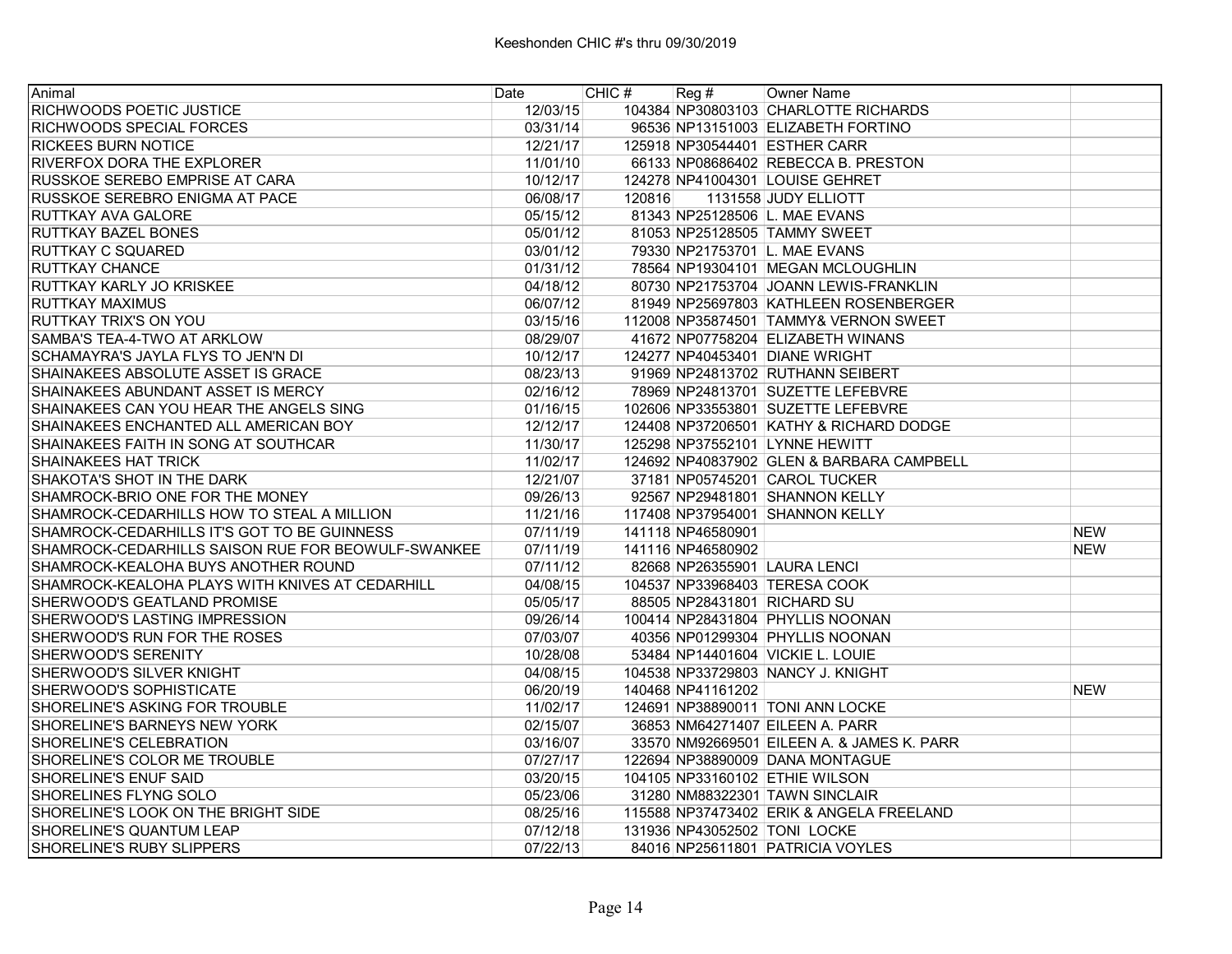| Animal                                             | Date     | CHIC#  | Reg#              | <b>Owner Name</b>                          |            |
|----------------------------------------------------|----------|--------|-------------------|--------------------------------------------|------------|
| <b>RICHWOODS POETIC JUSTICE</b>                    | 12/03/15 |        |                   | 104384 NP30803103 CHARLOTTE RICHARDS       |            |
| IRICHWOODS SPECIAL FORCES                          | 03/31/14 |        |                   | 96536 NP13151003 ELIZABETH FORTINO         |            |
| IRICKEES BURN NOTICE                               | 12/21/17 |        |                   | 125918 NP30544401 ESTHER CARR              |            |
| <b>RIVERFOX DORA THE EXPLORER</b>                  | 11/01/10 |        |                   | 66133 NP08686402 REBECCA B. PRESTON        |            |
| <b>RUSSKOE SEREBO EMPRISE AT CARA</b>              | 10/12/17 |        |                   | 124278 NP41004301 LOUISE GEHRET            |            |
| <b>RUSSKOE SEREBRO ENIGMA AT PACE</b>              | 06/08/17 | 120816 |                   | 1131558 JUDY ELLIOTT                       |            |
| RUTTKAY AVA GALORE                                 | 05/15/12 |        |                   | 81343 NP25128506 L. MAE EVANS              |            |
| RUTTKAY BAZEL BONES                                | 05/01/12 |        |                   | 81053 NP25128505 TAMMY SWEET               |            |
| <b>RUTTKAY C SQUARED</b>                           | 03/01/12 |        |                   | 79330 NP21753701 L. MAE EVANS              |            |
| <b>RUTTKAY CHANCE</b>                              | 01/31/12 |        |                   | 78564 NP19304101 MEGAN MCLOUGHLIN          |            |
| IRUTTKAY KARLY JO KRISKEE                          | 04/18/12 |        |                   | 80730 NP21753704 JOANN LEWIS-FRANKLIN      |            |
| IRUTTKAY MAXIMUS                                   | 06/07/12 |        |                   | 81949 NP25697803 KATHLEEN ROSENBERGER      |            |
| IRUTTKAY TRIX'S ON YOU                             | 03/15/16 |        |                   | 112008 NP35874501 TAMMY& VERNON SWEET      |            |
| SAMBA'S TEA-4-TWO AT ARKLOW                        | 08/29/07 |        |                   | 41672 NP07758204 ELIZABETH WINANS          |            |
| SCHAMAYRA'S JAYLA FLYS TO JEN'N DI                 | 10/12/17 |        |                   | 124277 NP40453401 DIANE WRIGHT             |            |
| SHAINAKEES ABSOLUTE ASSET IS GRACE                 | 08/23/13 |        |                   | 91969 NP24813702 RUTHANN SEIBERT           |            |
| SHAINAKEES ABUNDANT ASSET IS MERCY                 | 02/16/12 |        |                   | 78969 NP24813701 SUZETTE LEFEBVRE          |            |
| SHAINAKEES CAN YOU HEAR THE ANGELS SING            | 01/16/15 |        |                   | 102606 NP33553801 SUZETTE LEFEBVRE         |            |
| SHAINAKEES ENCHANTED ALL AMERICAN BOY              | 12/12/17 |        |                   | 124408 NP37206501 KATHY & RICHARD DODGE    |            |
| SHAINAKEES FAITH IN SONG AT SOUTHCAR               | 11/30/17 |        |                   | 125298 NP37552101 LYNNE HEWITT             |            |
| ISHAINAKEES HAT TRICK                              | 11/02/17 |        |                   | 124692 NP40837902 GLEN & BARBARA CAMPBELL  |            |
| SHAKOTA'S SHOT IN THE DARK                         | 12/21/07 |        |                   | 37181 NP05745201 CAROL TUCKER              |            |
| SHAMROCK-BRIO ONE FOR THE MONEY                    | 09/26/13 |        |                   | 92567 NP29481801 SHANNON KELLY             |            |
| SHAMROCK-CEDARHILLS HOW TO STEAL A MILLION         | 11/21/16 |        |                   | 117408 NP37954001 SHANNON KELLY            |            |
| SHAMROCK-CEDARHILLS IT'S GOT TO BE GUINNESS        | 07/11/19 |        | 141118 NP46580901 |                                            | <b>NEW</b> |
| SHAMROCK-CEDARHILLS SAISON RUE FOR BEOWULF-SWANKEE | 07/11/19 |        | 141116 NP46580902 |                                            | <b>NEW</b> |
| SHAMROCK-KEALOHA BUYS ANOTHER ROUND                | 07/11/12 |        |                   | 82668 NP26355901 LAURA LENCI               |            |
| SHAMROCK-KEALOHA PLAYS WITH KNIVES AT CEDARHILL    | 04/08/15 |        |                   | 104537 NP33968403 TERESA COOK              |            |
| SHERWOOD'S GEATLAND PROMISE                        | 05/05/17 |        |                   | 88505 NP28431801 RICHARD SU                |            |
| SHERWOOD'S LASTING IMPRESSION                      | 09/26/14 |        |                   | 100414 NP28431804 PHYLLIS NOONAN           |            |
| SHERWOOD'S RUN FOR THE ROSES                       | 07/03/07 |        |                   | 40356 NP01299304 PHYLLIS NOONAN            |            |
| SHERWOOD'S SERENITY                                | 10/28/08 |        |                   | 53484 NP14401604 VICKIE L. LOUIE           |            |
| SHERWOOD'S SILVER KNIGHT                           | 04/08/15 |        |                   | 104538 NP33729803 NANCY J. KNIGHT          |            |
| SHERWOOD'S SOPHISTICATE                            | 06/20/19 |        | 140468 NP41161202 |                                            | <b>NEW</b> |
| ISHORELINE'S ASKING FOR TROUBLE.                   | 11/02/17 |        |                   | 124691 NP38890011 TONI ANN LOCKE           |            |
| <b>SHORELINE'S BARNEYS NEW YORK</b>                | 02/15/07 |        |                   | 36853 NM64271407 EILEEN A. PARR            |            |
| ISHORELINE'S CELEBRATION                           | 03/16/07 |        |                   | 33570 NM92669501 EILEEN A. & JAMES K. PARR |            |
| SHORELINE'S COLOR ME TROUBLE                       | 07/27/17 |        |                   | 122694 NP38890009 DANA MONTAGUE            |            |
| SHORELINE'S ENUF SAID                              | 03/20/15 |        |                   | 104105 NP33160102 ETHIE WILSON             |            |
| <b>SHORELINES FLYNG SOLO</b>                       | 05/23/06 |        |                   | 31280 NM88322301 TAWN SINCLAIR             |            |
| SHORELINE'S LOOK ON THE BRIGHT SIDE                | 08/25/16 |        |                   | 115588 NP37473402 ERIK & ANGELA FREELAND   |            |
| <b>SHORELINE'S QUANTUM LEAP</b>                    | 07/12/18 |        |                   | 131936 NP43052502 TONI LOCKE               |            |
| SHORELINE'S RUBY SLIPPERS                          | 07/22/13 |        |                   | 84016 NP25611801 PATRICIA VOYLES           |            |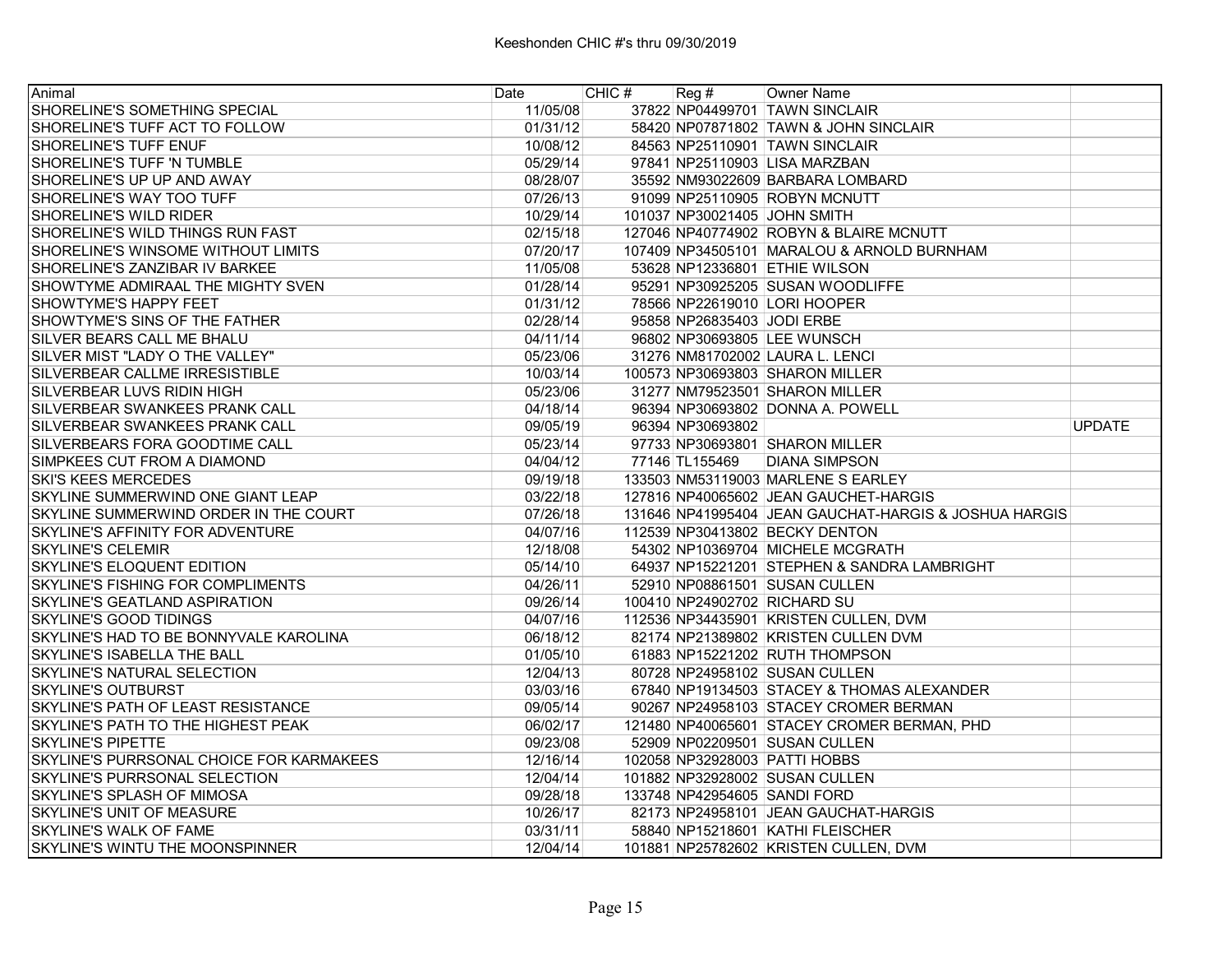| Animal                                   | Date     | CHIC # | Reg#                       | Owner Name                                            |               |
|------------------------------------------|----------|--------|----------------------------|-------------------------------------------------------|---------------|
| SHORELINE'S SOMETHING SPECIAL            | 11/05/08 |        |                            | 37822 NP04499701 TAWN SINCLAIR                        |               |
| SHORELINE'S TUFF ACT TO FOLLOW           | 01/31/12 |        |                            | 58420 NP07871802 TAWN & JOHN SINCLAIR                 |               |
| SHORELINE'S TUFF ENUF                    | 10/08/12 |        |                            | 84563 NP25110901 TAWN SINCLAIR                        |               |
| SHORELINE'S TUFF 'N TUMBLE               | 05/29/14 |        |                            | 97841 NP25110903 LISA MARZBAN                         |               |
| SHORELINE'S UP UP AND AWAY               | 08/28/07 |        |                            | 35592 NM93022609 BARBARA LOMBARD                      |               |
| SHORELINE'S WAY TOO TUFF                 | 07/26/13 |        |                            | 91099 NP25110905 ROBYN MCNUTT                         |               |
| SHORELINE'S WILD RIDER                   | 10/29/14 |        |                            | 101037 NP30021405 JOHN SMITH                          |               |
| SHORELINE'S WILD THINGS RUN FAST         | 02/15/18 |        |                            | 127046 NP40774902 ROBYN & BLAIRE MCNUTT               |               |
| SHORELINE'S WINSOME WITHOUT LIMITS       | 07/20/17 |        |                            | 107409 NP34505101 MARALOU & ARNOLD BURNHAM            |               |
| SHORELINE'S ZANZIBAR IV BARKEE           | 11/05/08 |        |                            | 53628 NP12336801 ETHIE WILSON                         |               |
| SHOWTYME ADMIRAAL THE MIGHTY SVEN        | 01/28/14 |        |                            | 95291 NP30925205 SUSAN WOODLIFFE                      |               |
| SHOWTYME'S HAPPY FEET                    | 01/31/12 |        |                            | 78566 NP22619010 LORI HOOPER                          |               |
| SHOWTYME'S SINS OF THE FATHER            | 02/28/14 |        | 95858 NP26835403 JODI ERBE |                                                       |               |
| SILVER BEARS CALL ME BHALU               | 04/11/14 |        |                            | 96802 NP30693805 LEE WUNSCH                           |               |
| SILVER MIST "LADY O THE VALLEY"          | 05/23/06 |        |                            | 31276 NM81702002 LAURA L. LENCI                       |               |
| SILVERBEAR CALLME IRRESISTIBLE           | 10/03/14 |        |                            | 100573 NP30693803 SHARON MILLER                       |               |
| SILVERBEAR LUVS RIDIN HIGH               | 05/23/06 |        |                            | 31277 NM79523501 SHARON MILLER                        |               |
| SILVERBEAR SWANKEES PRANK CALL           | 04/18/14 |        |                            | 96394 NP30693802 DONNA A. POWELL                      |               |
| SILVERBEAR SWANKEES PRANK CALL           | 09/05/19 |        | 96394 NP30693802           |                                                       | <b>UPDATE</b> |
| SILVERBEARS FORA GOODTIME CALL           | 05/23/14 |        |                            | 97733 NP30693801 SHARON MILLER                        |               |
| SIMPKEES CUT FROM A DIAMOND              | 04/04/12 |        |                            | 77146 TL155469 DIANA SIMPSON                          |               |
| <b>SKI'S KEES MERCEDES</b>               | 09/19/18 |        |                            | 133503 NM53119003 MARLENE S EARLEY                    |               |
| SKYLINE SUMMERWIND ONE GIANT LEAP        | 03/22/18 |        |                            | 127816 NP40065602 JEAN GAUCHET-HARGIS                 |               |
| SKYLINE SUMMERWIND ORDER IN THE COURT    | 07/26/18 |        |                            | 131646 NP41995404 JEAN GAUCHAT-HARGIS & JOSHUA HARGIS |               |
| SKYLINE'S AFFINITY FOR ADVENTURE         | 04/07/16 |        |                            | 112539 NP30413802 BECKY DENTON                        |               |
| <b>SKYLINE'S CELEMIR</b>                 | 12/18/08 |        |                            | 54302 NP10369704 MICHELE MCGRATH                      |               |
| SKYLINE'S ELOQUENT EDITION               | 05/14/10 |        |                            | 64937 NP15221201 STEPHEN & SANDRA LAMBRIGHT           |               |
| <b>SKYLINE'S FISHING FOR COMPLIMENTS</b> | 04/26/11 |        |                            | 52910 NP08861501 SUSAN CULLEN                         |               |
| SKYLINE'S GEATLAND ASPIRATION            | 09/26/14 |        |                            | 100410 NP24902702 RICHARD SU                          |               |
| <b>SKYLINE'S GOOD TIDINGS</b>            | 04/07/16 |        |                            | 112536 NP34435901 KRISTEN CULLEN, DVM                 |               |
| SKYLINE'S HAD TO BE BONNYVALE KAROLINA   | 06/18/12 |        |                            | 82174 NP21389802 KRISTEN CULLEN DVM                   |               |
| SKYLINE'S ISABELLA THE BALL              | 01/05/10 |        |                            | 61883 NP15221202 RUTH THOMPSON                        |               |
| SKYLINE'S NATURAL SELECTION              | 12/04/13 |        |                            | 80728 NP24958102 SUSAN CULLEN                         |               |
| <b>SKYLINE'S OUTBURST</b>                | 03/03/16 |        |                            | 67840 NP19134503 STACEY & THOMAS ALEXANDER            |               |
| SKYLINE'S PATH OF LEAST RESISTANCE       | 09/05/14 |        |                            | 90267 NP24958103 STACEY CROMER BERMAN                 |               |
| SKYLINE'S PATH TO THE HIGHEST PEAK       | 06/02/17 |        |                            | 121480 NP40065601 STACEY CROMER BERMAN, PHD           |               |
| <b>SKYLINE'S PIPETTE</b>                 | 09/23/08 |        |                            | 52909 NP02209501 SUSAN CULLEN                         |               |
| SKYLINE'S PURRSONAL CHOICE FOR KARMAKEES | 12/16/14 |        |                            | 102058 NP32928003 PATTI HOBBS                         |               |
| SKYLINE'S PURRSONAL SELECTION            | 12/04/14 |        |                            | 101882 NP32928002 SUSAN CULLEN                        |               |
| SKYLINE'S SPLASH OF MIMOSA               | 09/28/18 |        |                            | 133748 NP42954605 SANDI FORD                          |               |
| SKYLINE'S UNIT OF MEASURE                | 10/26/17 |        |                            | 82173 NP24958101 JEAN GAUCHAT-HARGIS                  |               |
| SKYLINE'S WALK OF FAME                   | 03/31/11 |        |                            | 58840 NP15218601 KATHI FLEISCHER                      |               |
| SKYLINE'S WINTU THE MOONSPINNER          | 12/04/14 |        |                            | 101881 NP25782602 KRISTEN CULLEN, DVM                 |               |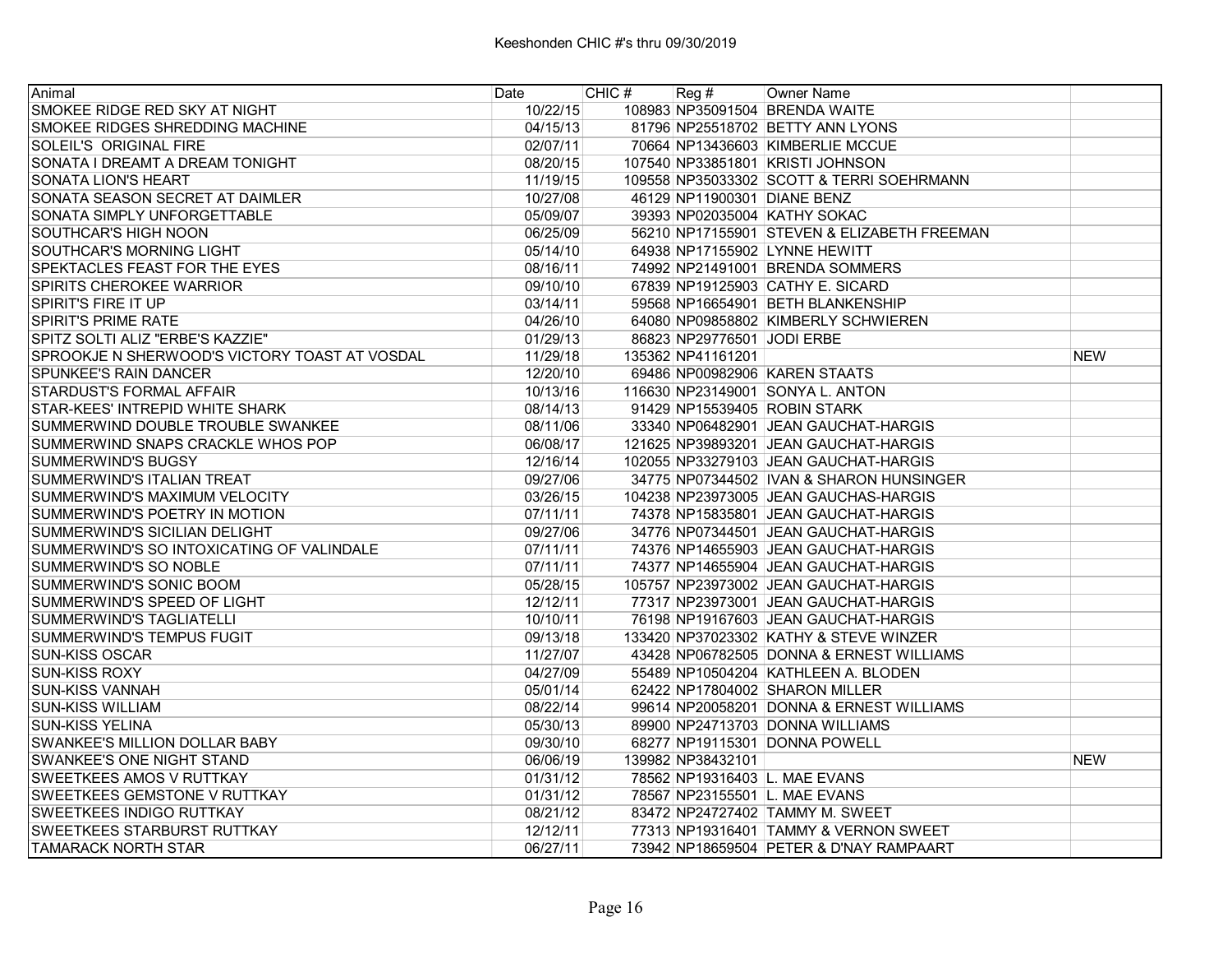| Animal                                        | Date     | CHIC# | $\text{Reg }#$             | Owner Name                                  |            |
|-----------------------------------------------|----------|-------|----------------------------|---------------------------------------------|------------|
| SMOKEE RIDGE RED SKY AT NIGHT                 | 10/22/15 |       |                            | 108983 NP35091504 BRENDA WAITE              |            |
| SMOKEE RIDGES SHREDDING MACHINE               | 04/15/13 |       |                            | 81796 NP25518702 BETTY ANN LYONS            |            |
| SOLEIL'S ORIGINAL FIRE                        | 02/07/11 |       |                            | 70664 NP13436603 KIMBERLIE MCCUE            |            |
| SONATA I DREAMT A DREAM TONIGHT               | 08/20/15 |       |                            | 107540 NP33851801 KRISTI JOHNSON            |            |
| SONATA LION'S HEART                           | 11/19/15 |       |                            | 109558 NP35033302 SCOTT & TERRI SOEHRMANN   |            |
| SONATA SEASON SECRET AT DAIMLER               | 10/27/08 |       |                            | 46129 NP11900301 DIANE BENZ                 |            |
| SONATA SIMPLY UNFORGETTABLE                   | 05/09/07 |       |                            | 39393 NP02035004 KATHY SOKAC                |            |
| SOUTHCAR'S HIGH NOON                          | 06/25/09 |       |                            | 56210 NP17155901 STEVEN & ELIZABETH FREEMAN |            |
| SOUTHCAR'S MORNING LIGHT                      | 05/14/10 |       |                            | 64938 NP17155902 LYNNE HEWITT               |            |
| SPEKTACLES FEAST FOR THE EYES                 | 08/16/11 |       |                            | 74992 NP21491001 BRENDA SOMMERS             |            |
| <b>SPIRITS CHEROKEE WARRIOR</b>               | 09/10/10 |       |                            | 67839 NP19125903 CATHY E. SICARD            |            |
| SPIRIT'S FIRE IT UP                           | 03/14/11 |       |                            | 59568 NP16654901 BETH BLANKENSHIP           |            |
| <b>SPIRIT'S PRIME RATE</b>                    | 04/26/10 |       |                            | 64080 NP09858802 KIMBERLY SCHWIEREN         |            |
| SPITZ SOLTI ALIZ "ERBE'S KAZZIE"              | 01/29/13 |       | 86823 NP29776501 JODI ERBE |                                             |            |
| SPROOKJE N SHERWOOD'S VICTORY TOAST AT VOSDAL | 11/29/18 |       | 135362 NP41161201          |                                             | <b>NEW</b> |
| SPUNKEE'S RAIN DANCER                         | 12/20/10 |       |                            | 69486 NP00982906 KAREN STAATS               |            |
| STARDUST'S FORMAL AFFAIR                      | 10/13/16 |       |                            | 116630 NP23149001 SONYA L. ANTON            |            |
| STAR-KEES' INTREPID WHITE SHARK               | 08/14/13 |       |                            | 91429 NP15539405 ROBIN STARK                |            |
| SUMMERWIND DOUBLE TROUBLE SWANKEE             | 08/11/06 |       |                            | 33340 NP06482901 JEAN GAUCHAT-HARGIS        |            |
| SUMMERWIND SNAPS CRACKLE WHOS POP             | 06/08/17 |       |                            | 121625 NP39893201 JEAN GAUCHAT-HARGIS       |            |
| <b>SUMMERWIND'S BUGSY</b>                     | 12/16/14 |       |                            | 102055 NP33279103 JEAN GAUCHAT-HARGIS       |            |
| SUMMERWIND'S ITALIAN TREAT                    | 09/27/06 |       |                            | 34775 NP07344502 IVAN & SHARON HUNSINGER    |            |
| SUMMERWIND'S MAXIMUM VELOCITY                 | 03/26/15 |       |                            | 104238 NP23973005 JEAN GAUCHAS-HARGIS       |            |
| SUMMERWIND'S POETRY IN MOTION                 | 07/11/11 |       |                            | 74378 NP15835801 JEAN GAUCHAT-HARGIS        |            |
| SUMMERWIND'S SICILIAN DELIGHT                 | 09/27/06 |       |                            | 34776 NP07344501 JEAN GAUCHAT-HARGIS        |            |
| SUMMERWIND'S SO INTOXICATING OF VALINDALE     | 07/11/11 |       |                            | 74376 NP14655903 JEAN GAUCHAT-HARGIS        |            |
| SUMMERWIND'S SO NOBLE                         | 07/11/11 |       |                            | 74377 NP14655904 JEAN GAUCHAT-HARGIS        |            |
| SUMMERWIND'S SONIC BOOM                       | 05/28/15 |       |                            | 105757 NP23973002 JEAN GAUCHAT-HARGIS       |            |
| SUMMERWIND'S SPEED OF LIGHT                   | 12/12/11 |       |                            | 77317 NP23973001 JEAN GAUCHAT-HARGIS        |            |
| SUMMERWIND'S TAGLIATELLI                      | 10/10/11 |       |                            | 76198 NP19167603 JEAN GAUCHAT-HARGIS        |            |
| SUMMERWIND'S TEMPUS FUGIT                     | 09/13/18 |       |                            | 133420 NP37023302 KATHY & STEVE WINZER      |            |
| <b>SUN-KISS OSCAR</b>                         | 11/27/07 |       |                            | 43428 NP06782505 DONNA & ERNEST WILLIAMS    |            |
| <b>SUN-KISS ROXY</b>                          | 04/27/09 |       |                            | 55489 NP10504204 KATHLEEN A. BLODEN         |            |
| <b>SUN-KISS VANNAH</b>                        | 05/01/14 |       |                            | 62422 NP17804002 SHARON MILLER              |            |
| <b>SUN-KISS WILLIAM</b>                       | 08/22/14 |       |                            | 99614 NP20058201 DONNA & ERNEST WILLIAMS    |            |
| <b>SUN-KISS YELINA</b>                        | 05/30/13 |       |                            | 89900 NP24713703 DONNA WILLIAMS             |            |
| <b>SWANKEE'S MILLION DOLLAR BABY</b>          | 09/30/10 |       |                            | 68277 NP19115301 DONNA POWELL               |            |
| SWANKEE'S ONE NIGHT STAND                     | 06/06/19 |       | 139982 NP38432101          |                                             | <b>NEW</b> |
| <b>SWEETKEES AMOS V RUTTKAY</b>               | 01/31/12 |       |                            | 78562 NP19316403 L. MAE EVANS               |            |
| <b>SWEETKEES GEMSTONE V RUTTKAY</b>           | 01/31/12 |       |                            | 78567 NP23155501 L. MAE EVANS               |            |
| <b>SWEETKEES INDIGO RUTTKAY</b>               | 08/21/12 |       |                            | 83472 NP24727402 TAMMY M. SWEET             |            |
| <b>SWEETKEES STARBURST RUTTKAY</b>            | 12/12/11 |       |                            | 77313 NP19316401 TAMMY & VERNON SWEET       |            |
| <b>TAMARACK NORTH STAR</b>                    | 06/27/11 |       |                            | 73942 NP18659504 PETER & D'NAY RAMPAART     |            |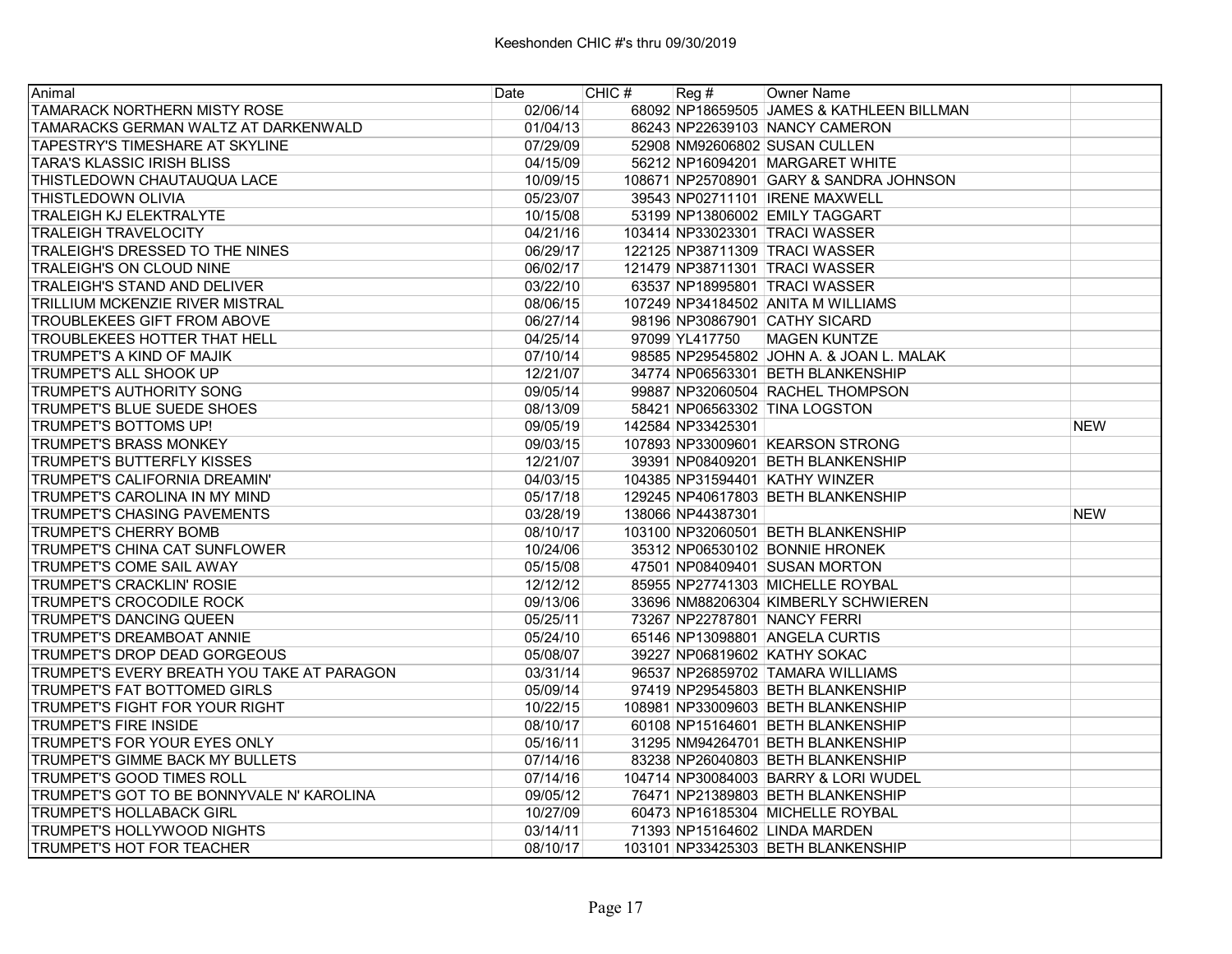| Animal                                     | Date     | CHIC # | Reg#              | Owner Name                                |            |
|--------------------------------------------|----------|--------|-------------------|-------------------------------------------|------------|
| <b>TAMARACK NORTHERN MISTY ROSE</b>        | 02/06/14 |        |                   | 68092 NP18659505 JAMES & KATHLEEN BILLMAN |            |
| TAMARACKS GERMAN WALTZ AT DARKENWALD       | 01/04/13 |        |                   | 86243 NP22639103 NANCY CAMERON            |            |
| <b>TAPESTRY'S TIMESHARE AT SKYLINE</b>     | 07/29/09 |        |                   | 52908 NM92606802 SUSAN CULLEN             |            |
| <b>TARA'S KLASSIC IRISH BLISS</b>          | 04/15/09 |        |                   | 56212 NP16094201 MARGARET WHITE           |            |
| THISTLEDOWN CHAUTAUQUA LACE                | 10/09/15 |        |                   | 108671 NP25708901 GARY & SANDRA JOHNSON   |            |
| <b>THISTLEDOWN OLIVIA</b>                  | 05/23/07 |        |                   | 39543 NP02711101 IRENE MAXWELL            |            |
| <b>TRALEIGH KJ ELEKTRALYTE</b>             | 10/15/08 |        |                   | 53199 NP13806002 EMILY TAGGART            |            |
| <b>TRALEIGH TRAVELOCITY</b>                | 04/21/16 |        |                   | 103414 NP33023301 TRACI WASSER            |            |
| TRALEIGH'S DRESSED TO THE NINES            | 06/29/17 |        |                   | 122125 NP38711309 TRACI WASSER            |            |
| TRALEIGH'S ON CLOUD NINE                   | 06/02/17 |        |                   | 121479 NP38711301 TRACI WASSER            |            |
| <b>TRALEIGH'S STAND AND DELIVER</b>        | 03/22/10 |        |                   | 63537 NP18995801 TRACI WASSER             |            |
| TRILLIUM MCKENZIE RIVER MISTRAL            | 08/06/15 |        |                   | 107249 NP34184502 ANITA M WILLIAMS        |            |
| <b>TROUBLEKEES GIFT FROM ABOVE</b>         | 06/27/14 |        |                   | 98196 NP30867901 CATHY SICARD             |            |
| <b>TROUBLEKEES HOTTER THAT HELL</b>        | 04/25/14 |        |                   | 97099 YL417750 MAGEN KUNTZE               |            |
| TRUMPET'S A KIND OF MAJIK                  | 07/10/14 |        |                   | 98585 NP29545802 JOHN A. & JOAN L. MALAK  |            |
| TRUMPET'S ALL SHOOK UP                     | 12/21/07 |        |                   | 34774 NP06563301 BETH BLANKENSHIP         |            |
| <b>TRUMPET'S AUTHORITY SONG</b>            | 09/05/14 |        |                   | 99887 NP32060504 RACHEL THOMPSON          |            |
| <b>TRUMPET'S BLUE SUEDE SHOES</b>          | 08/13/09 |        |                   | 58421 NP06563302 TINA LOGSTON             |            |
| <b>TRUMPET'S BOTTOMS UP!</b>               | 09/05/19 |        | 142584 NP33425301 |                                           | <b>NEW</b> |
| <b>TRUMPET'S BRASS MONKEY</b>              | 09/03/15 |        |                   | 107893 NP33009601 KEARSON STRONG          |            |
| ITRUMPET'S BUTTERFLY KISSES                | 12/21/07 |        |                   | 39391 NP08409201 BETH BLANKENSHIP         |            |
| TRUMPET'S CALIFORNIA DREAMIN'              | 04/03/15 |        |                   | 104385 NP31594401 KATHY WINZER            |            |
| TRUMPET'S CAROLINA IN MY MIND              | 05/17/18 |        |                   | 129245 NP40617803 BETH BLANKENSHIP        |            |
| <b>TRUMPET'S CHASING PAVEMENTS</b>         | 03/28/19 |        | 138066 NP44387301 |                                           | <b>NEW</b> |
| <b>TRUMPET'S CHERRY BOMB</b>               | 08/10/17 |        |                   | 103100 NP32060501 BETH BLANKENSHIP        |            |
| TRUMPET'S CHINA CAT SUNFLOWER              | 10/24/06 |        |                   | 35312 NP06530102 BONNIE HRONEK            |            |
| <b>TRUMPET'S COME SAIL AWAY</b>            | 05/15/08 |        |                   | 47501 NP08409401 SUSAN MORTON             |            |
| <b>TRUMPET'S CRACKLIN' ROSIE</b>           | 12/12/12 |        |                   | 85955 NP27741303 MICHELLE ROYBAL          |            |
| <b>TRUMPET'S CROCODILE ROCK</b>            | 09/13/06 |        |                   | 33696 NM88206304 KIMBERLY SCHWIEREN       |            |
| TRUMPET'S DANCING QUEEN                    | 05/25/11 |        |                   | 73267 NP22787801 NANCY FERRI              |            |
| <b>ITRUMPET'S DREAMBOAT ANNIE</b>          | 05/24/10 |        |                   | 65146 NP13098801 ANGELA CURTIS            |            |
| TRUMPET'S DROP DEAD GORGEOUS               | 05/08/07 |        |                   | 39227 NP06819602 KATHY SOKAC              |            |
| TRUMPET'S EVERY BREATH YOU TAKE AT PARAGON | 03/31/14 |        |                   | 96537 NP26859702 TAMARA WILLIAMS          |            |
| <b>TRUMPET'S FAT BOTTOMED GIRLS</b>        | 05/09/14 |        |                   | 97419 NP29545803 BETH BLANKENSHIP         |            |
| TRUMPET'S FIGHT FOR YOUR RIGHT             | 10/22/15 |        |                   | 108981 NP33009603 BETH BLANKENSHIP        |            |
| <b>TRUMPET'S FIRE INSIDE</b>               | 08/10/17 |        |                   | 60108 NP15164601 BETH BLANKENSHIP         |            |
| TRUMPET'S FOR YOUR EYES ONLY               | 05/16/11 |        |                   | 31295 NM94264701 BETH BLANKENSHIP         |            |
| TRUMPET'S GIMME BACK MY BULLETS            | 07/14/16 |        |                   | 83238 NP26040803 BETH BLANKENSHIP         |            |
| <b>TRUMPET'S GOOD TIMES ROLL</b>           | 07/14/16 |        |                   | 104714 NP30084003 BARRY & LORI WUDEL      |            |
| TRUMPET'S GOT TO BE BONNYVALE N' KAROLINA  | 09/05/12 |        |                   | 76471 NP21389803 BETH BLANKENSHIP         |            |
| <b>TRUMPET'S HOLLABACK GIRL</b>            | 10/27/09 |        |                   | 60473 NP16185304 MICHELLE ROYBAL          |            |
| <b>TRUMPET'S HOLLYWOOD NIGHTS</b>          | 03/14/11 |        |                   | 71393 NP15164602 LINDA MARDEN             |            |
| TRUMPET'S HOT FOR TEACHER                  | 08/10/17 |        |                   | 103101 NP33425303 BETH BLANKENSHIP        |            |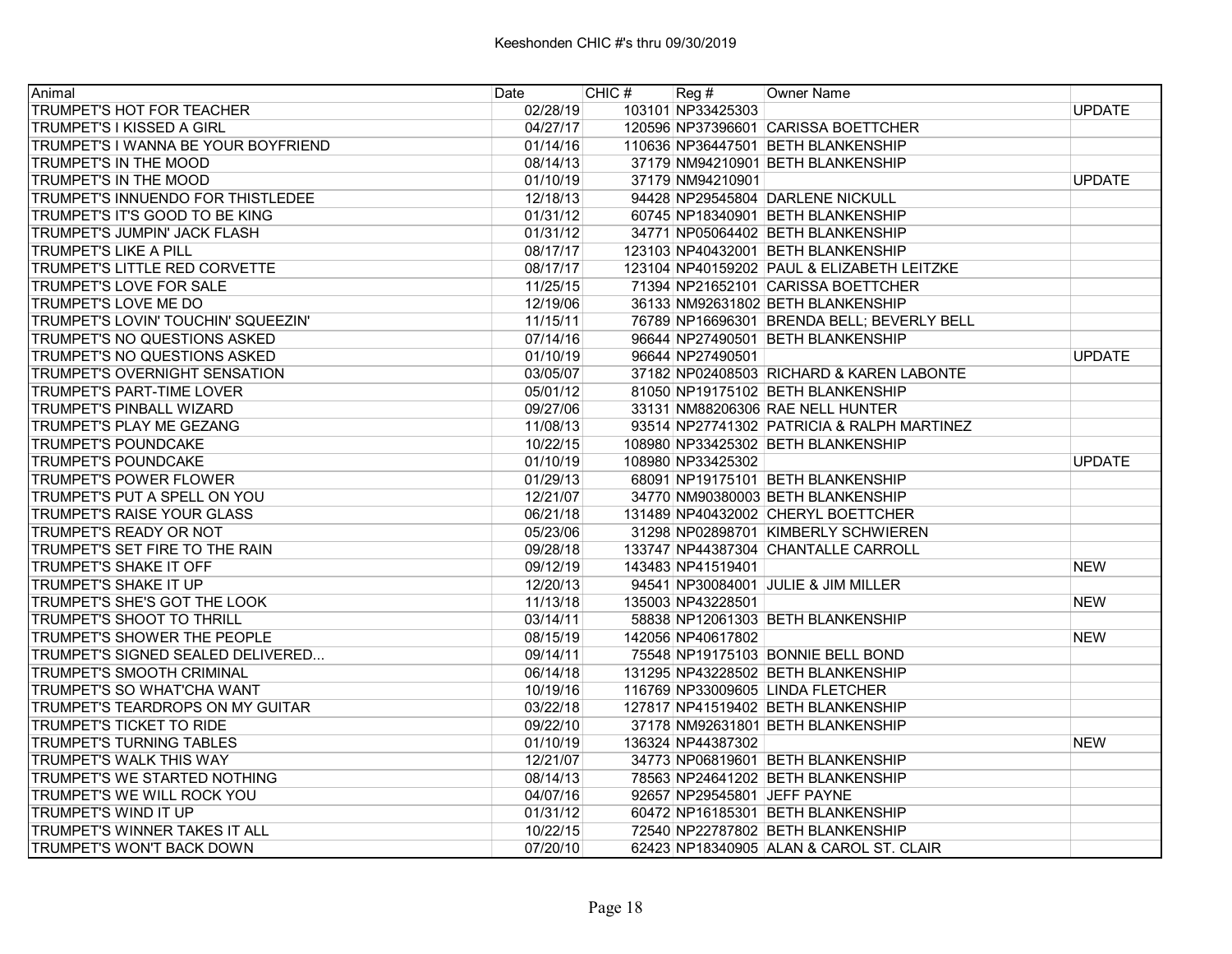| Animal                              | Date     | CHIC # | Reg #             | <b>Owner Name</b>                          |               |
|-------------------------------------|----------|--------|-------------------|--------------------------------------------|---------------|
| TRUMPET'S HOT FOR TEACHER           | 02/28/19 |        | 103101 NP33425303 |                                            | <b>UPDATE</b> |
| TRUMPET'S I KISSED A GIRL           | 04/27/17 |        |                   | 120596 NP37396601 CARISSA BOETTCHER        |               |
| TRUMPET'S I WANNA BE YOUR BOYFRIEND | 01/14/16 |        |                   | 110636 NP36447501 BETH BLANKENSHIP         |               |
| TRUMPET'S IN THE MOOD               | 08/14/13 |        |                   | 37179 NM94210901 BETH BLANKENSHIP          |               |
| TRUMPET'S IN THE MOOD               | 01/10/19 |        | 37179 NM94210901  |                                            | <b>UPDATE</b> |
| TRUMPET'S INNUENDO FOR THISTLEDEE   | 12/18/13 |        |                   | 94428 NP29545804 DARLENE NICKULL           |               |
| TRUMPET'S IT'S GOOD TO BE KING      | 01/31/12 |        |                   | 60745 NP18340901 BETH BLANKENSHIP          |               |
| TRUMPET'S JUMPIN' JACK FLASH        | 01/31/12 |        |                   | 34771 NP05064402 BETH BLANKENSHIP          |               |
| TRUMPET'S LIKE A PILL               | 08/17/17 |        |                   | 123103 NP40432001 BETH BLANKENSHIP         |               |
| TRUMPET'S LITTLE RED CORVETTE       | 08/17/17 |        |                   | 123104 NP40159202 PAUL & ELIZABETH LEITZKE |               |
| TRUMPET'S LOVE FOR SALE             | 11/25/15 |        |                   | 71394 NP21652101 CARISSA BOETTCHER         |               |
| TRUMPET'S LOVE ME DO                | 12/19/06 |        |                   | 36133 NM92631802 BETH BLANKENSHIP          |               |
| TRUMPET'S LOVIN' TOUCHIN' SQUEEZIN' | 11/15/11 |        |                   | 76789 NP16696301 BRENDA BELL; BEVERLY BELL |               |
| TRUMPET'S NO QUESTIONS ASKED        | 07/14/16 |        |                   | 96644 NP27490501 BETH BLANKENSHIP          |               |
| TRUMPET'S NO QUESTIONS ASKED        | 01/10/19 |        | 96644 NP27490501  |                                            | <b>UPDATE</b> |
| TRUMPET'S OVERNIGHT SENSATION       | 03/05/07 |        |                   | 37182 NP02408503 RICHARD & KAREN LABONTE   |               |
| TRUMPET'S PART-TIME LOVER           | 05/01/12 |        |                   | 81050 NP19175102 BETH BLANKENSHIP          |               |
| TRUMPET'S PINBALL WIZARD            | 09/27/06 |        |                   | 33131 NM88206306 RAE NELL HUNTER           |               |
| TRUMPET'S PLAY ME GEZANG            | 11/08/13 |        |                   | 93514 NP27741302 PATRICIA & RALPH MARTINEZ |               |
| <b>TRUMPET'S POUNDCAKE</b>          | 10/22/15 |        |                   | 108980 NP33425302 BETH BLANKENSHIP         |               |
| TRUMPET'S POUNDCAKE                 | 01/10/19 |        | 108980 NP33425302 |                                            | <b>UPDATE</b> |
| <b>TRUMPET'S POWER FLOWER</b>       | 01/29/13 |        |                   | 68091 NP19175101 BETH BLANKENSHIP          |               |
| TRUMPET'S PUT A SPELL ON YOU        | 12/21/07 |        |                   | 34770 NM90380003 BETH BLANKENSHIP          |               |
| TRUMPET'S RAISE YOUR GLASS          | 06/21/18 |        |                   | 131489 NP40432002 CHERYL BOETTCHER         |               |
| TRUMPET'S READY OR NOT              | 05/23/06 |        |                   | 31298 NP02898701 KIMBERLY SCHWIEREN        |               |
| TRUMPET'S SET FIRE TO THE RAIN      | 09/28/18 |        |                   | 133747 NP44387304 CHANTALLE CARROLL        |               |
| TRUMPET'S SHAKE IT OFF              | 09/12/19 |        | 143483 NP41519401 |                                            | <b>NEW</b>    |
| TRUMPET'S SHAKE IT UP               | 12/20/13 |        |                   | 94541 NP30084001 JULIE & JIM MILLER        |               |
| TRUMPET'S SHE'S GOT THE LOOK        | 11/13/18 |        | 135003 NP43228501 |                                            | <b>NEW</b>    |
| TRUMPET'S SHOOT TO THRILL           | 03/14/11 |        |                   | 58838 NP12061303 BETH BLANKENSHIP          |               |
| TRUMPET'S SHOWER THE PEOPLE         | 08/15/19 |        | 142056 NP40617802 |                                            | <b>NEW</b>    |
| TRUMPET'S SIGNED SEALED DELIVERED   | 09/14/11 |        |                   | 75548 NP19175103 BONNIE BELL BOND          |               |
| TRUMPET'S SMOOTH CRIMINAL           | 06/14/18 |        |                   | 131295 NP43228502 BETH BLANKENSHIP         |               |
| TRUMPET'S SO WHAT'CHA WANT          | 10/19/16 |        |                   | 116769 NP33009605 LINDA FLETCHER           |               |
| TRUMPET'S TEARDROPS ON MY GUITAR    | 03/22/18 |        |                   | 127817 NP41519402 BETH BLANKENSHIP         |               |
| TRUMPET'S TICKET TO RIDE            | 09/22/10 |        |                   | 37178 NM92631801 BETH BLANKENSHIP          |               |
| <b>TRUMPET'S TURNING TABLES</b>     | 01/10/19 |        | 136324 NP44387302 |                                            | <b>NEW</b>    |
| TRUMPET'S WALK THIS WAY             | 12/21/07 |        |                   | 34773 NP06819601 BETH BLANKENSHIP          |               |
| TRUMPET'S WE STARTED NOTHING        | 08/14/13 |        |                   | 78563 NP24641202 BETH BLANKENSHIP          |               |
| TRUMPET'S WE WILL ROCK YOU          | 04/07/16 |        |                   | 92657 NP29545801 JEFF PAYNE                |               |
| TRUMPET'S WIND IT UP                | 01/31/12 |        |                   | 60472 NP16185301 BETH BLANKENSHIP          |               |
| TRUMPET'S WINNER TAKES IT ALL       | 10/22/15 |        |                   | 72540 NP22787802 BETH BLANKENSHIP          |               |
| TRUMPET'S WON'T BACK DOWN           | 07/20/10 |        |                   | 62423 NP18340905 ALAN & CAROL ST. CLAIR    |               |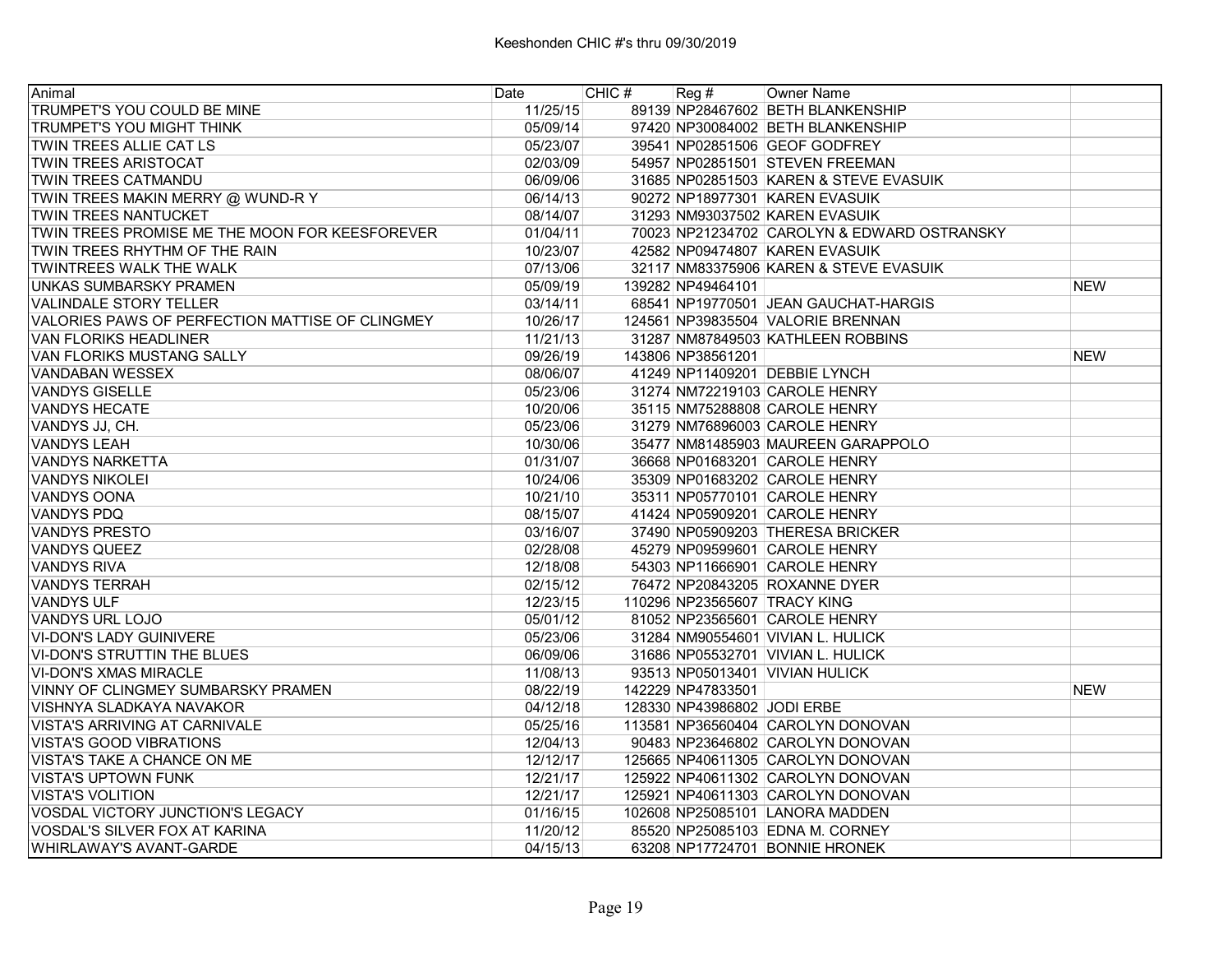| Animal                                          | Date     | CHIC# | Reg#                        | Owner Name                                  |            |
|-------------------------------------------------|----------|-------|-----------------------------|---------------------------------------------|------------|
| TRUMPET'S YOU COULD BE MINE                     | 11/25/15 |       |                             | 89139 NP28467602 BETH BLANKENSHIP           |            |
| TRUMPET'S YOU MIGHT THINK                       | 05/09/14 |       |                             | 97420 NP30084002 BETH BLANKENSHIP           |            |
| TWIN TREES ALLIE CAT LS                         | 05/23/07 |       |                             | 39541 NP02851506 GEOF GODFREY               |            |
| <b>TWIN TREES ARISTOCAT</b>                     | 02/03/09 |       |                             | 54957 NP02851501 STEVEN FREEMAN             |            |
| <b>TWIN TREES CATMANDU</b>                      | 06/09/06 |       |                             | 31685 NP02851503 KAREN & STEVE EVASUIK      |            |
| TWIN TREES MAKIN MERRY @ WUND-R Y               | 06/14/13 |       |                             | 90272 NP18977301 KAREN EVASUIK              |            |
| TWIN TREES NANTUCKET                            | 08/14/07 |       |                             | 31293 NM93037502 KAREN EVASUIK              |            |
| TWIN TREES PROMISE ME THE MOON FOR KEESFOREVER  | 01/04/11 |       |                             | 70023 NP21234702 CAROLYN & EDWARD OSTRANSKY |            |
| TWIN TREES RHYTHM OF THE RAIN                   | 10/23/07 |       |                             | 42582 NP09474807 KAREN EVASUIK              |            |
| TWINTREES WALK THE WALK                         | 07/13/06 |       |                             | 32117 NM83375906 KAREN & STEVE EVASUIK      |            |
| IUNKAS SUMBARSKY PRAMEN                         | 05/09/19 |       | 139282 NP49464101           |                                             | <b>NEW</b> |
| VALINDALE STORY TELLER                          | 03/14/11 |       |                             | 68541 NP19770501 JEAN GAUCHAT-HARGIS        |            |
| VALORIES PAWS OF PERFECTION MATTISE OF CLINGMEY | 10/26/17 |       |                             | 124561 NP39835504 VALORIE BRENNAN           |            |
| IVAN FLORIKS HEADLINER                          | 11/21/13 |       |                             | 31287 NM87849503 KATHLEEN ROBBINS           |            |
| <b>VAN FLORIKS MUSTANG SALLY</b>                | 09/26/19 |       | 143806 NP38561201           |                                             | <b>NEW</b> |
| VANDABAN WESSEX                                 | 08/06/07 |       |                             | 41249 NP11409201 DEBBIE LYNCH               |            |
| VANDYS GISELLE                                  | 05/23/06 |       |                             | 31274 NM72219103 CAROLE HENRY               |            |
| <b>VANDYS HECATE</b>                            | 10/20/06 |       |                             | 35115 NM75288808 CAROLE HENRY               |            |
| VANDYS JJ, CH.                                  | 05/23/06 |       |                             | 31279 NM76896003 CAROLE HENRY               |            |
| <b>VANDYS LEAH</b>                              | 10/30/06 |       |                             | 35477 NM81485903 MAUREEN GARAPPOLO          |            |
| <b>VANDYS NARKETTA</b>                          | 01/31/07 |       |                             | 36668 NP01683201 CAROLE HENRY               |            |
| <b>VANDYS NIKOLEI</b>                           | 10/24/06 |       |                             | 35309 NP01683202 CAROLE HENRY               |            |
| <b>VANDYS OONA</b>                              | 10/21/10 |       |                             | 35311 NP05770101 CAROLE HENRY               |            |
| <b>VANDYS PDQ</b>                               | 08/15/07 |       |                             | 41424 NP05909201 CAROLE HENRY               |            |
| <b>VANDYS PRESTO</b>                            | 03/16/07 |       |                             | 37490 NP05909203 THERESA BRICKER            |            |
| <b>VANDYS QUEEZ</b>                             | 02/28/08 |       |                             | 45279 NP09599601 CAROLE HENRY               |            |
| <b>VANDYS RIVA</b>                              | 12/18/08 |       |                             | 54303 NP11666901 CAROLE HENRY               |            |
| VANDYS TERRAH                                   | 02/15/12 |       |                             | 76472 NP20843205 ROXANNE DYER               |            |
| <b>VANDYS ULF</b>                               | 12/23/15 |       |                             | 110296 NP23565607 TRACY KING                |            |
| VANDYS URL LOJO                                 | 05/01/12 |       |                             | 81052 NP23565601 CAROLE HENRY               |            |
| VI-DON'S LADY GUINIVERE                         | 05/23/06 |       |                             | 31284 NM90554601 VIVIAN L. HULICK           |            |
| VI-DON'S STRUTTIN THE BLUES                     | 06/09/06 |       |                             | 31686 NP05532701 VIVIAN L. HULICK           |            |
| <b>VI-DON'S XMAS MIRACLE</b>                    | 11/08/13 |       |                             | 93513 NP05013401 VIVIAN HULICK              |            |
| <b>VINNY OF CLINGMEY SUMBARSKY PRAMEN</b>       | 08/22/19 |       | 142229 NP47833501           |                                             | <b>NEW</b> |
| VISHNYA SLADKAYA NAVAKOR                        | 04/12/18 |       | 128330 NP43986802 JODI ERBE |                                             |            |
| <b>VISTA'S ARRIVING AT CARNIVALE</b>            | 05/25/16 |       |                             | 113581 NP36560404 CAROLYN DONOVAN           |            |
| VISTA'S GOOD VIBRATIONS                         | 12/04/13 |       |                             | 90483 NP23646802 CAROLYN DONOVAN            |            |
| VISTA'S TAKE A CHANCE ON ME                     | 12/12/17 |       |                             | 125665 NP40611305 CAROLYN DONOVAN           |            |
| <b>VISTA'S UPTOWN FUNK</b>                      | 12/21/17 |       |                             | 125922 NP40611302 CAROLYN DONOVAN           |            |
| <b>VISTA'S VOLITION</b>                         | 12/21/17 |       |                             | 125921 NP40611303 CAROLYN DONOVAN           |            |
| VOSDAL VICTORY JUNCTION'S LEGACY                | 01/16/15 |       |                             | 102608 NP25085101 LANORA MADDEN             |            |
| VOSDAL'S SILVER FOX AT KARINA                   | 11/20/12 |       |                             | 85520 NP25085103 EDNA M. CORNEY             |            |
| <b>WHIRLAWAY'S AVANT-GARDE</b>                  | 04/15/13 |       |                             | 63208 NP17724701 BONNIE HRONEK              |            |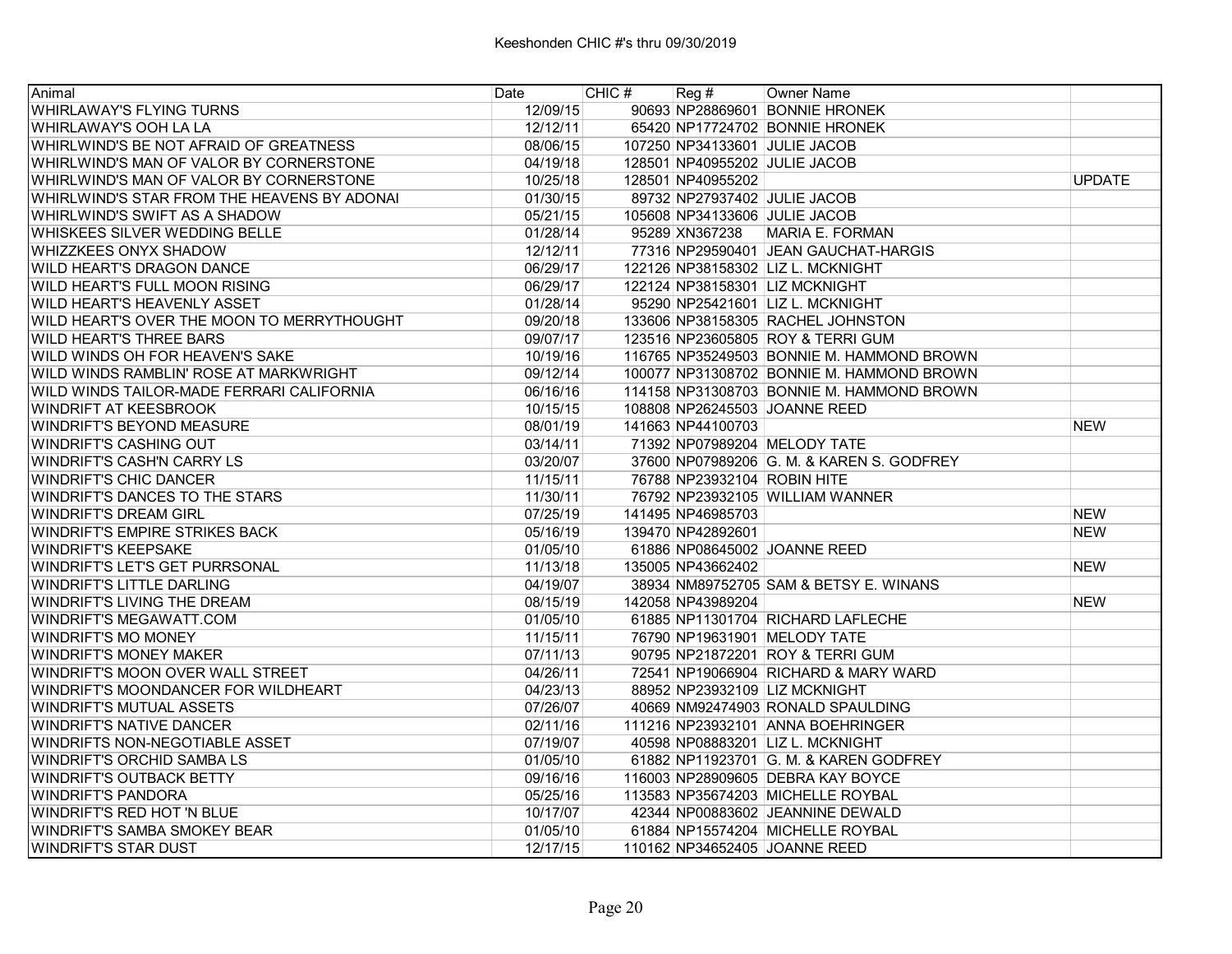| Animal                                      | Date     | CHIC # | Reg#                        | Owner Name                                |               |
|---------------------------------------------|----------|--------|-----------------------------|-------------------------------------------|---------------|
| <b>WHIRLAWAY'S FLYING TURNS</b>             | 12/09/15 |        |                             | 90693 NP28869601 BONNIE HRONEK            |               |
| IWHIRLAWAY'S OOH LA LA                      | 12/12/11 |        |                             | 65420 NP17724702 BONNIE HRONEK            |               |
| WHIRLWIND'S BE NOT AFRAID OF GREATNESS      | 08/06/15 |        |                             | 107250 NP34133601 JULIE JACOB             |               |
| WHIRLWIND'S MAN OF VALOR BY CORNERSTONE     | 04/19/18 |        |                             | 128501 NP40955202 JULIE JACOB             |               |
| WHIRLWIND'S MAN OF VALOR BY CORNERSTONE     | 10/25/18 |        | 128501 NP40955202           |                                           | <b>UPDATE</b> |
| WHIRLWIND'S STAR FROM THE HEAVENS BY ADONAI | 01/30/15 |        |                             | 89732 NP27937402 JULIE JACOB              |               |
| IWHIRLWIND'S SWIFT AS A SHADOW              | 05/21/15 |        |                             | 105608 NP34133606 JULIE JACOB             |               |
| lWHISKEES SILVER WEDDING BELLE              | 01/28/14 |        |                             | 95289 XN367238 MARIA E. FORMAN            |               |
| <b>WHIZZKEES ONYX SHADOW</b>                | 12/12/11 |        |                             | 77316 NP29590401 JEAN GAUCHAT-HARGIS      |               |
| <b>WILD HEART'S DRAGON DANCE</b>            | 06/29/17 |        |                             | 122126 NP38158302 LIZ L. MCKNIGHT         |               |
| <b>WILD HEART'S FULL MOON RISING</b>        | 06/29/17 |        |                             | 122124 NP38158301 LIZ MCKNIGHT            |               |
| <b>WILD HEART'S HEAVENLY ASSET</b>          | 01/28/14 |        |                             | 95290 NP25421601 LIZ L. MCKNIGHT          |               |
| WILD HEART'S OVER THE MOON TO MERRYTHOUGHT  | 09/20/18 |        |                             | 133606 NP38158305 RACHEL JOHNSTON         |               |
| <b>WILD HEART'S THREE BARS</b>              | 09/07/17 |        |                             | 123516 NP23605805 ROY & TERRI GUM         |               |
| WILD WINDS OH FOR HEAVEN'S SAKE             | 10/19/16 |        |                             | 116765 NP35249503 BONNIE M. HAMMOND BROWN |               |
| IWILD WINDS RAMBLIN' ROSE AT MARKWRIGHT     | 09/12/14 |        |                             | 100077 NP31308702 BONNIE M. HAMMOND BROWN |               |
| IWILD WINDS TAILOR-MADE FERRARI CALIFORNIA  | 06/16/16 |        |                             | 114158 NP31308703 BONNIE M. HAMMOND BROWN |               |
| <b>WINDRIFT AT KEESBROOK</b>                | 10/15/15 |        |                             | 108808 NP26245503 JOANNE REED             |               |
| <b>WINDRIFT'S BEYOND MEASURE</b>            | 08/01/19 |        | 141663 NP44100703           |                                           | <b>NEW</b>    |
| <b>WINDRIFT'S CASHING OUT</b>               | 03/14/11 |        |                             | 71392 NP07989204 MELODY TATE              |               |
| <b>WINDRIFT'S CASH'N CARRY LS</b>           | 03/20/07 |        |                             | 37600 NP07989206 G. M. & KAREN S. GODFREY |               |
| IWINDRIFT'S CHIC DANCER                     | 11/15/11 |        | 76788 NP23932104 ROBIN HITE |                                           |               |
| <b>WINDRIFT'S DANCES TO THE STARS</b>       | 11/30/11 |        |                             | 76792 NP23932105 WILLIAM WANNER           |               |
| <b>WINDRIFT'S DREAM GIRL</b>                | 07/25/19 |        | 141495 NP46985703           |                                           | <b>NEW</b>    |
| <b>WINDRIFT'S EMPIRE STRIKES BACK</b>       | 05/16/19 |        | 139470 NP42892601           |                                           | <b>NEW</b>    |
| IWINDRIFT'S KEEPSAKE                        | 01/05/10 |        |                             | 61886 NP08645002 JOANNE REED              |               |
| WINDRIFT'S LET'S GET PURRSONAL              | 11/13/18 |        | 135005 NP43662402           |                                           | <b>NEW</b>    |
| <b>WINDRIFT'S LITTLE DARLING</b>            | 04/19/07 |        |                             | 38934 NM89752705 SAM & BETSY E. WINANS    |               |
| <b>WINDRIFT'S LIVING THE DREAM</b>          | 08/15/19 |        | 142058 NP43989204           |                                           | <b>NEW</b>    |
| <b>WINDRIFT'S MEGAWATT.COM</b>              | 01/05/10 |        |                             | 61885 NP11301704 RICHARD LAFLECHE         |               |
| IWINDRIFT'S MO MONEY                        | 11/15/11 |        |                             | 76790 NP19631901 MELODY TATE              |               |
| IWINDRIFT'S MONEY MAKER                     | 07/11/13 |        |                             | 90795 NP21872201 ROY & TERRI GUM          |               |
| WINDRIFT'S MOON OVER WALL STREET            | 04/26/11 |        |                             | 72541 NP19066904 RICHARD & MARY WARD      |               |
| WINDRIFT'S MOONDANCER FOR WILDHEART         | 04/23/13 |        |                             | 88952 NP23932109 LIZ MCKNIGHT             |               |
| <b>WINDRIFT'S MUTUAL ASSETS</b>             | 07/26/07 |        |                             | 40669 NM92474903 RONALD SPAULDING         |               |
| <b>WINDRIFT'S NATIVE DANCER</b>             | 02/11/16 |        |                             | 111216 NP23932101 ANNA BOEHRINGER         |               |
| IWINDRIFTS NON-NEGOTIABLE ASSET             | 07/19/07 |        |                             | 40598 NP08883201 LIZ L. MCKNIGHT          |               |
| IWINDRIFT'S ORCHID SAMBA LS                 | 01/05/10 |        |                             | 61882 NP11923701 G. M. & KAREN GODFREY    |               |
| <b>WINDRIFT'S OUTBACK BETTY</b>             | 09/16/16 |        |                             | 116003 NP28909605 DEBRA KAY BOYCE         |               |
| <b>WINDRIFT'S PANDORA</b>                   | 05/25/16 |        |                             | 113583 NP35674203 MICHELLE ROYBAL         |               |
| IWINDRIFT'S RED HOT 'N BLUE                 | 10/17/07 |        |                             | 42344 NP00883602 JEANNINE DEWALD          |               |
| IWINDRIFT'S SAMBA SMOKEY BEAR               | 01/05/10 |        |                             | 61884 NP15574204 MICHELLE ROYBAL          |               |
| IWINDRIFT'S STAR DUST                       | 12/17/15 |        |                             | 110162 NP34652405 JOANNE REED             |               |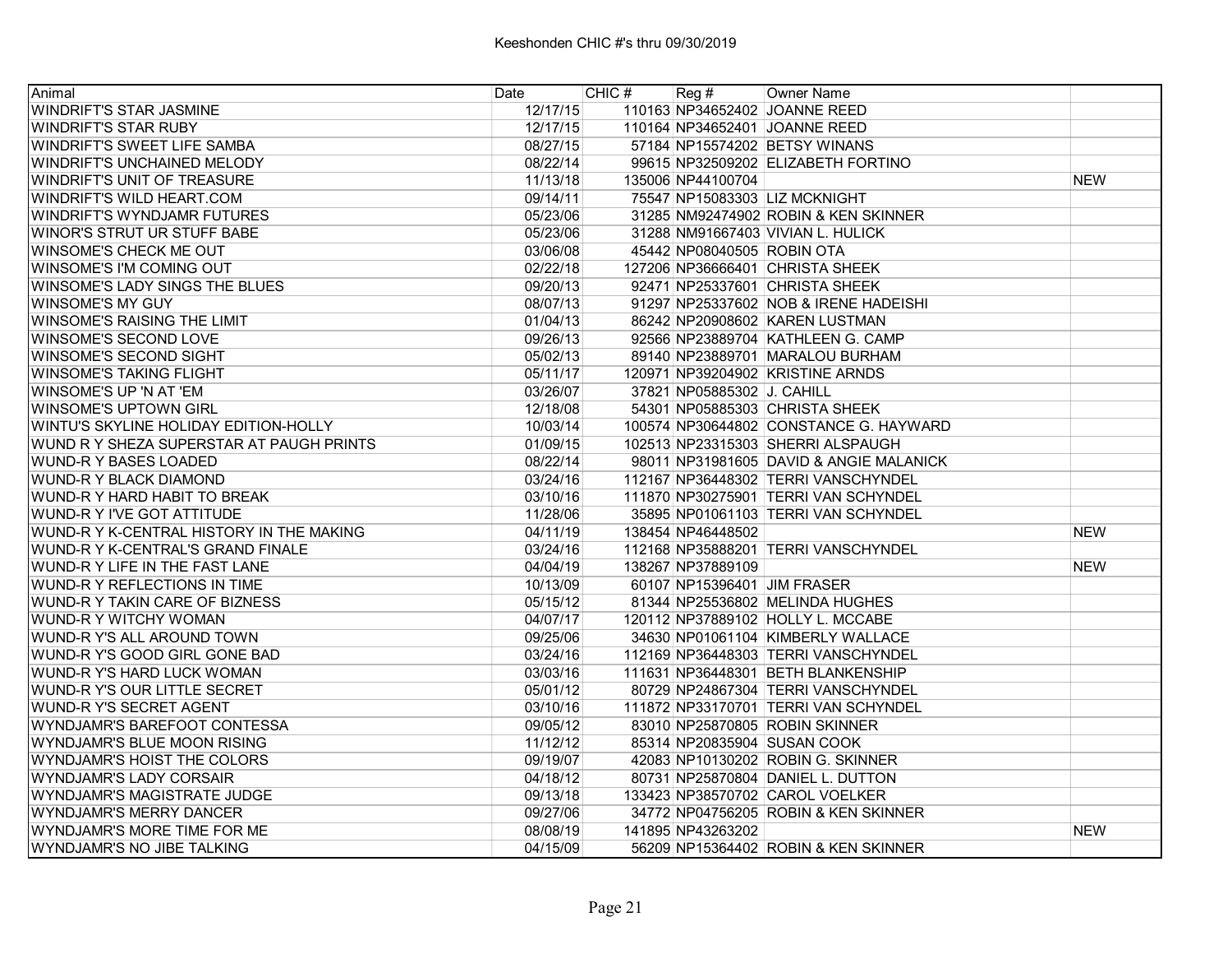| Animal                                   | Date     | CHIC# |                            | Reg # Owner Name                        |            |
|------------------------------------------|----------|-------|----------------------------|-----------------------------------------|------------|
| <b>WINDRIFT'S STAR JASMINE</b>           | 12/17/15 |       |                            | 110163 NP34652402 JOANNE REED           |            |
| <b>WINDRIFT'S STAR RUBY</b>              | 12/17/15 |       |                            | 110164 NP34652401 JOANNE REED           |            |
| <b>WINDRIFT'S SWEET LIFE SAMBA</b>       | 08/27/15 |       |                            | 57184 NP15574202 BETSY WINANS           |            |
| WINDRIFT'S UNCHAINED MELODY              | 08/22/14 |       |                            | 99615 NP32509202 ELIZABETH FORTINO      |            |
| <b>WINDRIFT'S UNIT OF TREASURE</b>       | 11/13/18 |       | 135006 NP44100704          |                                         | <b>NEW</b> |
| <b>WINDRIFT'S WILD HEART.COM</b>         | 09/14/11 |       |                            | 75547 NP15083303 LIZ MCKNIGHT           |            |
| IWINDRIFT'S WYNDJAMR FUTURES             | 05/23/06 |       |                            | 31285 NM92474902 ROBIN & KEN SKINNER    |            |
| IWINOR'S STRUT UR STUFF BABE             | 05/23/06 |       |                            | 31288 NM91667403 VIVIAN L. HULICK       |            |
| <b>WINSOME'S CHECK ME OUT</b>            | 03/06/08 |       | 45442 NP08040505 ROBIN OTA |                                         |            |
| WINSOME'S I'M COMING OUT                 | 02/22/18 |       |                            | 127206 NP36666401 CHRISTA SHEEK         |            |
| WINSOME'S LADY SINGS THE BLUES           | 09/20/13 |       |                            | 92471 NP25337601 CHRISTA SHEEK          |            |
| <b>WINSOME'S MY GUY</b>                  | 08/07/13 |       |                            | 91297 NP25337602 NOB & IRENE HADEISHI   |            |
| <b>WINSOME'S RAISING THE LIMIT</b>       | 01/04/13 |       |                            | 86242 NP20908602 KAREN LUSTMAN          |            |
| <b>WINSOME'S SECOND LOVE</b>             | 09/26/13 |       |                            | 92566 NP23889704 KATHLEEN G. CAMP       |            |
| <b>WINSOME'S SECOND SIGHT</b>            | 05/02/13 |       |                            | 89140 NP23889701 MARALOU BURHAM         |            |
| <b>WINSOME'S TAKING FLIGHT</b>           | 05/11/17 |       |                            | 120971 NP39204902 KRISTINE ARNDS        |            |
| IWINSOME'S UP 'N AT 'EM                  | 03/26/07 |       | 37821 NP05885302 J. CAHILL |                                         |            |
| IWINSOME'S UPTOWN GIRL                   | 12/18/08 |       |                            | 54301 NP05885303 CHRISTA SHEEK          |            |
| WINTU'S SKYLINE HOLIDAY EDITION-HOLLY    | 10/03/14 |       |                            | 100574 NP30644802 CONSTANCE G. HAYWARD  |            |
| WUND R Y SHEZA SUPERSTAR AT PAUGH PRINTS | 01/09/15 |       |                            | 102513 NP23315303 SHERRI ALSPAUGH       |            |
| <b>WUND-R Y BASES LOADED</b>             | 08/22/14 |       |                            | 98011 NP31981605 DAVID & ANGIE MALANICK |            |
| IWUND-R Y BLACK DIAMOND                  | 03/24/16 |       |                            | 112167 NP36448302 TERRI VANSCHYNDEL     |            |
| IWUND-R Y HARD HABIT TO BREAK            | 03/10/16 |       |                            | 111870 NP30275901 TERRI VAN SCHYNDEL    |            |
| <b>WUND-R Y I'VE GOT ATTITUDE</b>        | 11/28/06 |       |                            | 35895 NP01061103 TERRI VAN SCHYNDEL     |            |
| WUND-R Y K-CENTRAL HISTORY IN THE MAKING | 04/11/19 |       | 138454 NP46448502          |                                         | <b>NEW</b> |
| WUND-R Y K-CENTRAL'S GRAND FINALE        | 03/24/16 |       |                            | 112168 NP35888201 TERRI VANSCHYNDEL     |            |
| WUND-R Y LIFE IN THE FAST LANE           | 04/04/19 |       | 138267 NP37889109          |                                         | <b>NEW</b> |
| WUND-R Y REFLECTIONS IN TIME             | 10/13/09 |       |                            | 60107 NP15396401 JIM FRASER             |            |
| WUND-R Y TAKIN CARE OF BIZNESS           | 05/15/12 |       |                            | 81344 NP25536802 MELINDA HUGHES         |            |
| WUND-R Y WITCHY WOMAN                    | 04/07/17 |       |                            | 120112 NP37889102 HOLLY L. MCCABE       |            |
| WUND-R Y'S ALL AROUND TOWN               | 09/25/06 |       |                            | 34630 NP01061104 KIMBERLY WALLACE       |            |
| lWUND-R Y'S GOOD GIRL GONE BAD           | 03/24/16 |       |                            | 112169 NP36448303 TERRI VANSCHYNDEL     |            |
| IWUND-R Y'S HARD LUCK WOMAN              | 03/03/16 |       |                            | 111631 NP36448301 BETH BLANKENSHIP      |            |
| WUND-R Y'S OUR LITTLE SECRET             | 05/01/12 |       |                            | 80729 NP24867304 TERRI VANSCHYNDEL      |            |
| <b>WUND-R Y'S SECRET AGENT</b>           | 03/10/16 |       |                            | 111872 NP33170701 TERRI VAN SCHYNDEL    |            |
| WYNDJAMR'S BAREFOOT CONTESSA             | 09/05/12 |       |                            | 83010 NP25870805 ROBIN SKINNER          |            |
| WYNDJAMR'S BLUE MOON RISING              | 11/12/12 |       |                            | 85314 NP20835904 SUSAN COOK             |            |
| WYNDJAMR'S HOIST THE COLORS              | 09/19/07 |       |                            | 42083 NP10130202 ROBIN G. SKINNER       |            |
| IWYNDJAMR'S LADY CORSAIR                 | 04/18/12 |       |                            | 80731 NP25870804 DANIEL L. DUTTON       |            |
| WYNDJAMR'S MAGISTRATE JUDGE              | 09/13/18 |       |                            | 133423 NP38570702 CAROL VOELKER         |            |
| IWYNDJAMR'S MERRY DANCER                 | 09/27/06 |       |                            | 34772 NP04756205 ROBIN & KEN SKINNER    |            |
| IWYNDJAMR'S MORE TIME FOR ME             | 08/08/19 |       | 141895 NP43263202          |                                         | <b>NEW</b> |
| IWYNDJAMR'S NO JIBE TALKING              | 04/15/09 |       |                            | 56209 NP15364402 ROBIN & KEN SKINNER    |            |